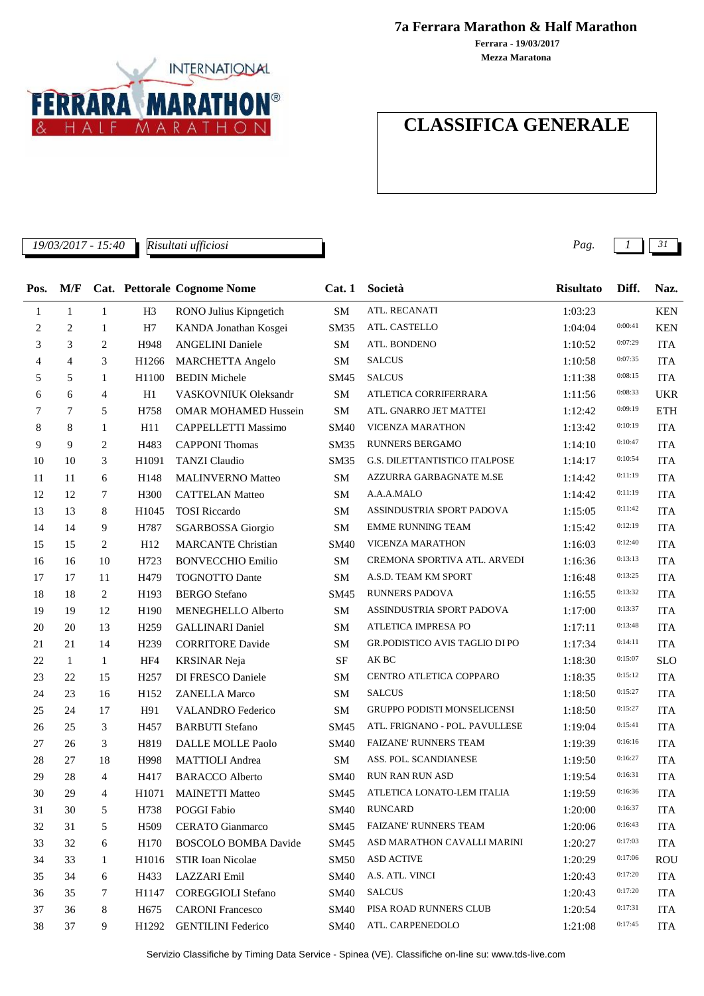

**7a Ferrara Marathon & Half Marathon**

**Mezza Maratona Ferrara - 19/03/2017**

# **CLASSIFICA GENERALE**

*19/03/2017 - 15:40 Pag. 1 31*

*Risultati ufficiosi*

| Pos. | M/F            |                |                   | <b>Cat. Pettorale Cognome Nome</b> | Cat.1       | Società                            | <b>Risultato</b> | Diff.   | Naz.       |
|------|----------------|----------------|-------------------|------------------------------------|-------------|------------------------------------|------------------|---------|------------|
| 1    | $\mathbf{1}$   | $\mathbf{1}$   | H <sub>3</sub>    | RONO Julius Kipngetich             | SM          | ATL. RECANATI                      | 1:03:23          |         | <b>KEN</b> |
| 2    | $\overline{c}$ | 1              | H7                | KANDA Jonathan Kosgei              | SM35        | ATL. CASTELLO                      | 1:04:04          | 0:00:41 | <b>KEN</b> |
| 3    | 3              | 2              | H948              | <b>ANGELINI</b> Daniele            | SM          | ATL. BONDENO                       | 1:10:52          | 0:07:29 | <b>ITA</b> |
| 4    | 4              | 3              | H1266             | <b>MARCHETTA Angelo</b>            | ${\bf SM}$  | <b>SALCUS</b>                      | 1:10:58          | 0:07:35 | <b>ITA</b> |
| 5    | 5              | 1              | H1100             | <b>BEDIN Michele</b>               | SM45        | <b>SALCUS</b>                      | 1:11:38          | 0:08:15 | <b>ITA</b> |
| 6    | 6              | 4              | H1                | VASKOVNIUK Oleksandr               | ${\rm SM}$  | ATLETICA CORRIFERRARA              | 1:11:56          | 0:08:33 | UKR        |
| 7    | 7              | 5              | H758              | <b>OMAR MOHAMED Hussein</b>        | SM          | ATL. GNARRO JET MATTEI             | 1:12:42          | 0:09:19 | <b>ETH</b> |
| 8    | 8              | $\mathbf{1}$   | H11               | CAPPELLETTI Massimo                | <b>SM40</b> | <b>VICENZA MARATHON</b>            | 1:13:42          | 0:10:19 | <b>ITA</b> |
| 9    | 9              | 2              | H483              | <b>CAPPONI</b> Thomas              | SM35        | RUNNERS BERGAMO                    | 1:14:10          | 0:10:47 | <b>ITA</b> |
| 10   | 10             | 3              | H1091             | <b>TANZI Claudio</b>               | <b>SM35</b> | G.S. DILETTANTISTICO ITALPOSE      | 1:14:17          | 0:10:54 | <b>ITA</b> |
| 11   | 11             | 6              | H148              | MALINVERNO Matteo                  | ${\rm SM}$  | AZZURRA GARBAGNATE M.SE            | 1:14:42          | 0:11:19 | <b>ITA</b> |
| 12   | 12             | 7              | H300              | <b>CATTELAN Matteo</b>             | ${\rm SM}$  | A.A.A.MALO                         | 1:14:42          | 0:11:19 | <b>ITA</b> |
| 13   | 13             | 8              | H1045             | <b>TOSI</b> Riccardo               | <b>SM</b>   | ASSINDUSTRIA SPORT PADOVA          | 1:15:05          | 0:11:42 | <b>ITA</b> |
| 14   | 14             | 9              | H787              | <b>SGARBOSSA</b> Giorgio           | ${\rm SM}$  | <b>EMME RUNNING TEAM</b>           | 1:15:42          | 0:12:19 | <b>ITA</b> |
| 15   | 15             | 2              | H12               | <b>MARCANTE Christian</b>          | <b>SM40</b> | <b>VICENZA MARATHON</b>            | 1:16:03          | 0:12:40 | <b>ITA</b> |
| 16   | 16             | 10             | H723              | <b>BONVECCHIO Emilio</b>           | <b>SM</b>   | CREMONA SPORTIVA ATL. ARVEDI       | 1:16:36          | 0:13:13 | <b>ITA</b> |
| 17   | 17             | 11             | H479              | <b>TOGNOTTO Dante</b>              | SM          | A.S.D. TEAM KM SPORT               | 1:16:48          | 0:13:25 | <b>ITA</b> |
| 18   | 18             | $\overline{c}$ | H193              | <b>BERGO</b> Stefano               | SM45        | <b>RUNNERS PADOVA</b>              | 1:16:55          | 0:13:32 | <b>ITA</b> |
| 19   | 19             | 12             | H190              | MENEGHELLO Alberto                 | SM          | ASSINDUSTRIA SPORT PADOVA          | 1:17:00          | 0:13:37 | <b>ITA</b> |
| 20   | 20             | 13             | H <sub>259</sub>  | <b>GALLINARI</b> Daniel            | ${\rm SM}$  | ATLETICA IMPRESA PO                | 1:17:11          | 0:13:48 | <b>ITA</b> |
| 21   | 21             | 14             | H <sub>239</sub>  | <b>CORRITORE Davide</b>            | <b>SM</b>   | GR.PODISTICO AVIS TAGLIO DI PO     | 1:17:34          | 0:14:11 | <b>ITA</b> |
| 22   | $\mathbf{1}$   | 1              | HF4               | <b>KRSINAR Neja</b>                | <b>SF</b>   | AK BC                              | 1:18:30          | 0:15:07 | <b>SLO</b> |
| 23   | 22             | 15             | H <sub>257</sub>  | DI FRESCO Daniele                  | <b>SM</b>   | CENTRO ATLETICA COPPARO            | 1:18:35          | 0:15:12 | <b>ITA</b> |
| 24   | 23             | 16             | H152              | <b>ZANELLA Marco</b>               | <b>SM</b>   | <b>SALCUS</b>                      | 1:18:50          | 0:15:27 | <b>ITA</b> |
| 25   | 24             | 17             | H91               | VALANDRO Federico                  | <b>SM</b>   | <b>GRUPPO PODISTI MONSELICENSI</b> | 1:18:50          | 0:15:27 | <b>ITA</b> |
| 26   | 25             | 3              | H457              | <b>BARBUTI</b> Stefano             | SM45        | ATL. FRIGNANO - POL. PAVULLESE     | 1:19:04          | 0:15:41 | <b>ITA</b> |
| 27   | 26             | 3              | H819              | DALLE MOLLE Paolo                  | <b>SM40</b> | <b>FAIZANE' RUNNERS TEAM</b>       | 1:19:39          | 0:16:16 | <b>ITA</b> |
| 28   | 27             | 18             | H998              | <b>MATTIOLI</b> Andrea             | ${\bf SM}$  | ASS. POL. SCANDIANESE              | 1:19:50          | 0:16:27 | <b>ITA</b> |
| 29   | 28             | 4              | H417              | <b>BARACCO</b> Alberto             | <b>SM40</b> | <b>RUN RAN RUN ASD</b>             | 1:19:54          | 0:16:31 | <b>ITA</b> |
| 30   | 29             | 4              | H1071             | <b>MAINETTI Matteo</b>             | SM45        | ATLETICA LONATO-LEM ITALIA         | 1:19:59          | 0:16:36 | <b>ITA</b> |
| 31   | $30\,$         | 5              | H738              | POGGI Fabio                        | <b>SM40</b> | <b>RUNCARD</b>                     | 1:20:00          | 0:16:37 | <b>ITA</b> |
| 32   | 31             | 5              | H509              | <b>CERATO</b> Gianmarco            | SM45        | <b>FAIZANE' RUNNERS TEAM</b>       | 1:20:06          | 0:16:43 | <b>ITA</b> |
| 33   | 32             | 6              | H170              | <b>BOSCOLO BOMBA Davide</b>        | SM45        | ASD MARATHON CAVALLI MARINI        | 1:20:27          | 0:17:03 | <b>ITA</b> |
| 34   | 33             | $\mathbf{1}$   | H1016             | <b>STIR</b> Ioan Nicolae           | <b>SM50</b> | <b>ASD ACTIVE</b>                  | 1:20:29          | 0:17:06 | <b>ROU</b> |
| 35   | 34             | 6              | H433              | LAZZARI Emil                       | <b>SM40</b> | A.S. ATL. VINCI                    | 1:20:43          | 0:17:20 | <b>ITA</b> |
| 36   | 35             | 7              | H1147             | <b>COREGGIOLI Stefano</b>          | <b>SM40</b> | <b>SALCUS</b>                      | 1:20:43          | 0:17:20 | <b>ITA</b> |
| 37   | 36             | 8              | H <sub>675</sub>  | <b>CARONI Francesco</b>            | <b>SM40</b> | PISA ROAD RUNNERS CLUB             | 1:20:54          | 0:17:31 | <b>ITA</b> |
| 38   | 37             | 9              | H <sub>1292</sub> | <b>GENTILINI</b> Federico          | SM40        | ATL. CARPENEDOLO                   | 1:21:08          | 0:17:45 | <b>ITA</b> |

Servizio Classifiche by Timing Data Service - Spinea (VE). Classifiche on-line su: www.tds-live.com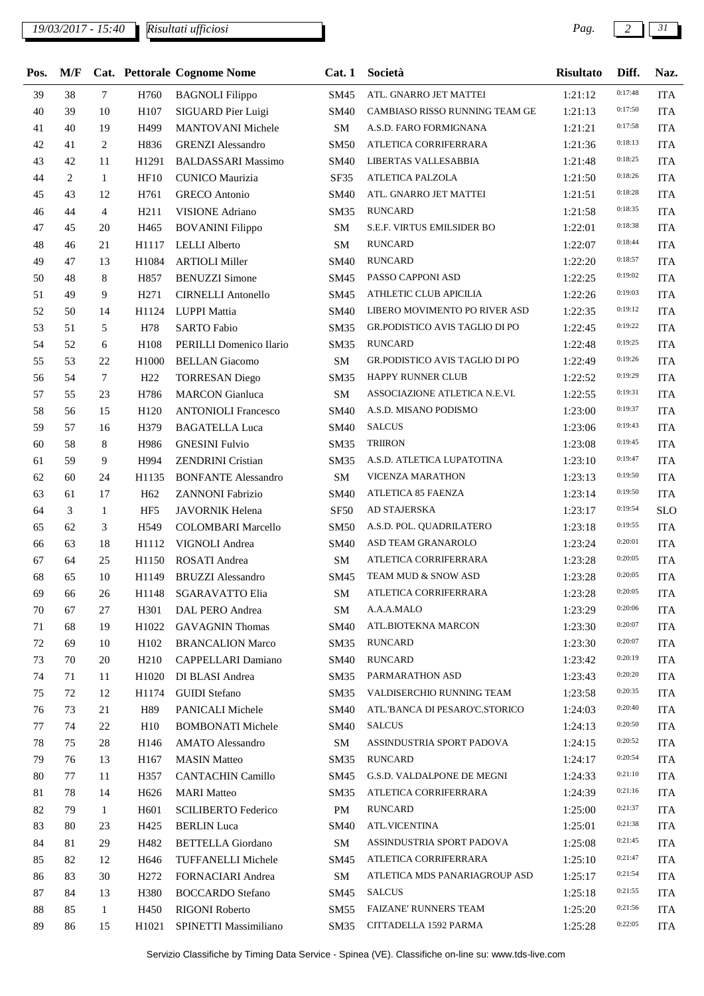# *19/03/2017 - 15:40 Pag. 2 31*

| Pos.   | M/F |                |                   | Cat. Pettorale Cognome Nome | Cat.1       | Società                               | <b>Risultato</b> | Diff.   | Naz.       |
|--------|-----|----------------|-------------------|-----------------------------|-------------|---------------------------------------|------------------|---------|------------|
| 39     | 38  | $\tau$         | H760              | <b>BAGNOLI Filippo</b>      | SM45        | ATL. GNARRO JET MATTEI                | 1:21:12          | 0:17:48 | <b>ITA</b> |
| 40     | 39  | 10             | H107              | SIGUARD Pier Luigi          | <b>SM40</b> | CAMBIASO RISSO RUNNING TEAM GE        | 1:21:13          | 0:17:50 | <b>ITA</b> |
| 41     | 40  | 19             | H499              | <b>MANTOVANI Michele</b>    | SM          | A.S.D. FARO FORMIGNANA                | 1:21:21          | 0:17:58 | <b>ITA</b> |
| 42     | 41  | 2              | H836              | <b>GRENZI</b> Alessandro    | <b>SM50</b> | ATLETICA CORRIFERRARA                 | 1:21:36          | 0:18:13 | <b>ITA</b> |
| 43     | 42  | 11             | H1291             | <b>BALDASSARI</b> Massimo   | <b>SM40</b> | LIBERTAS VALLESABBIA                  | 1:21:48          | 0:18:25 | <b>ITA</b> |
| 44     | 2   | 1              | HF10              | CUNICO Maurizia             | SF35        | ATLETICA PALZOLA                      | 1:21:50          | 0:18:26 | <b>ITA</b> |
| 45     | 43  | 12             | H761              | <b>GRECO</b> Antonio        | <b>SM40</b> | ATL. GNARRO JET MATTEI                | 1:21:51          | 0:18:28 | <b>ITA</b> |
| 46     | 44  | $\overline{4}$ | H211              | <b>VISIONE Adriano</b>      | SM35        | <b>RUNCARD</b>                        | 1:21:58          | 0:18:35 | <b>ITA</b> |
| 47     | 45  | 20             | H465              | <b>BOVANINI</b> Filippo     | SM          | S.E.F. VIRTUS EMILSIDER BO            | 1:22:01          | 0:18:38 | <b>ITA</b> |
| 48     | 46  | 21             | H1117             | <b>LELLI</b> Alberto        | ${\bf SM}$  | <b>RUNCARD</b>                        | 1:22:07          | 0:18:44 | <b>ITA</b> |
| 49     | 47  | 13             | H1084             | <b>ARTIOLI Miller</b>       | <b>SM40</b> | <b>RUNCARD</b>                        | 1:22:20          | 0:18:57 | <b>ITA</b> |
| 50     | 48  | 8              | H857              | <b>BENUZZI</b> Simone       | SM45        | PASSO CAPPONI ASD                     | 1:22:25          | 0:19:02 | <b>ITA</b> |
| 51     | 49  | 9              | H <sub>271</sub>  | <b>CIRNELLI Antonello</b>   | SM45        | ATHLETIC CLUB APICILIA                | 1:22:26          | 0:19:03 | <b>ITA</b> |
| 52     | 50  | 14             | H1124             | <b>LUPPI</b> Mattia         | <b>SM40</b> | LIBERO MOVIMENTO PO RIVER ASD         | 1:22:35          | 0:19:12 | <b>ITA</b> |
| 53     | 51  | 5              | H78               | <b>SARTO Fabio</b>          | SM35        | <b>GR.PODISTICO AVIS TAGLIO DI PO</b> | 1:22:45          | 0:19:22 | <b>ITA</b> |
| 54     | 52  | 6              | H108              | PERILLI Domenico Ilario     | SM35        | <b>RUNCARD</b>                        | 1:22:48          | 0:19:25 | <b>ITA</b> |
| 55     | 53  | 22             | H1000             | <b>BELLAN</b> Giacomo       | SM          | GR.PODISTICO AVIS TAGLIO DI PO        | 1:22:49          | 0:19:26 | <b>ITA</b> |
| 56     | 54  | $\tau$         | H22               | <b>TORRESAN Diego</b>       | SM35        | HAPPY RUNNER CLUB                     | 1:22:52          | 0:19:29 | <b>ITA</b> |
| 57     | 55  | 23             | H786              | <b>MARCON</b> Gianluca      | SM          | ASSOCIAZIONE ATLETICA N.E.VI.         | 1:22:55          | 0:19:31 | <b>ITA</b> |
| 58     | 56  | 15             | H120              | <b>ANTONIOLI Francesco</b>  | <b>SM40</b> | A.S.D. MISANO PODISMO                 | 1:23:00          | 0:19:37 | <b>ITA</b> |
| 59     | 57  | 16             | H379              | <b>BAGATELLA Luca</b>       | <b>SM40</b> | <b>SALCUS</b>                         | 1:23:06          | 0:19:43 | <b>ITA</b> |
| 60     | 58  | 8              | H986              | <b>GNESINI</b> Fulvio       | <b>SM35</b> | <b>TRIIRON</b>                        | 1:23:08          | 0:19:45 | <b>ITA</b> |
| 61     | 59  | 9              | H994              | <b>ZENDRINI</b> Cristian    | SM35        | A.S.D. ATLETICA LUPATOTINA            | 1:23:10          | 0:19:47 | <b>ITA</b> |
| 62     | 60  | 24             | H1135             | <b>BONFANTE Alessandro</b>  | SM          | VICENZA MARATHON                      | 1:23:13          | 0:19:50 | <b>ITA</b> |
| 63     | 61  | 17             | H <sub>62</sub>   | <b>ZANNONI</b> Fabrizio     | <b>SM40</b> | ATLETICA 85 FAENZA                    | 1:23:14          | 0:19:50 | <b>ITA</b> |
| 64     | 3   | $\mathbf{1}$   | HF5               | JAVORNIK Helena             | <b>SF50</b> | AD STAJERSKA                          | 1:23:17          | 0:19:54 | <b>SLO</b> |
| 65     | 62  | 3              | H549              | <b>COLOMBARI</b> Marcello   | <b>SM50</b> | A.S.D. POL. QUADRILATERO              | 1:23:18          | 0:19:55 | <b>ITA</b> |
| 66     | 63  | 18             | H1112             | VIGNOLI Andrea              | <b>SM40</b> | ASD TEAM GRANAROLO                    | 1:23:24          | 0:20:01 | <b>ITA</b> |
| 67     | 64  | 25             | H1150             | <b>ROSATI</b> Andrea        | SM          | ATLETICA CORRIFERRARA                 | 1:23:28          | 0:20:05 | <b>ITA</b> |
| 68     | 65  | 10             | H1149             | <b>BRUZZI</b> Alessandro    | SM45        | TEAM MUD & SNOW ASD                   | 1:23:28          | 0:20:05 | <b>ITA</b> |
| 69     | 66  | 26             | H1148             | SGARAVATTO Elia             | SM          | ATLETICA CORRIFERRARA                 | 1:23:28          | 0:20:05 | <b>ITA</b> |
| 70     | 67  | 27             | H301              | DAL PERO Andrea             | SM          | A.A.A.MALO                            | 1:23:29          | 0:20:06 | <b>ITA</b> |
| 71     | 68  | 19             | H <sub>1022</sub> | <b>GAVAGNIN Thomas</b>      | <b>SM40</b> | ATL.BIOTEKNA MARCON                   | 1:23:30          | 0:20:07 | <b>ITA</b> |
| $72\,$ | 69  | 10             | H <sub>102</sub>  | <b>BRANCALION Marco</b>     | SM35        | <b>RUNCARD</b>                        | 1:23:30          | 0:20:07 | <b>ITA</b> |
| 73     | 70  | 20             | H <sub>210</sub>  | <b>CAPPELLARI</b> Damiano   | <b>SM40</b> | <b>RUNCARD</b>                        | 1:23:42          | 0:20:19 | <b>ITA</b> |
| 74     | 71  | 11             | H1020             | DI BLASI Andrea             | SM35        | PARMARATHON ASD                       | 1:23:43          | 0:20:20 | <b>ITA</b> |
| 75     | 72  | 12             | H1174             | <b>GUIDI</b> Stefano        | SM35        | VALDISERCHIO RUNNING TEAM             | 1:23:58          | 0:20:35 | <b>ITA</b> |
| 76     | 73  | 21             | H89               | PANICALI Michele            | SM40        | ATL.'BANCA DI PESARO'C.STORICO        | 1:24:03          | 0:20:40 | <b>ITA</b> |
| 77     | 74  | 22             | H10               | <b>BOMBONATI Michele</b>    | <b>SM40</b> | <b>SALCUS</b>                         | 1:24:13          | 0:20:50 | <b>ITA</b> |
| 78     | 75  | 28             | H146              | <b>AMATO</b> Alessandro     | SM          | ASSINDUSTRIA SPORT PADOVA             | 1:24:15          | 0:20:52 | <b>ITA</b> |
| 79     | 76  | 13             | H <sub>167</sub>  | <b>MASIN Matteo</b>         | SM35        | <b>RUNCARD</b>                        | 1:24:17          | 0:20:54 | <b>ITA</b> |
| 80     | 77  | 11             | H357              | <b>CANTACHIN Camillo</b>    | SM45        | G.S.D. VALDALPONE DE MEGNI            | 1:24:33          | 0:21:10 | <b>ITA</b> |
| 81     | 78  | 14             | H <sub>626</sub>  | <b>MARI Matteo</b>          | SM35        | ATLETICA CORRIFERRARA                 | 1:24:39          | 0:21:16 | <b>ITA</b> |
| 82     | 79  | $\mathbf{1}$   | H <sub>601</sub>  | <b>SCILIBERTO Federico</b>  | PM          | <b>RUNCARD</b>                        | 1:25:00          | 0:21:37 | <b>ITA</b> |
| 83     | 80  | 23             | H425              | <b>BERLIN</b> Luca          | <b>SM40</b> | ATL.VICENTINA                         | 1:25:01          | 0:21:38 | <b>ITA</b> |
| 84     | 81  | 29             | H482              | <b>BETTELLA</b> Giordano    | SM          | ASSINDUSTRIA SPORT PADOVA             | 1:25:08          | 0:21:45 | <b>ITA</b> |
| 85     | 82  | 12             | H646              | TUFFANELLI Michele          | SM45        | ATLETICA CORRIFERRARA                 | 1:25:10          | 0:21:47 | <b>ITA</b> |
| 86     | 83  | 30             | H <sub>272</sub>  | FORNACIARI Andrea           | SM          | ATLETICA MDS PANARIAGROUP ASD         | 1:25:17          | 0:21:54 | <b>ITA</b> |
| 87     | 84  | 13             | H380              | <b>BOCCARDO</b> Stefano     | SM45        | SALCUS                                | 1:25:18          | 0:21:55 | <b>ITA</b> |
| $88\,$ | 85  | $\mathbf{1}$   | H450              | <b>RIGONI Roberto</b>       | SM55        | <b>FAIZANE' RUNNERS TEAM</b>          | 1:25:20          | 0:21:56 | <b>ITA</b> |
| 89     | 86  | 15             | H <sub>1021</sub> | SPINETTI Massimiliano       | SM35        | CITTADELLA 1592 PARMA                 | 1:25:28          | 0:22:05 | <b>ITA</b> |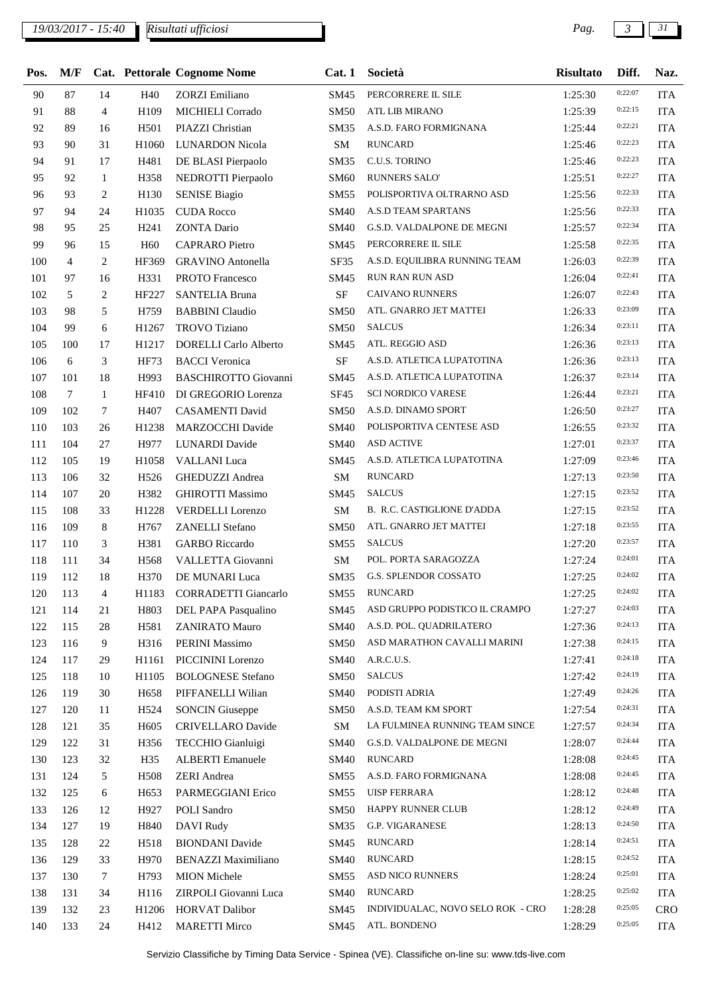# *19/03/2017 - 15:40 Pag. 3 31*

*Risultati ufficiosi*

ı

| Pos. | M/F            |                  |                   | Cat. Pettorale Cognome Nome  | Cat.1       | Società                           | <b>Risultato</b> | Diff.   | Naz.       |
|------|----------------|------------------|-------------------|------------------------------|-------------|-----------------------------------|------------------|---------|------------|
| 90   | 87             | 14               | H40               | <b>ZORZI</b> Emiliano        | SM45        | PERCORRERE IL SILE                | 1:25:30          | 0:22:07 | <b>ITA</b> |
| 91   | 88             | $\overline{4}$   | H109              | <b>MICHIELI Corrado</b>      | <b>SM50</b> | <b>ATL LIB MIRANO</b>             | 1:25:39          | 0:22:15 | <b>ITA</b> |
| 92   | 89             | 16               | H501              | PIAZZI Christian             | SM35        | A.S.D. FARO FORMIGNANA            | 1:25:44          | 0:22:21 | <b>ITA</b> |
| 93   | 90             | 31               | H1060             | <b>LUNARDON Nicola</b>       | SM          | <b>RUNCARD</b>                    | 1:25:46          | 0:22:23 | <b>ITA</b> |
| 94   | 91             | 17               | H481              | DE BLASI Pierpaolo           | <b>SM35</b> | C.U.S. TORINO                     | 1:25:46          | 0:22:23 | <b>ITA</b> |
| 95   | 92             | $\mathbf{1}$     | H <sub>358</sub>  | NEDROTTI Pierpaolo           | <b>SM60</b> | <b>RUNNERS SALO</b>               | 1:25:51          | 0:22:27 | <b>ITA</b> |
| 96   | 93             | $\boldsymbol{2}$ | H <sub>130</sub>  | <b>SENISE Biagio</b>         | <b>SM55</b> | POLISPORTIVA OLTRARNO ASD         | 1:25:56          | 0:22:33 | <b>ITA</b> |
| 97   | 94             | 24               | H1035             | <b>CUDA Rocco</b>            | <b>SM40</b> | A.S.D TEAM SPARTANS               | 1:25:56          | 0:22:33 | <b>ITA</b> |
| 98   | 95             | 25               | H <sub>241</sub>  | <b>ZONTA Dario</b>           | <b>SM40</b> | G.S.D. VALDALPONE DE MEGNI        | 1:25:57          | 0:22:34 | <b>ITA</b> |
| 99   | 96             | 15               | H <sub>60</sub>   | <b>CAPRARO</b> Pietro        | SM45        | PERCORRERE IL SILE                | 1:25:58          | 0:22:35 | <b>ITA</b> |
| 100  | $\overline{4}$ | $\overline{2}$   | HF369             | <b>GRAVINO</b> Antonella     | SF35        | A.S.D. EQUILIBRA RUNNING TEAM     | 1:26:03          | 0:22:39 | <b>ITA</b> |
| 101  | 97             | 16               | H331              | PROTO Francesco              | SM45        | <b>RUN RAN RUN ASD</b>            | 1:26:04          | 0:22:41 | <b>ITA</b> |
| 102  | 5              | 2                | HF227             | <b>SANTELIA Bruna</b>        | $\rm{SF}$   | <b>CAIVANO RUNNERS</b>            | 1:26:07          | 0:22:43 | <b>ITA</b> |
| 103  | 98             | 5                | H759              | <b>BABBINI</b> Claudio       | <b>SM50</b> | ATL. GNARRO JET MATTEI            | 1:26:33          | 0:23:09 | <b>ITA</b> |
| 104  | 99             | 6                | H1267             | <b>TROVO</b> Tiziano         | <b>SM50</b> | <b>SALCUS</b>                     | 1:26:34          | 0:23:11 | <b>ITA</b> |
| 105  | 100            | 17               | H1217             | <b>DORELLI</b> Carlo Alberto | SM45        | ATL. REGGIO ASD                   | 1:26:36          | 0:23:13 | <b>ITA</b> |
| 106  | 6              | 3                | <b>HF73</b>       | <b>BACCI</b> Veronica        | $\rm SF$    | A.S.D. ATLETICA LUPATOTINA        | 1:26:36          | 0:23:13 | <b>ITA</b> |
| 107  | 101            | 18               | H993              | <b>BASCHIROTTO Giovanni</b>  | SM45        | A.S.D. ATLETICA LUPATOTINA        | 1:26:37          | 0:23:14 | <b>ITA</b> |
| 108  | $\tau$         | $\mathbf{1}$     | HF410             | DI GREGORIO Lorenza          | SF45        | <b>SCI NORDICO VARESE</b>         | 1:26:44          | 0:23:21 | <b>ITA</b> |
| 109  | 102            | $\tau$           | H407              | <b>CASAMENTI David</b>       | <b>SM50</b> | A.S.D. DINAMO SPORT               | 1:26:50          | 0:23:27 | <b>ITA</b> |
| 110  | 103            | 26               | H1238             | MARZOCCHI Davide             | <b>SM40</b> | POLISPORTIVA CENTESE ASD          | 1:26:55          | 0:23:32 | <b>ITA</b> |
| 111  | 104            | 27               | H977              | <b>LUNARDI</b> Davide        | <b>SM40</b> | <b>ASD ACTIVE</b>                 | 1:27:01          | 0:23:37 | <b>ITA</b> |
| 112  | 105            | 19               | H1058             | <b>VALLANI</b> Luca          | SM45        | A.S.D. ATLETICA LUPATOTINA        | 1:27:09          | 0:23:46 | <b>ITA</b> |
| 113  | 106            | 32               | H <sub>526</sub>  | GHEDUZZI Andrea              | ${\bf SM}$  | <b>RUNCARD</b>                    | 1:27:13          | 0:23:50 | <b>ITA</b> |
| 114  | 107            | 20               | H382              | <b>GHIROTTI Massimo</b>      | SM45        | <b>SALCUS</b>                     | 1:27:15          | 0:23:52 | <b>ITA</b> |
| 115  | 108            | 33               | H1228             | VERDELLI Lorenzo             | ${\bf SM}$  | B. R.C. CASTIGLIONE D'ADDA        | 1:27:15          | 0:23:52 | <b>ITA</b> |
| 116  | 109            | 8                | H767              | ZANELLI Stefano              | <b>SM50</b> | ATL. GNARRO JET MATTEI            | 1:27:18          | 0:23:55 | <b>ITA</b> |
| 117  | 110            | 3                | H381              | <b>GARBO</b> Riccardo        | SM55        | <b>SALCUS</b>                     | 1:27:20          | 0:23:57 | <b>ITA</b> |
| 118  | 111            | 34               | H <sub>568</sub>  | VALLETTA Giovanni            | ${\bf SM}$  | POL. PORTA SARAGOZZA              | 1:27:24          | 0:24:01 | <b>ITA</b> |
| 119  | 112            | 18               | H370              | DE MUNARI Luca               | <b>SM35</b> | <b>G.S. SPLENDOR COSSATO</b>      | 1:27:25          | 0:24:02 | <b>ITA</b> |
| 120  | 113            | 4                |                   | H1183 CORRADETTI Giancarlo   |             | SM55 RUNCARD                      | 1:27:25          | 0:24:02 | <b>ITA</b> |
| 121  | 114            | 21               | H803              | DEL PAPA Pasqualino          | SM45        | ASD GRUPPO PODISTICO IL CRAMPO    | 1:27:27          | 0:24:03 | <b>ITA</b> |
| 122  | 115            | 28               | H581              | <b>ZANIRATO Mauro</b>        | <b>SM40</b> | A.S.D. POL. QUADRILATERO          | 1:27:36          | 0:24:13 | <b>ITA</b> |
| 123  | 116            | 9                | H316              | <b>PERINI Massimo</b>        | <b>SM50</b> | ASD MARATHON CAVALLI MARINI       | 1:27:38          | 0:24:15 | <b>ITA</b> |
| 124  | 117            | 29               | H <sub>1161</sub> | PICCININI Lorenzo            | <b>SM40</b> | A.R.C.U.S.                        | 1:27:41          | 0:24:18 | <b>ITA</b> |
| 125  | 118            | 10               | H1105             | <b>BOLOGNESE Stefano</b>     | <b>SM50</b> | <b>SALCUS</b>                     | 1:27:42          | 0:24:19 | <b>ITA</b> |
| 126  | 119            | 30               | H <sub>658</sub>  | PIFFANELLI Wilian            | <b>SM40</b> | PODISTI ADRIA                     | 1:27:49          | 0:24:26 | <b>ITA</b> |
| 127  | 120            | 11               | H524              | <b>SONCIN</b> Giuseppe       | <b>SM50</b> | A.S.D. TEAM KM SPORT              | 1:27:54          | 0:24:31 | <b>ITA</b> |
| 128  | 121            | 35               | H <sub>605</sub>  | CRIVELLARO Davide            | SM          | LA FULMINEA RUNNING TEAM SINCE    | 1:27:57          | 0:24:34 | <b>ITA</b> |
| 129  | 122            | 31               | H356              | TECCHIO Gianluigi            | <b>SM40</b> | G.S.D. VALDALPONE DE MEGNI        | 1:28:07          | 0:24:44 | <b>ITA</b> |
| 130  | 123            | 32               | H <sub>35</sub>   | <b>ALBERTI</b> Emanuele      | <b>SM40</b> | <b>RUNCARD</b>                    | 1:28:08          | 0:24:45 | <b>ITA</b> |
| 131  | 124            | 5                | H <sub>508</sub>  | <b>ZERI</b> Andrea           | SM55        | A.S.D. FARO FORMIGNANA            | 1:28:08          | 0:24:45 | <b>ITA</b> |
| 132  | 125            | 6                | H653              | PARMEGGIANI Erico            | <b>SM55</b> | <b>UISP FERRARA</b>               | 1:28:12          | 0:24:48 | <b>ITA</b> |
| 133  | 126            | 12               | H927              | POLI Sandro                  | <b>SM50</b> | HAPPY RUNNER CLUB                 | 1:28:12          | 0:24:49 | <b>ITA</b> |
| 134  | 127            | 19               | H840              | <b>DAVI</b> Rudy             | SM35        | G.P. VIGARANESE                   | 1:28:13          | 0:24:50 | <b>ITA</b> |
| 135  | 128            | 22               | H518              | <b>BIONDANI</b> Davide       | SM45        | <b>RUNCARD</b>                    | 1:28:14          | 0:24:51 | <b>ITA</b> |
| 136  | 129            | 33               | H970              | <b>BENAZZI Maximiliano</b>   | <b>SM40</b> | <b>RUNCARD</b>                    | 1:28:15          | 0:24:52 | <b>ITA</b> |
| 137  | 130            | $\tau$           | H793              | <b>MION</b> Michele          | SM55        | ASD NICO RUNNERS                  | 1:28:24          | 0:25:01 | <b>ITA</b> |
| 138  | 131            | 34               | H116              | ZIRPOLI Giovanni Luca        | <b>SM40</b> | <b>RUNCARD</b>                    | 1:28:25          | 0:25:02 | <b>ITA</b> |
| 139  | 132            | 23               | H1206             | <b>HORVAT Dalibor</b>        | SM45        | INDIVIDUALAC, NOVO SELO ROK - CRO | 1:28:28          | 0:25:05 | <b>CRO</b> |
| 140  | 133            | 24               | H412              | <b>MARETTI Mirco</b>         | SM45        | ATL. BONDENO                      | 1:28:29          | 0:25:05 | <b>ITA</b> |
|      |                |                  |                   |                              |             |                                   |                  |         |            |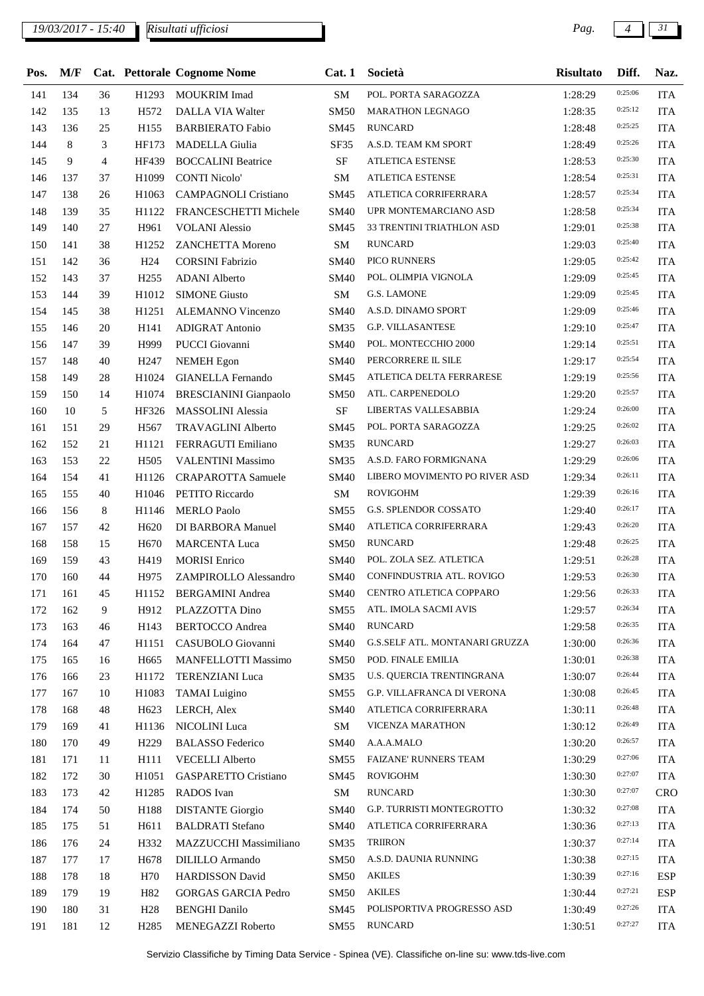# *19/03/2017 - 15:40 Pag. 4 31*

| Pos. | M/F |                |                   | Cat. Pettorale Cognome Nome  | Cat.1       | Società                        | <b>Risultato</b> | Diff.   | Naz.       |
|------|-----|----------------|-------------------|------------------------------|-------------|--------------------------------|------------------|---------|------------|
| 141  | 134 | 36             | H1293             | <b>MOUKRIM</b> Imad          | SM          | POL. PORTA SARAGOZZA           | 1:28:29          | 0:25:06 | <b>ITA</b> |
| 142  | 135 | 13             | H572              | <b>DALLA VIA Walter</b>      | <b>SM50</b> | MARATHON LEGNAGO               | 1:28:35          | 0:25:12 | <b>ITA</b> |
| 143  | 136 | 25             | H155              | <b>BARBIERATO Fabio</b>      | SM45        | <b>RUNCARD</b>                 | 1:28:48          | 0:25:25 | <b>ITA</b> |
| 144  | 8   | 3              | HF173             | <b>MADELLA</b> Giulia        | SF35        | A.S.D. TEAM KM SPORT           | 1:28:49          | 0:25:26 | <b>ITA</b> |
| 145  | 9   | $\overline{4}$ | HF439             | <b>BOCCALINI Beatrice</b>    | $\rm SF$    | <b>ATLETICA ESTENSE</b>        | 1:28:53          | 0:25:30 | <b>ITA</b> |
| 146  | 137 | 37             | H1099             | <b>CONTI Nicolo'</b>         | SM          | ATLETICA ESTENSE               | 1:28:54          | 0:25:31 | <b>ITA</b> |
| 147  | 138 | 26             | H1063             | CAMPAGNOLI Cristiano         | SM45        | ATLETICA CORRIFERRARA          | 1:28:57          | 0:25:34 | <b>ITA</b> |
| 148  | 139 | 35             | H1122             | FRANCESCHETTI Michele        | <b>SM40</b> | UPR MONTEMARCIANO ASD          | 1:28:58          | 0:25:34 | <b>ITA</b> |
| 149  | 140 | 27             | H961              | <b>VOLANI</b> Alessio        | SM45        | 33 TRENTINI TRIATHLON ASD      | 1:29:01          | 0:25:38 | <b>ITA</b> |
| 150  | 141 | 38             | H1252             | <b>ZANCHETTA Moreno</b>      | ${\bf SM}$  | <b>RUNCARD</b>                 | 1:29:03          | 0:25:40 | <b>ITA</b> |
| 151  | 142 | 36             | H <sub>24</sub>   | <b>CORSINI Fabrizio</b>      | SM40        | PICO RUNNERS                   | 1:29:05          | 0:25:42 | <b>ITA</b> |
| 152  | 143 | 37             | H <sub>255</sub>  | <b>ADANI</b> Alberto         | SM40        | POL. OLIMPIA VIGNOLA           | 1:29:09          | 0:25:45 | <b>ITA</b> |
| 153  | 144 | 39             | H1012             | <b>SIMONE Giusto</b>         | ${\bf SM}$  | <b>G.S. LAMONE</b>             | 1:29:09          | 0:25:45 | <b>ITA</b> |
| 154  | 145 | 38             | H1251             | <b>ALEMANNO Vincenzo</b>     | SM40        | A.S.D. DINAMO SPORT            | 1:29:09          | 0:25:46 | <b>ITA</b> |
| 155  | 146 | 20             | H141              | <b>ADIGRAT Antonio</b>       | SM35        | <b>G.P. VILLASANTESE</b>       | 1:29:10          | 0:25:47 | <b>ITA</b> |
| 156  | 147 | 39             | H999              | PUCCI Giovanni               | SM40        | POL. MONTECCHIO 2000           | 1:29:14          | 0:25:51 | <b>ITA</b> |
| 157  | 148 | 40             | H <sub>247</sub>  | <b>NEMEH</b> Egon            | SM40        | PERCORRERE IL SILE             | 1:29:17          | 0:25:54 | <b>ITA</b> |
| 158  | 149 | 28             | H1024             | <b>GIANELLA Fernando</b>     | SM45        | ATLETICA DELTA FERRARESE       | 1:29:19          | 0:25:56 | <b>ITA</b> |
| 159  | 150 | 14             | H1074             | <b>BRESCIANINI</b> Gianpaolo | <b>SM50</b> | ATL. CARPENEDOLO               | 1:29:20          | 0:25:57 | <b>ITA</b> |
| 160  | 10  | 5              | HF326             | <b>MASSOLINI</b> Alessia     | $\rm{SF}$   | LIBERTAS VALLESABBIA           | 1:29:24          | 0:26:00 | <b>ITA</b> |
| 161  | 151 | 29             | H <sub>567</sub>  | TRAVAGLINI Alberto           | SM45        | POL. PORTA SARAGOZZA           | 1:29:25          | 0:26:02 | <b>ITA</b> |
| 162  | 152 | 21             | H1121             | FERRAGUTI Emiliano           | <b>SM35</b> | <b>RUNCARD</b>                 | 1:29:27          | 0:26:03 | <b>ITA</b> |
| 163  | 153 | 22             | H <sub>505</sub>  | <b>VALENTINI Massimo</b>     | SM35        | A.S.D. FARO FORMIGNANA         | 1:29:29          | 0:26:06 | <b>ITA</b> |
| 164  | 154 | 41             | H1126             | <b>CRAPAROTTA Samuele</b>    | SM40        | LIBERO MOVIMENTO PO RIVER ASD  | 1:29:34          | 0:26:11 | <b>ITA</b> |
| 165  | 155 | 40             | H1046             | PETITO Riccardo              | SM          | <b>ROVIGOHM</b>                | 1:29:39          | 0:26:16 | <b>ITA</b> |
| 166  | 156 | 8              | H1146             | <b>MERLO Paolo</b>           | SM55        | G.S. SPLENDOR COSSATO          | 1:29:40          | 0:26:17 | <b>ITA</b> |
| 167  | 157 | 42             | H620              | DI BARBORA Manuel            | SM40        | ATLETICA CORRIFERRARA          | 1:29:43          | 0:26:20 | <b>ITA</b> |
| 168  | 158 | 15             | H <sub>670</sub>  | <b>MARCENTA Luca</b>         | <b>SM50</b> | <b>RUNCARD</b>                 | 1:29:48          | 0:26:25 | <b>ITA</b> |
| 169  | 159 | 43             | H419              | <b>MORISI</b> Enrico         | <b>SM40</b> | POL. ZOLA SEZ. ATLETICA        | 1:29:51          | 0:26:28 | <b>ITA</b> |
| 170  | 160 | 44             | H975              | ZAMPIROLLO Alessandro        | <b>SM40</b> | CONFINDUSTRIA ATL. ROVIGO      | 1:29:53          | 0:26:30 | <b>ITA</b> |
| 171  | 161 | 45             |                   | H1152 BERGAMINI Andrea       |             | SM40 CENTRO ATLETICA COPPARO   | 1:29:56          | 0:26:33 | <b>ITA</b> |
| 172  | 162 | 9              | H912              | PLAZZOTTA Dino               | SM55        | ATL. IMOLA SACMI AVIS          | 1:29:57          | 0:26:34 | <b>ITA</b> |
| 173  | 163 | 46             | H143              | <b>BERTOCCO</b> Andrea       | SM40        | <b>RUNCARD</b>                 | 1:29:58          | 0:26:35 | <b>ITA</b> |
| 174  | 164 | 47             | H1151             | CASUBOLO Giovanni            | <b>SM40</b> | G.S.SELF ATL. MONTANARI GRUZZA | 1:30:00          | 0:26:36 | <b>ITA</b> |
| 175  | 165 | 16             | H665              | <b>MANFELLOTTI Massimo</b>   | <b>SM50</b> | POD. FINALE EMILIA             | 1:30:01          | 0:26:38 | <b>ITA</b> |
| 176  | 166 | 23             | H1172             | <b>TERENZIANI Luca</b>       | SM35        | U.S. QUERCIA TRENTINGRANA      | 1:30:07          | 0:26:44 | <b>ITA</b> |
| 177  | 167 | 10             | H1083             | <b>TAMAI</b> Luigino         | SM55        | G.P. VILLAFRANCA DI VERONA     | 1:30:08          | 0:26:45 | <b>ITA</b> |
| 178  | 168 | 48             | H <sub>623</sub>  | LERCH, Alex                  | SM40        | ATLETICA CORRIFERRARA          | 1:30:11          | 0:26:48 | <b>ITA</b> |
| 179  | 169 | 41             | H1136             | NICOLINI Luca                | ${\bf SM}$  | VICENZA MARATHON               | 1:30:12          | 0:26:49 | <b>ITA</b> |
| 180  | 170 | 49             | H <sub>229</sub>  | <b>BALASSO Federico</b>      | SM40        | A.A.A.MALO                     | 1:30:20          | 0:26:57 | <b>ITA</b> |
| 181  | 171 | 11             | H111              | <b>VECELLI Alberto</b>       | SM55        | FAIZANE' RUNNERS TEAM          | 1:30:29          | 0:27:06 | <b>ITA</b> |
| 182  | 172 | 30             | H1051             | GASPARETTO Cristiano         | SM45        | <b>ROVIGOHM</b>                | 1:30:30          | 0:27:07 | <b>ITA</b> |
| 183  | 173 | 42             | H <sub>1285</sub> | RADOS Ivan                   | ${\bf SM}$  | <b>RUNCARD</b>                 | 1:30:30          | 0:27:07 | <b>CRO</b> |
| 184  | 174 | 50             | H188              | <b>DISTANTE Giorgio</b>      | SM40        | G.P. TURRISTI MONTEGROTTO      | 1:30:32          | 0:27:08 | <b>ITA</b> |
| 185  | 175 | 51             | H611              | <b>BALDRATI</b> Stefano      | SM40        | ATLETICA CORRIFERRARA          | 1:30:36          | 0:27:13 | <b>ITA</b> |
| 186  | 176 | 24             | H332              | MAZZUCCHI Massimiliano       | SM35        | <b>TRIIRON</b>                 | 1:30:37          | 0:27:14 | <b>ITA</b> |
| 187  | 177 | 17             | H <sub>678</sub>  | <b>DILILLO</b> Armando       | <b>SM50</b> | A.S.D. DAUNIA RUNNING          | 1:30:38          | 0:27:15 | <b>ITA</b> |
| 188  | 178 | 18             | H70               | HARDISSON David              | <b>SM50</b> | <b>AKILES</b>                  | 1:30:39          | 0:27:16 | <b>ESP</b> |
| 189  | 179 | 19             | H82               | <b>GORGAS GARCIA Pedro</b>   | SM50        | <b>AKILES</b>                  | 1:30:44          | 0:27:21 | <b>ESP</b> |
| 190  | 180 | 31             | H <sub>28</sub>   | <b>BENGHI</b> Danilo         | SM45        | POLISPORTIVA PROGRESSO ASD     | 1:30:49          | 0:27:26 | <b>ITA</b> |
| 191  | 181 | 12             | H <sub>2</sub> 85 | MENEGAZZI Roberto            | SM55        | <b>RUNCARD</b>                 | 1:30:51          | 0:27:27 | <b>ITA</b> |
|      |     |                |                   |                              |             |                                |                  |         |            |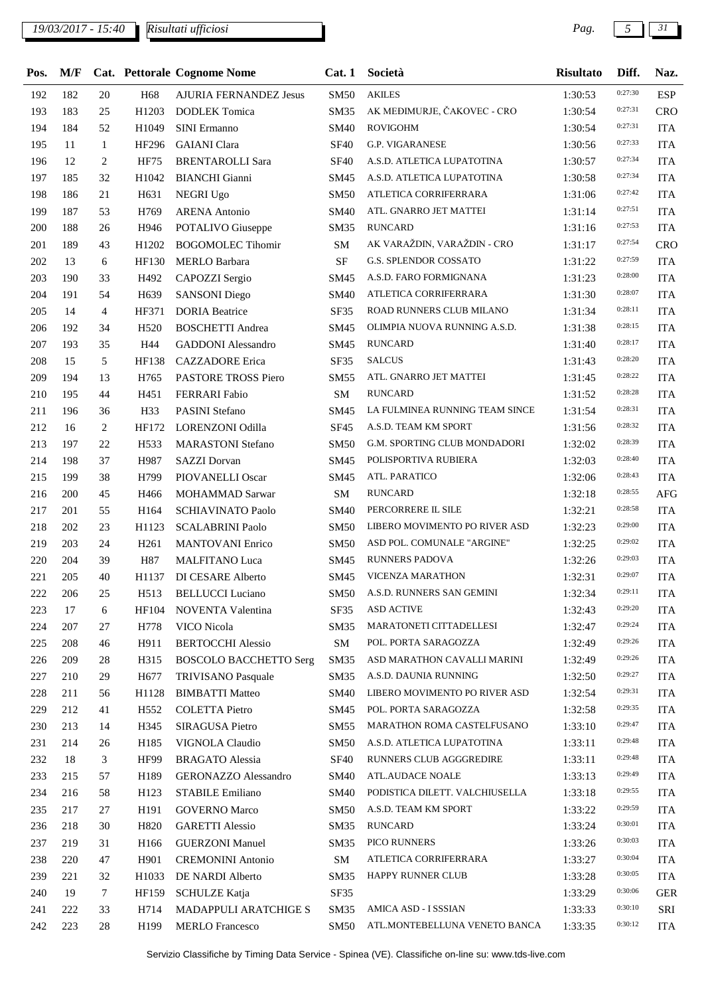| Pos. | M/F |                |                  | Cat. Pettorale Cognome Nome   | Cat.1       | Società                        | <b>Risultato</b> | Diff.   | Naz.       |
|------|-----|----------------|------------------|-------------------------------|-------------|--------------------------------|------------------|---------|------------|
| 192  | 182 | 20             | H <sub>68</sub>  | <b>AJURIA FERNANDEZ Jesus</b> | <b>SM50</b> | <b>AKILES</b>                  | 1:30:53          | 0:27:30 | <b>ESP</b> |
| 193  | 183 | 25             | H1203            | <b>DODLEK</b> Tomica          | <b>SM35</b> | AK MEĐIMURJE, ČAKOVEC - CRO    | 1:30:54          | 0:27:31 | CRO        |
| 194  | 184 | 52             | H1049            | SINI Ermanno                  | <b>SM40</b> | <b>ROVIGOHM</b>                | 1:30:54          | 0:27:31 | <b>ITA</b> |
| 195  | 11  | $\mathbf{1}$   | HF296            | <b>GAIANI</b> Clara           | <b>SF40</b> | <b>G.P. VIGARANESE</b>         | 1:30:56          | 0:27:33 | <b>ITA</b> |
| 196  | 12  | 2              | <b>HF75</b>      | <b>BRENTAROLLI Sara</b>       | <b>SF40</b> | A.S.D. ATLETICA LUPATOTINA     | 1:30:57          | 0:27:34 | <b>ITA</b> |
| 197  | 185 | 32             | H1042            | <b>BIANCHI</b> Gianni         | SM45        | A.S.D. ATLETICA LUPATOTINA     | 1:30:58          | 0:27:34 | <b>ITA</b> |
| 198  | 186 | 21             | H631             | <b>NEGRI Ugo</b>              | <b>SM50</b> | ATLETICA CORRIFERRARA          | 1:31:06          | 0:27:42 | <b>ITA</b> |
| 199  | 187 | 53             | H769             | <b>ARENA</b> Antonio          | <b>SM40</b> | ATL. GNARRO JET MATTEI         | 1:31:14          | 0:27:51 | <b>ITA</b> |
| 200  | 188 | 26             | H946             | POTALIVO Giuseppe             | SM35        | <b>RUNCARD</b>                 | 1:31:16          | 0:27:53 | <b>ITA</b> |
| 201  | 189 | 43             | H1202            | <b>BOGOMOLEC Tihomir</b>      | SM          | AK VARAŽDIN, VARAŽDIN - CRO    | 1:31:17          | 0:27:54 | CRO        |
| 202  | 13  | 6              | HF130            | MERLO Barbara                 | SF          | G.S. SPLENDOR COSSATO          | 1:31:22          | 0:27:59 | <b>ITA</b> |
| 203  | 190 | 33             | H492             | CAPOZZI Sergio                | SM45        | A.S.D. FARO FORMIGNANA         | 1:31:23          | 0:28:00 | <b>ITA</b> |
| 204  | 191 | 54             | H639             | <b>SANSONI Diego</b>          | <b>SM40</b> | ATLETICA CORRIFERRARA          | 1:31:30          | 0:28:07 | <b>ITA</b> |
| 205  | 14  | $\overline{4}$ | HF371            | <b>DORIA</b> Beatrice         | SF35        | ROAD RUNNERS CLUB MILANO       | 1:31:34          | 0:28:11 | <b>ITA</b> |
| 206  | 192 | 34             | H <sub>520</sub> | <b>BOSCHETTI Andrea</b>       | SM45        | OLIMPIA NUOVA RUNNING A.S.D.   | 1:31:38          | 0:28:15 | <b>ITA</b> |
| 207  | 193 | 35             | H44              | <b>GADDONI</b> Alessandro     | SM45        | <b>RUNCARD</b>                 | 1:31:40          | 0:28:17 | <b>ITA</b> |
| 208  | 15  | 5              | HF138            | <b>CAZZADORE</b> Erica        | SF35        | <b>SALCUS</b>                  | 1:31:43          | 0:28:20 | <b>ITA</b> |
| 209  | 194 | 13             | H765             | PASTORE TROSS Piero           | <b>SM55</b> | ATL. GNARRO JET MATTEI         | 1:31:45          | 0:28:22 | <b>ITA</b> |
| 210  | 195 | 44             | H451             | FERRARI Fabio                 | SM          | <b>RUNCARD</b>                 | 1:31:52          | 0:28:28 | <b>ITA</b> |
| 211  | 196 | 36             | H33              | PASINI Stefano                | <b>SM45</b> | LA FULMINEA RUNNING TEAM SINCE | 1:31:54          | 0:28:31 | <b>ITA</b> |
| 212  | 16  | 2              | HF172            | LORENZONI Odilla              | SF45        | A.S.D. TEAM KM SPORT           | 1:31:56          | 0:28:32 | <b>ITA</b> |
| 213  | 197 | 22             | H533             | <b>MARASTONI</b> Stefano      | <b>SM50</b> | G.M. SPORTING CLUB MONDADORI   | 1:32:02          | 0:28:39 | <b>ITA</b> |
| 214  | 198 | 37             | H987             | <b>SAZZI</b> Dorvan           | SM45        | POLISPORTIVA RUBIERA           | 1:32:03          | 0:28:40 | <b>ITA</b> |
| 215  | 199 | 38             | H799             | PIOVANELLI Oscar              | SM45        | ATL. PARATICO                  | 1:32:06          | 0:28:43 | <b>ITA</b> |
| 216  | 200 | 45             | H466             | MOHAMMAD Sarwar               | SM          | <b>RUNCARD</b>                 | 1:32:18          | 0:28:55 | AFG        |
| 217  | 201 | 55             | H164             | <b>SCHIAVINATO Paolo</b>      | <b>SM40</b> | PERCORRERE IL SILE             | 1:32:21          | 0:28:58 | <b>ITA</b> |
| 218  | 202 | 23             | H1123            | <b>SCALABRINI Paolo</b>       | <b>SM50</b> | LIBERO MOVIMENTO PO RIVER ASD  | 1:32:23          | 0:29:00 | <b>ITA</b> |
| 219  | 203 | 24             | H <sub>261</sub> | <b>MANTOVANI Enrico</b>       | <b>SM50</b> | ASD POL. COMUNALE "ARGINE"     | 1:32:25          | 0:29:02 | <b>ITA</b> |
| 220  | 204 | 39             | H87              | MALFITANO Luca                | SM45        | <b>RUNNERS PADOVA</b>          | 1:32:26          | 0:29:03 | <b>ITA</b> |
| 221  | 205 | 40             | H1137            | DI CESARE Alberto             | SM45        | VICENZA MARATHON               | 1:32:31          | 0:29:07 | <b>ITA</b> |
| 222  | 206 | 25             |                  | H513 BELLUCCI Luciano         |             | SM50 A.S.D. RUNNERS SAN GEMINI | 1:32:34          | 0:29:11 | <b>ITA</b> |
| 223  | 17  | 6              |                  | HF104 NOVENTA Valentina       | SF35        | <b>ASD ACTIVE</b>              | 1:32:43          | 0:29:20 | <b>ITA</b> |
| 224  | 207 | 27             | H778             | VICO Nicola                   | SM35        | MARATONETI CITTADELLESI        | 1:32:47          | 0:29:24 | <b>ITA</b> |
| 225  | 208 | 46             | H911             | <b>BERTOCCHI Alessio</b>      | SM          | POL. PORTA SARAGOZZA           | 1:32:49          | 0:29:26 | <b>ITA</b> |
| 226  | 209 | 28             | H315             | <b>BOSCOLO BACCHETTO Serg</b> | SM35        | ASD MARATHON CAVALLI MARINI    | 1:32:49          | 0:29:26 | <b>ITA</b> |
| 227  | 210 | 29             | H677             | <b>TRIVISANO Pasquale</b>     | SM35        | A.S.D. DAUNIA RUNNING          | 1:32:50          | 0:29:27 | <b>ITA</b> |
| 228  | 211 | 56             | H1128            | <b>BIMBATTI Matteo</b>        | <b>SM40</b> | LIBERO MOVIMENTO PO RIVER ASD  | 1:32:54          | 0:29:31 | <b>ITA</b> |
| 229  | 212 | 41             | H <sub>552</sub> | <b>COLETTA Pietro</b>         | SM45        | POL. PORTA SARAGOZZA           | 1:32:58          | 0:29:35 | <b>ITA</b> |
| 230  | 213 | 14             | H345             | SIRAGUSA Pietro               | SM55        | MARATHON ROMA CASTELFUSANO     | 1:33:10          | 0:29:47 | <b>ITA</b> |
| 231  | 214 | 26             | H185             | VIGNOLA Claudio               | <b>SM50</b> | A.S.D. ATLETICA LUPATOTINA     | 1:33:11          | 0:29:48 | <b>ITA</b> |
| 232  | 18  | 3              | HF99             | <b>BRAGATO</b> Alessia        | <b>SF40</b> | RUNNERS CLUB AGGGREDIRE        | 1:33:11          | 0:29:48 | <b>ITA</b> |
| 233  | 215 | 57             | H189             | GERONAZZO Alessandro          | <b>SM40</b> | ATL.AUDACE NOALE               | 1:33:13          | 0:29:49 | <b>ITA</b> |
| 234  | 216 | 58             | H123             | <b>STABILE Emiliano</b>       | <b>SM40</b> | PODISTICA DILETT. VALCHIUSELLA | 1:33:18          | 0:29:55 | <b>ITA</b> |
| 235  | 217 | 27             | H <sub>191</sub> | <b>GOVERNO Marco</b>          | <b>SM50</b> | A.S.D. TEAM KM SPORT           | 1:33:22          | 0:29:59 | <b>ITA</b> |
| 236  | 218 | 30             | H820             | <b>GARETTI Alessio</b>        | SM35        | <b>RUNCARD</b>                 | 1:33:24          | 0:30:01 | <b>ITA</b> |
| 237  | 219 | 31             | H166             | <b>GUERZONI Manuel</b>        | SM35        | PICO RUNNERS                   | 1:33:26          | 0:30:03 | <b>ITA</b> |
| 238  | 220 | 47             | H901             | <b>CREMONINI</b> Antonio      | SM          | ATLETICA CORRIFERRARA          | 1:33:27          | 0:30:04 | <b>ITA</b> |
| 239  | 221 | 32             | H1033            | DE NARDI Alberto              | SM35        | HAPPY RUNNER CLUB              | 1:33:28          | 0:30:05 | <b>ITA</b> |
| 240  | 19  | 7              | HF159            | <b>SCHULZE Katja</b>          | SF35        |                                | 1:33:29          | 0:30:06 | <b>GER</b> |
| 241  | 222 | 33             | H714             | MADAPPULI ARATCHIGE S         | SM35        | AMICA ASD - I SSSIAN           | 1:33:33          | 0:30:10 | SRI        |
| 242  | 223 | 28             | H <sub>199</sub> | <b>MERLO</b> Francesco        | <b>SM50</b> | ATL.MONTEBELLUNA VENETO BANCA  | 1:33:35          | 0:30:12 | <b>ITA</b> |
|      |     |                |                  |                               |             |                                |                  |         |            |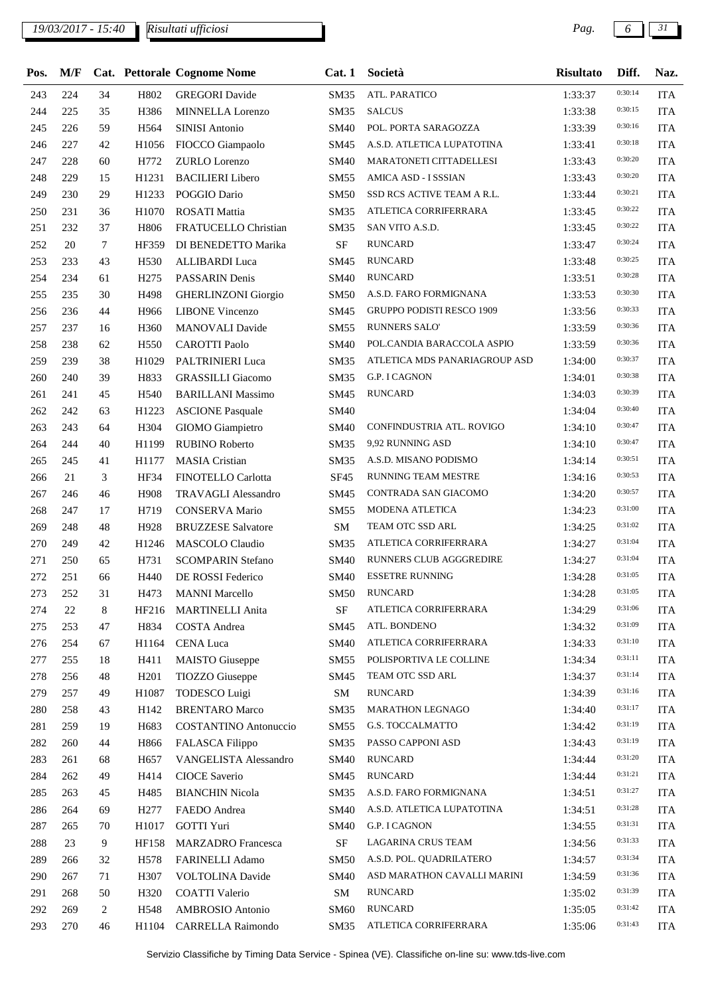# *19/03/2017 - 15:40 Pag. 6 31*

| Pos. | M/F |    |                  | Cat. Pettorale Cognome Nome  | Cat.1            | Società                          | <b>Risultato</b> | Diff.   | Naz.       |
|------|-----|----|------------------|------------------------------|------------------|----------------------------------|------------------|---------|------------|
| 243  | 224 | 34 | H802             | <b>GREGORI</b> Davide        | <b>SM35</b>      | ATL. PARATICO                    | 1:33:37          | 0:30:14 | <b>ITA</b> |
| 244  | 225 | 35 | H386             | MINNELLA Lorenzo             | SM35             | <b>SALCUS</b>                    | 1:33:38          | 0:30:15 | <b>ITA</b> |
| 245  | 226 | 59 | H564             | <b>SINISI Antonio</b>        | <b>SM40</b>      | POL. PORTA SARAGOZZA             | 1:33:39          | 0:30:16 | <b>ITA</b> |
| 246  | 227 | 42 | H1056            | FIOCCO Giampaolo             | SM45             | A.S.D. ATLETICA LUPATOTINA       | 1:33:41          | 0:30:18 | <b>ITA</b> |
| 247  | 228 | 60 | H772             | ZURLO Lorenzo                | <b>SM40</b>      | MARATONETI CITTADELLESI          | 1:33:43          | 0:30:20 | <b>ITA</b> |
| 248  | 229 | 15 | H1231            | <b>BACILIERI</b> Libero      | <b>SM55</b>      | AMICA ASD - I SSSIAN             | 1:33:43          | 0:30:20 | <b>ITA</b> |
| 249  | 230 | 29 | H1233            | POGGIO Dario                 | <b>SM50</b>      | SSD RCS ACTIVE TEAM A R.L.       | 1:33:44          | 0:30:21 | <b>ITA</b> |
| 250  | 231 | 36 | H1070            | <b>ROSATI Mattia</b>         | <b>SM35</b>      | ATLETICA CORRIFERRARA            | 1:33:45          | 0:30:22 | <b>ITA</b> |
| 251  | 232 | 37 | H806             | FRATUCELLO Christian         | SM35             | SAN VITO A.S.D.                  | 1:33:45          | 0:30:22 | <b>ITA</b> |
| 252  | 20  | 7  | HF359            | DI BENEDETTO Marika          | $\rm SF$         | <b>RUNCARD</b>                   | 1:33:47          | 0:30:24 | <b>ITA</b> |
| 253  | 233 | 43 | H <sub>530</sub> | <b>ALLIBARDI Luca</b>        | SM45             | <b>RUNCARD</b>                   | 1:33:48          | 0:30:25 | <b>ITA</b> |
| 254  | 234 | 61 | H <sub>275</sub> | PASSARIN Denis               | <b>SM40</b>      | <b>RUNCARD</b>                   | 1:33:51          | 0:30:28 | <b>ITA</b> |
| 255  | 235 | 30 | H498             | <b>GHERLINZONI</b> Giorgio   | <b>SM50</b>      | A.S.D. FARO FORMIGNANA           | 1:33:53          | 0:30:30 | <b>ITA</b> |
| 256  | 236 | 44 | H966             | <b>LIBONE</b> Vincenzo       | SM45             | <b>GRUPPO PODISTI RESCO 1909</b> | 1:33:56          | 0:30:33 | <b>ITA</b> |
| 257  | 237 | 16 | H360             | <b>MANOVALI</b> Davide       | SM55             | RUNNERS SALO'                    | 1:33:59          | 0:30:36 | <b>ITA</b> |
| 258  | 238 | 62 | H <sub>550</sub> | <b>CAROTTI Paolo</b>         | <b>SM40</b>      | POL.CANDIA BARACCOLA ASPIO       | 1:33:59          | 0:30:36 | <b>ITA</b> |
| 259  | 239 | 38 | H1029            | PALTRINIERI Luca             | SM <sub>35</sub> | ATLETICA MDS PANARIAGROUP ASD    | 1:34:00          | 0:30:37 | <b>ITA</b> |
| 260  | 240 | 39 | H833             | <b>GRASSILLI</b> Giacomo     | <b>SM35</b>      | G.P. I CAGNON                    | 1:34:01          | 0:30:38 | <b>ITA</b> |
| 261  | 241 | 45 | H540             | <b>BARILLANI Massimo</b>     | SM45             | <b>RUNCARD</b>                   | 1:34:03          | 0:30:39 | <b>ITA</b> |
| 262  | 242 | 63 | H1223            | <b>ASCIONE Pasquale</b>      | <b>SM40</b>      |                                  | 1:34:04          | 0:30:40 | <b>ITA</b> |
| 263  | 243 | 64 | H304             | GIOMO Giampietro             | <b>SM40</b>      | CONFINDUSTRIA ATL. ROVIGO        | 1:34:10          | 0:30:47 | <b>ITA</b> |
| 264  | 244 | 40 | H1199            | <b>RUBINO Roberto</b>        | <b>SM35</b>      | 9,92 RUNNING ASD                 | 1:34:10          | 0:30:47 | <b>ITA</b> |
| 265  | 245 | 41 | H1177            | <b>MASIA</b> Cristian        | SM <sub>35</sub> | A.S.D. MISANO PODISMO            | 1:34:14          | 0:30:51 | <b>ITA</b> |
| 266  | 21  | 3  | HF34             | FINOTELLO Carlotta           | SF45             | RUNNING TEAM MESTRE              | 1:34:16          | 0:30:53 | <b>ITA</b> |
| 267  | 246 | 46 | H <sub>908</sub> | TRAVAGLI Alessandro          | SM45             | CONTRADA SAN GIACOMO             | 1:34:20          | 0:30:57 | <b>ITA</b> |
| 268  | 247 | 17 | H719             | <b>CONSERVA Mario</b>        | SM55             | MODENA ATLETICA                  | 1:34:23          | 0:31:00 | <b>ITA</b> |
| 269  | 248 | 48 | H928             | <b>BRUZZESE Salvatore</b>    | SM               | TEAM OTC SSD ARL                 | 1:34:25          | 0:31:02 | <b>ITA</b> |
| 270  | 249 | 42 | H1246            | MASCOLO Claudio              | SM35             | ATLETICA CORRIFERRARA            | 1:34:27          | 0:31:04 | <b>ITA</b> |
| 271  | 250 | 65 | H731             | <b>SCOMPARIN Stefano</b>     | <b>SM40</b>      | RUNNERS CLUB AGGGREDIRE          | 1:34:27          | 0:31:04 | <b>ITA</b> |
| 272  | 251 | 66 | H440             | DE ROSSI Federico            | <b>SM40</b>      | <b>ESSETRE RUNNING</b>           | 1:34:28          | 0:31:05 | <b>ITA</b> |
| 273  | 252 | 31 |                  | H473 MANNI Marcello          |                  | SM50 RUNCARD                     | 1:34:28          | 0:31:05 | <b>ITA</b> |
| 274  | 22  | 8  | HF216            | <b>MARTINELLI Anita</b>      | $\rm SF$         | ATLETICA CORRIFERRARA            | 1:34:29          | 0:31:06 | <b>ITA</b> |
| 275  | 253 | 47 | H834             | COSTA Andrea                 | SM45             | ATL. BONDENO                     | 1:34:32          | 0:31:09 | <b>ITA</b> |
| 276  | 254 | 67 | H1164            | CENA Luca                    | <b>SM40</b>      | ATLETICA CORRIFERRARA            | 1:34:33          | 0:31:10 | <b>ITA</b> |
| 277  | 255 | 18 | H411             | <b>MAISTO</b> Giuseppe       | SM55             | POLISPORTIVA LE COLLINE          | 1:34:34          | 0:31:11 | <b>ITA</b> |
| 278  | 256 | 48 | H <sub>201</sub> | TIOZZO Giuseppe              | SM45             | TEAM OTC SSD ARL                 | 1:34:37          | 0:31:14 | <b>ITA</b> |
| 279  | 257 | 49 | H1087            | TODESCO Luigi                | SM               | <b>RUNCARD</b>                   | 1:34:39          | 0:31:16 | <b>ITA</b> |
| 280  | 258 | 43 | H <sub>142</sub> | <b>BRENTARO Marco</b>        | SM <sub>35</sub> | MARATHON LEGNAGO                 | 1:34:40          | 0:31:17 | <b>ITA</b> |
| 281  | 259 | 19 | H683             | <b>COSTANTINO</b> Antonuccio | SM55             | <b>G.S. TOCCALMATTO</b>          | 1:34:42          | 0:31:19 | <b>ITA</b> |
| 282  | 260 | 44 | H866             | FALASCA Filippo              | SM35             | PASSO CAPPONI ASD                | 1:34:43          | 0:31:19 | <b>ITA</b> |
| 283  | 261 | 68 | H657             | VANGELISTA Alessandro        | <b>SM40</b>      | <b>RUNCARD</b>                   | 1:34:44          | 0:31:20 | <b>ITA</b> |
| 284  | 262 | 49 | H414             | CIOCE Saverio                | SM45             | <b>RUNCARD</b>                   | 1:34:44          | 0:31:21 | <b>ITA</b> |
| 285  | 263 | 45 | H485             | <b>BIANCHIN Nicola</b>       | SM35             | A.S.D. FARO FORMIGNANA           | 1:34:51          | 0:31:27 | <b>ITA</b> |
| 286  | 264 | 69 | H <sub>277</sub> | FAEDO Andrea                 | <b>SM40</b>      | A.S.D. ATLETICA LUPATOTINA       | 1:34:51          | 0:31:28 | <b>ITA</b> |
| 287  | 265 | 70 | H1017            | GOTTI Yuri                   | <b>SM40</b>      | G.P. I CAGNON                    | 1:34:55          | 0:31:31 | <b>ITA</b> |
| 288  | 23  | 9  | HF158            | <b>MARZADRO</b> Francesca    | $\rm{SF}$        | LAGARINA CRUS TEAM               | 1:34:56          | 0:31:33 | <b>ITA</b> |
| 289  | 266 | 32 | H <sub>578</sub> | FARINELLI Adamo              | <b>SM50</b>      | A.S.D. POL. QUADRILATERO         | 1:34:57          | 0:31:34 | <b>ITA</b> |
| 290  | 267 | 71 | H307             | VOLTOLINA Davide             | <b>SM40</b>      | ASD MARATHON CAVALLI MARINI      | 1:34:59          | 0:31:36 | <b>ITA</b> |
| 291  | 268 | 50 | H320             | <b>COATTI Valerio</b>        | SM               | <b>RUNCARD</b>                   | 1:35:02          | 0:31:39 | <b>ITA</b> |
| 292  | 269 | 2  | H548             | AMBROSIO Antonio             | <b>SM60</b>      | <b>RUNCARD</b>                   | 1:35:05          | 0:31:42 | <b>ITA</b> |
| 293  | 270 | 46 | H1104            | CARRELLA Raimondo            | SM35             | ATLETICA CORRIFERRARA            | 1:35:06          | 0:31:43 | <b>ITA</b> |
|      |     |    |                  |                              |                  |                                  |                  |         |            |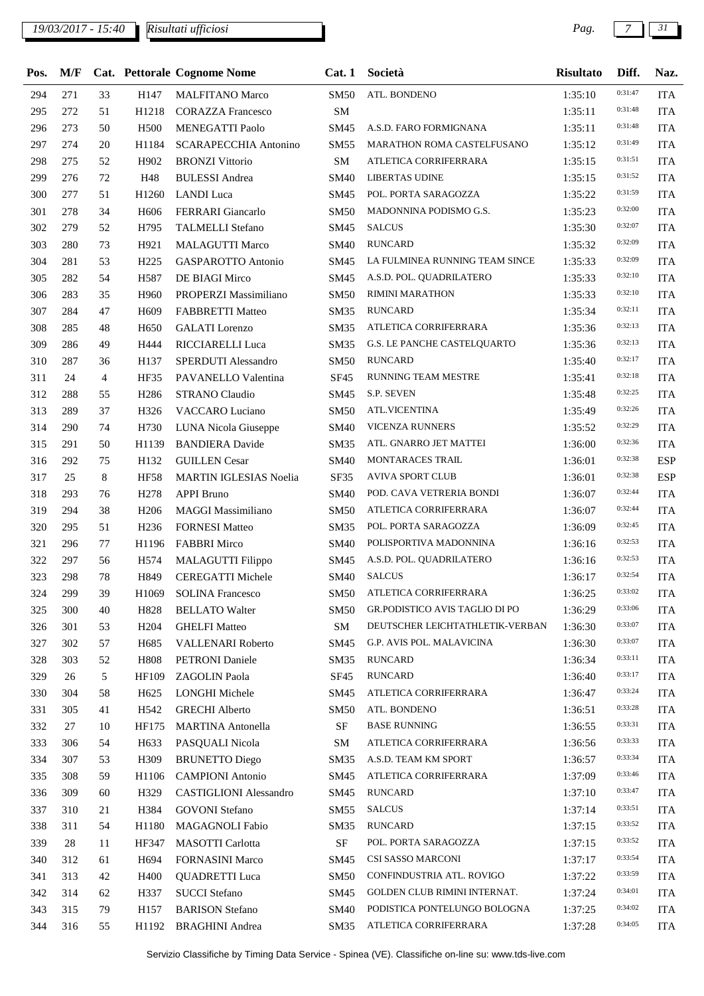# *19/03/2017 - 15:40 Pag. 7 31*

| Pos. | M/F |    |                                      | Cat. Pettorale Cognome Nome   | Cat.1            | Società                         | <b>Risultato</b>   | Diff.   | Naz.       |
|------|-----|----|--------------------------------------|-------------------------------|------------------|---------------------------------|--------------------|---------|------------|
| 294  | 271 | 33 | H147                                 | <b>MALFITANO Marco</b>        | SM50             | ATL. BONDENO                    | 1:35:10            | 0:31:47 | <b>ITA</b> |
| 295  | 272 | 51 | H1218                                | <b>CORAZZA Francesco</b>      | ${\bf SM}$       |                                 | 1:35:11            | 0:31:48 | <b>ITA</b> |
| 296  | 273 | 50 | H500                                 | <b>MENEGATTI Paolo</b>        | SM45             | A.S.D. FARO FORMIGNANA          | 1:35:11            | 0:31:48 | <b>ITA</b> |
| 297  | 274 | 20 | H1184                                | SCARAPECCHIA Antonino         | SM55             | MARATHON ROMA CASTELFUSANO      | 1:35:12            | 0:31:49 | <b>ITA</b> |
| 298  | 275 | 52 | H902                                 | <b>BRONZI Vittorio</b>        | SM               | ATLETICA CORRIFERRARA           | 1:35:15            | 0:31:51 | <b>ITA</b> |
| 299  | 276 | 72 | H48                                  | <b>BULESSI</b> Andrea         | <b>SM40</b>      | <b>LIBERTAS UDINE</b>           | 1:35:15            | 0:31:52 | <b>ITA</b> |
| 300  | 277 | 51 | H1260                                | <b>LANDI</b> Luca             | SM45             | POL. PORTA SARAGOZZA            | 1:35:22            | 0:31:59 | <b>ITA</b> |
| 301  | 278 | 34 | H <sub>606</sub>                     | <b>FERRARI</b> Giancarlo      | <b>SM50</b>      | MADONNINA PODISMO G.S.          | 1:35:23            | 0:32:00 | <b>ITA</b> |
| 302  | 279 | 52 | H795                                 | <b>TALMELLI Stefano</b>       | SM45             | <b>SALCUS</b>                   | 1:35:30            | 0:32:07 | <b>ITA</b> |
| 303  | 280 | 73 | H921                                 | <b>MALAGUTTI Marco</b>        | SM40             | <b>RUNCARD</b>                  | 1:35:32            | 0:32:09 | <b>ITA</b> |
| 304  | 281 | 53 | H <sub>225</sub>                     | GASPAROTTO Antonio            | SM45             | LA FULMINEA RUNNING TEAM SINCE  | 1:35:33            | 0:32:09 | <b>ITA</b> |
| 305  | 282 | 54 | H <sub>587</sub>                     | DE BIAGI Mirco                | SM45             | A.S.D. POL. QUADRILATERO        | 1:35:33            | 0:32:10 | <b>ITA</b> |
| 306  | 283 | 35 | H <sub>960</sub>                     | PROPERZI Massimiliano         | <b>SM50</b>      | <b>RIMINI MARATHON</b>          | 1:35:33            | 0:32:10 | <b>ITA</b> |
| 307  | 284 | 47 | H <sub>609</sub>                     | <b>FABBRETTI Matteo</b>       | SM35             | <b>RUNCARD</b>                  | 1:35:34            | 0:32:11 | <b>ITA</b> |
| 308  | 285 | 48 | H <sub>650</sub>                     | <b>GALATI</b> Lorenzo         | SM35             | ATLETICA CORRIFERRARA           | 1:35:36            | 0:32:13 | <b>ITA</b> |
| 309  | 286 | 49 | H444                                 | RICCIARELLI Luca              | SM35             | G.S. LE PANCHE CASTELQUARTO     | 1:35:36            | 0:32:13 | <b>ITA</b> |
| 310  | 287 | 36 | H137                                 | SPERDUTI Alessandro           | <b>SM50</b>      | <b>RUNCARD</b>                  | 1:35:40            | 0:32:17 | <b>ITA</b> |
| 311  | 24  | 4  | <b>HF35</b>                          | PAVANELLO Valentina           | <b>SF45</b>      | <b>RUNNING TEAM MESTRE</b>      | 1:35:41            | 0:32:18 | <b>ITA</b> |
| 312  | 288 | 55 | H <sub>286</sub>                     | <b>STRANO</b> Claudio         | SM45             | S.P. SEVEN                      | 1:35:48            | 0:32:25 | <b>ITA</b> |
| 313  | 289 | 37 | H326                                 | VACCARO Luciano               | <b>SM50</b>      | ATL.VICENTINA                   | 1:35:49            | 0:32:26 | <b>ITA</b> |
| 314  | 290 | 74 | H730                                 | LUNA Nicola Giuseppe          | SM40             | <b>VICENZA RUNNERS</b>          | 1:35:52            | 0:32:29 | <b>ITA</b> |
| 315  | 291 | 50 | H1139                                | <b>BANDIERA Davide</b>        | SM35             | ATL. GNARRO JET MATTEI          | 1:36:00            | 0:32:36 | <b>ITA</b> |
| 316  | 292 | 75 | H132                                 | <b>GUILLEN</b> Cesar          | SM40             | MONTARACES TRAIL                | 1:36:01            | 0:32:38 | <b>ESP</b> |
| 317  | 25  | 8  | <b>HF58</b>                          | <b>MARTIN IGLESIAS Noelia</b> | SF35             | <b>AVIVA SPORT CLUB</b>         | 1:36:01            | 0:32:38 | <b>ESP</b> |
| 318  | 293 | 76 | H <sub>278</sub>                     | <b>APPI Bruno</b>             | <b>SM40</b>      | POD. CAVA VETRERIA BONDI        | 1:36:07            | 0:32:44 | <b>ITA</b> |
| 319  | 294 | 38 |                                      | <b>MAGGI Massimiliano</b>     |                  | ATLETICA CORRIFERRARA           |                    | 0:32:44 | <b>ITA</b> |
| 320  | 295 | 51 | H <sub>206</sub><br>H <sub>236</sub> | <b>FORNESI Matteo</b>         | <b>SM50</b>      | POL. PORTA SARAGOZZA            | 1:36:07<br>1:36:09 | 0:32:45 | <b>ITA</b> |
| 321  | 296 | 77 | H1196                                | <b>FABBRI Mirco</b>           | SM35<br>SM40     | POLISPORTIVA MADONNINA          | 1:36:16            | 0:32:53 | <b>ITA</b> |
| 322  | 297 |    |                                      | <b>MALAGUTTI</b> Filippo      |                  | A.S.D. POL. QUADRILATERO        |                    | 0:32:53 | <b>ITA</b> |
|      |     | 56 | H574                                 |                               | SM45             | <b>SALCUS</b>                   | 1:36:16            | 0:32:54 |            |
| 323  | 298 | 78 | H849                                 | <b>CEREGATTI Michele</b>      | SM40             | SM50 ATLETICA CORRIFERRARA      | 1:36:17            | 0:33:02 | <b>ITA</b> |
| 324  | 299 | 39 |                                      | H1069 SOLINA Francesco        |                  | GR.PODISTICO AVIS TAGLIO DI PO  | 1:36:25            | 0:33:06 | <b>ITA</b> |
| 325  | 300 | 40 | H828                                 | <b>BELLATO Walter</b>         | SM50             | DEUTSCHER LEICHTATHLETIK-VERBAN | 1:36:29            | 0:33:07 | <b>ITA</b> |
| 326  | 301 | 53 | H <sub>204</sub>                     | <b>GHELFI</b> Matteo          | ${\bf SM}$       |                                 | 1:36:30            | 0:33:07 | <b>ITA</b> |
| 327  | 302 | 57 | H <sub>685</sub>                     | VALLENARI Roberto             | <b>SM45</b>      | G.P. AVIS POL. MALAVICINA       | 1:36:30            | 0:33:11 | <b>ITA</b> |
| 328  | 303 | 52 | H808                                 | PETRONI Daniele               | SM35             | <b>RUNCARD</b>                  | 1:36:34            | 0:33:17 | <b>ITA</b> |
| 329  | 26  | 5  | HF109                                | <b>ZAGOLIN</b> Paola          | SF <sub>45</sub> | <b>RUNCARD</b>                  | 1:36:40            | 0:33:24 | <b>ITA</b> |
| 330  | 304 | 58 | H <sub>625</sub>                     | LONGHI Michele                | SM45             | ATLETICA CORRIFERRARA           | 1:36:47            | 0:33:28 | <b>ITA</b> |
| 331  | 305 | 41 | H <sub>542</sub>                     | <b>GRECHI</b> Alberto         | <b>SM50</b>      | ATL. BONDENO                    | 1:36:51            |         | <b>ITA</b> |
| 332  | 27  | 10 | <b>HF175</b>                         | <b>MARTINA</b> Antonella      | $\rm SF$         | <b>BASE RUNNING</b>             | 1:36:55            | 0:33:31 | <b>ITA</b> |
| 333  | 306 | 54 | H <sub>6</sub> 33                    | PASQUALI Nicola               | SM               | ATLETICA CORRIFERRARA           | 1:36:56            | 0:33:33 | <b>ITA</b> |
| 334  | 307 | 53 | H309                                 | <b>BRUNETTO Diego</b>         | SM35             | A.S.D. TEAM KM SPORT            | 1:36:57            | 0:33:34 | <b>ITA</b> |
| 335  | 308 | 59 | H1106                                | <b>CAMPIONI</b> Antonio       | SM45             | ATLETICA CORRIFERRARA           | 1:37:09            | 0:33:46 | <b>ITA</b> |
| 336  | 309 | 60 | H329                                 | <b>CASTIGLIONI Alessandro</b> | SM45             | RUNCARD                         | 1:37:10            | 0:33:47 | <b>ITA</b> |
| 337  | 310 | 21 | H384                                 | <b>GOVONI</b> Stefano         | SM55             | <b>SALCUS</b>                   | 1:37:14            | 0:33:51 | <b>ITA</b> |
| 338  | 311 | 54 | H1180                                | MAGAGNOLI Fabio               | SM35             | <b>RUNCARD</b>                  | 1:37:15            | 0:33:52 | <b>ITA</b> |
| 339  | 28  | 11 | HF347                                | <b>MASOTTI Carlotta</b>       | SF               | POL. PORTA SARAGOZZA            | 1:37:15            | 0:33:52 | <b>ITA</b> |
| 340  | 312 | 61 | H694                                 | <b>FORNASINI Marco</b>        | SM45             | CSI SASSO MARCONI               | 1:37:17            | 0:33:54 | <b>ITA</b> |
| 341  | 313 | 42 | H400                                 | <b>QUADRETTI</b> Luca         | <b>SM50</b>      | CONFINDUSTRIA ATL. ROVIGO       | 1:37:22            | 0:33:59 | <b>ITA</b> |
| 342  | 314 | 62 | H337                                 | <b>SUCCI</b> Stefano          | SM45             | GOLDEN CLUB RIMINI INTERNAT.    | 1:37:24            | 0:34:01 | <b>ITA</b> |
| 343  | 315 | 79 | H157                                 | <b>BARISON</b> Stefano        | <b>SM40</b>      | PODISTICA PONTELUNGO BOLOGNA    | 1:37:25            | 0:34:02 | <b>ITA</b> |
| 344  | 316 | 55 | H1192                                | <b>BRAGHINI</b> Andrea        | SM35             | ATLETICA CORRIFERRARA           | 1:37:28            | 0:34:05 | <b>ITA</b> |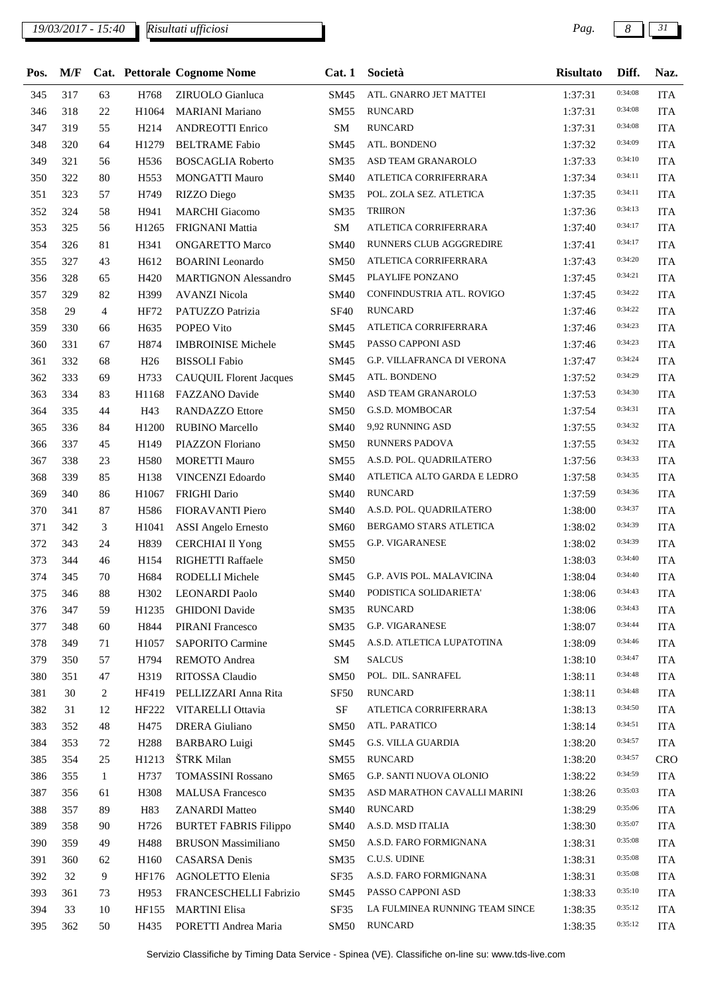# *19/03/2017 - 15:40 Pag. 8 31*

| Pos. | M/F |                |                   | Cat. Pettorale Cognome Nome    | Cat.1            | Società                           | <b>Risultato</b> | Diff.   | Naz.       |
|------|-----|----------------|-------------------|--------------------------------|------------------|-----------------------------------|------------------|---------|------------|
| 345  | 317 | 63             | H768              | ZIRUOLO Gianluca               | SM45             | ATL. GNARRO JET MATTEI            | 1:37:31          | 0:34:08 | <b>ITA</b> |
| 346  | 318 | 22             | H1064             | <b>MARIANI</b> Mariano         | SM55             | <b>RUNCARD</b>                    | 1:37:31          | 0:34:08 | <b>ITA</b> |
| 347  | 319 | 55             | H <sub>214</sub>  | <b>ANDREOTTI Enrico</b>        | SM               | <b>RUNCARD</b>                    | 1:37:31          | 0:34:08 | <b>ITA</b> |
| 348  | 320 | 64             | H1279             | <b>BELTRAME</b> Fabio          | SM45             | ATL. BONDENO                      | 1:37:32          | 0:34:09 | <b>ITA</b> |
| 349  | 321 | 56             | H <sub>536</sub>  | <b>BOSCAGLIA Roberto</b>       | SM35             | ASD TEAM GRANAROLO                | 1:37:33          | 0:34:10 | <b>ITA</b> |
| 350  | 322 | 80             | H <sub>553</sub>  | <b>MONGATTI Mauro</b>          | <b>SM40</b>      | ATLETICA CORRIFERRARA             | 1:37:34          | 0:34:11 | <b>ITA</b> |
| 351  | 323 | 57             | H749              | RIZZO Diego                    | SM35             | POL. ZOLA SEZ. ATLETICA           | 1:37:35          | 0:34:11 | <b>ITA</b> |
| 352  | 324 | 58             | H941              | <b>MARCHI</b> Giacomo          | SM35             | <b>TRIIRON</b>                    | 1:37:36          | 0:34:13 | <b>ITA</b> |
| 353  | 325 | 56             | H1265             | <b>FRIGNANI Mattia</b>         | SM               | ATLETICA CORRIFERRARA             | 1:37:40          | 0:34:17 | <b>ITA</b> |
| 354  | 326 | 81             | H341              | <b>ONGARETTO Marco</b>         | SM40             | RUNNERS CLUB AGGGREDIRE           | 1:37:41          | 0:34:17 | <b>ITA</b> |
| 355  | 327 | 43             | H <sub>6</sub> 12 | <b>BOARINI</b> Leonardo        | <b>SM50</b>      | ATLETICA CORRIFERRARA             | 1:37:43          | 0:34:20 | <b>ITA</b> |
| 356  | 328 | 65             | H420              | <b>MARTIGNON Alessandro</b>    | SM45             | PLAYLIFE PONZANO                  | 1:37:45          | 0:34:21 | <b>ITA</b> |
| 357  | 329 | 82             | H399              | <b>AVANZI Nicola</b>           | SM40             | CONFINDUSTRIA ATL. ROVIGO         | 1:37:45          | 0:34:22 | <b>ITA</b> |
| 358  | 29  | $\overline{4}$ | HF72              | PATUZZO Patrizia               | <b>SF40</b>      | <b>RUNCARD</b>                    | 1:37:46          | 0:34:22 | <b>ITA</b> |
| 359  | 330 | 66             | H <sub>635</sub>  | POPEO Vito                     | SM45             | ATLETICA CORRIFERRARA             | 1:37:46          | 0:34:23 | <b>ITA</b> |
| 360  | 331 | 67             | H874              | <b>IMBROINISE Michele</b>      | SM45             | PASSO CAPPONI ASD                 | 1:37:46          | 0:34:23 | <b>ITA</b> |
| 361  | 332 | 68             | H <sub>26</sub>   | <b>BISSOLI</b> Fabio           | SM45             | <b>G.P. VILLAFRANCA DI VERONA</b> | 1:37:47          | 0:34:24 | <b>ITA</b> |
| 362  | 333 | 69             | H733              | <b>CAUQUIL Florent Jacques</b> | SM45             | ATL. BONDENO                      | 1:37:52          | 0:34:29 | <b>ITA</b> |
| 363  | 334 | 83             | H1168             | FAZZANO Davide                 | <b>SM40</b>      | ASD TEAM GRANAROLO                | 1:37:53          | 0:34:30 | <b>ITA</b> |
| 364  | 335 | 44             | H43               | <b>RANDAZZO Ettore</b>         | <b>SM50</b>      | G.S.D. MOMBOCAR                   | 1:37:54          | 0:34:31 | <b>ITA</b> |
| 365  | 336 | 84             | H1200             | <b>RUBINO Marcello</b>         | SM40             | 9,92 RUNNING ASD                  | 1:37:55          | 0:34:32 | <b>ITA</b> |
| 366  | 337 | 45             | H149              | PIAZZON Floriano               | <b>SM50</b>      | RUNNERS PADOVA                    | 1:37:55          | 0:34:32 | <b>ITA</b> |
|      |     |                |                   |                                |                  |                                   |                  | 0:34:33 |            |
| 367  | 338 | 23             | H <sub>580</sub>  | <b>MORETTI Mauro</b>           | SM55             | A.S.D. POL. QUADRILATERO          | 1:37:56          | 0:34:35 | <b>ITA</b> |
| 368  | 339 | 85             | H138              | VINCENZI Edoardo               | SM40             | ATLETICA ALTO GARDA E LEDRO       | 1:37:58          | 0:34:36 | <b>ITA</b> |
| 369  | 340 | 86             | H1067             | FRIGHI Dario                   | <b>SM40</b>      | <b>RUNCARD</b>                    | 1:37:59          | 0:34:37 | <b>ITA</b> |
| 370  | 341 | 87             | H586              | FIORAVANTI Piero               | <b>SM40</b>      | A.S.D. POL. QUADRILATERO          | 1:38:00          | 0:34:39 | <b>ITA</b> |
| 371  | 342 | 3              | H1041             | <b>ASSI</b> Angelo Ernesto     | <b>SM60</b>      | BERGAMO STARS ATLETICA            | 1:38:02          |         | <b>ITA</b> |
| 372  | 343 | 24             | H839              | <b>CERCHIAI Il Yong</b>        | SM55             | G.P. VIGARANESE                   | 1:38:02          | 0:34:39 | <b>ITA</b> |
| 373  | 344 | 46             | H154              | RIGHETTI Raffaele              | <b>SM50</b>      |                                   | 1:38:03          | 0:34:40 | <b>ITA</b> |
| 374  | 345 | 70             | H684              | RODELLI Michele                | SM45             | G.P. AVIS POL. MALAVICINA         | 1:38:04          | 0:34:40 | <b>ITA</b> |
| 375  | 346 | $88\,$         |                   | H302 LEONARDI Paolo            |                  | SM40 PODISTICA SOLIDARIETA'       | 1:38:06          | 0:34:43 | <b>ITA</b> |
| 376  | 347 | 59             | H <sub>1235</sub> | <b>GHIDONI</b> Davide          | SM35             | RUNCARD                           | 1:38:06          | 0:34:43 | <b>ITA</b> |
| 377  | 348 | 60             | H844              | <b>PIRANI</b> Francesco        | SM35             | G.P. VIGARANESE                   | 1:38:07          | 0:34:44 | <b>ITA</b> |
| 378  | 349 | 71             | H1057             | SAPORITO Carmine               | SM45             | A.S.D. ATLETICA LUPATOTINA        | 1:38:09          | 0:34:46 | <b>ITA</b> |
| 379  | 350 | 57             | H794              | REMOTO Andrea                  | SM               | <b>SALCUS</b>                     | 1:38:10          | 0:34:47 | <b>ITA</b> |
| 380  | 351 | 47             | H319              | RITOSSA Claudio                | <b>SM50</b>      | POL. DIL. SANRAFEL                | 1:38:11          | 0:34:48 | <b>ITA</b> |
| 381  | 30  | 2              | HF419             | PELLIZZARI Anna Rita           | SF <sub>50</sub> | <b>RUNCARD</b>                    | 1:38:11          | 0:34:48 | <b>ITA</b> |
| 382  | 31  | 12             | HF222             | VITARELLI Ottavia              | SF               | ATLETICA CORRIFERRARA             | 1:38:13          | 0:34:50 | <b>ITA</b> |
| 383  | 352 | 48             | H475              | <b>DRERA</b> Giuliano          | SM50             | ATL. PARATICO                     | 1:38:14          | 0:34:51 | <b>ITA</b> |
| 384  | 353 | 72             | H <sub>288</sub>  | <b>BARBARO Luigi</b>           | SM45             | <b>G.S. VILLA GUARDIA</b>         | 1:38:20          | 0:34:57 | <b>ITA</b> |
| 385  | 354 | 25             | H1213             | ŠTRK Milan                     | SM55             | <b>RUNCARD</b>                    | 1:38:20          | 0:34:57 | <b>CRO</b> |
| 386  | 355 | $\mathbf{1}$   | H737              | <b>TOMASSINI Rossano</b>       | SM65             | G.P. SANTI NUOVA OLONIO           | 1:38:22          | 0:34:59 | <b>ITA</b> |
| 387  | 356 | 61             | H308              | <b>MALUSA Francesco</b>        | SM35             | ASD MARATHON CAVALLI MARINI       | 1:38:26          | 0:35:03 | <b>ITA</b> |
| 388  | 357 | 89             | H83               | <b>ZANARDI</b> Matteo          | <b>SM40</b>      | <b>RUNCARD</b>                    | 1:38:29          | 0:35:06 | <b>ITA</b> |
| 389  | 358 | 90             | H726              | <b>BURTET FABRIS Filippo</b>   | <b>SM40</b>      | A.S.D. MSD ITALIA                 | 1:38:30          | 0:35:07 | <b>ITA</b> |
| 390  | 359 | 49             | H488              | <b>BRUSON</b> Massimiliano     | <b>SM50</b>      | A.S.D. FARO FORMIGNANA            | 1:38:31          | 0:35:08 | <b>ITA</b> |
| 391  | 360 | 62             | H160              | <b>CASARSA</b> Denis           | SM35             | C.U.S. UDINE                      | 1:38:31          | 0:35:08 | <b>ITA</b> |
| 392  | 32  | 9              | HF176             | AGNOLETTO Elenia               | SF35             | A.S.D. FARO FORMIGNANA            | 1:38:31          | 0:35:08 | <b>ITA</b> |
| 393  | 361 | 73             | H953              | FRANCESCHELLI Fabrizio         | SM45             | PASSO CAPPONI ASD                 | 1:38:33          | 0:35:10 | <b>ITA</b> |
| 394  | 33  | 10             | HF155             | <b>MARTINI Elisa</b>           | <b>SF35</b>      | LA FULMINEA RUNNING TEAM SINCE    | 1:38:35          | 0:35:12 | <b>ITA</b> |
| 395  | 362 | 50             | H435              | PORETTI Andrea Maria           | <b>SM50</b>      | <b>RUNCARD</b>                    | 1:38:35          | 0:35:12 | <b>ITA</b> |
|      |     |                |                   |                                |                  |                                   |                  |         |            |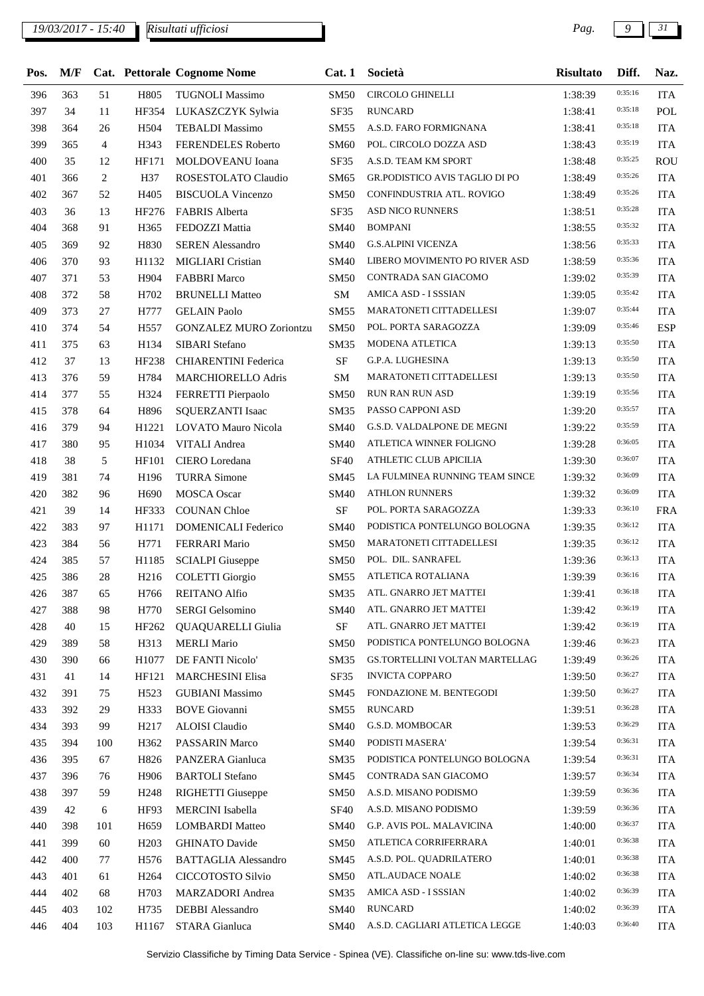| Pos. | M/F |     |                  | Cat. Pettorale Cognome Nome    | Cat. 1      | Società                        | <b>Risultato</b> | Diff.   | Naz.       |
|------|-----|-----|------------------|--------------------------------|-------------|--------------------------------|------------------|---------|------------|
| 396  | 363 | 51  | H805             | <b>TUGNOLI Massimo</b>         | SM50        | <b>CIRCOLO GHINELLI</b>        | 1:38:39          | 0:35:16 | <b>ITA</b> |
| 397  | 34  | 11  | HF354            | LUKASZCZYK Sylwia              | SF35        | <b>RUNCARD</b>                 | 1:38:41          | 0:35:18 | POL        |
| 398  | 364 | 26  | H504             | <b>TEBALDI</b> Massimo         | SM55        | A.S.D. FARO FORMIGNANA         | 1:38:41          | 0:35:18 | <b>ITA</b> |
| 399  | 365 | 4   | H343             | FERENDELES Roberto             | SM60        | POL. CIRCOLO DOZZA ASD         | 1:38:43          | 0:35:19 | <b>ITA</b> |
| 400  | 35  | 12  | HF171            | MOLDOVEANU Ioana               | SF35        | A.S.D. TEAM KM SPORT           | 1:38:48          | 0:35:25 | <b>ROU</b> |
| 401  | 366 | 2   | H37              | ROSESTOLATO Claudio            | SM65        | GR.PODISTICO AVIS TAGLIO DI PO | 1:38:49          | 0:35:26 | <b>ITA</b> |
| 402  | 367 | 52  | H405             | <b>BISCUOLA Vincenzo</b>       | <b>SM50</b> | CONFINDUSTRIA ATL. ROVIGO      | 1:38:49          | 0:35:26 | <b>ITA</b> |
| 403  | 36  | 13  | HF276            | <b>FABRIS</b> Alberta          | SF35        | <b>ASD NICO RUNNERS</b>        | 1:38:51          | 0:35:28 | <b>ITA</b> |
| 404  | 368 | 91  | H365             | FEDOZZI Mattia                 | <b>SM40</b> | <b>BOMPANI</b>                 | 1:38:55          | 0:35:32 | <b>ITA</b> |
| 405  | 369 | 92  | H830             | <b>SEREN</b> Alessandro        | SM40        | <b>G.S.ALPINI VICENZA</b>      | 1:38:56          | 0:35:33 | <b>ITA</b> |
| 406  | 370 | 93  | H1132            | <b>MIGLIARI</b> Cristian       | SM40        | LIBERO MOVIMENTO PO RIVER ASD  | 1:38:59          | 0:35:36 | <b>ITA</b> |
| 407  | 371 | 53  | H904             | <b>FABBRI Marco</b>            | <b>SM50</b> | CONTRADA SAN GIACOMO           | 1:39:02          | 0:35:39 | <b>ITA</b> |
| 408  | 372 | 58  | H702             | <b>BRUNELLI Matteo</b>         | ${\rm SM}$  | AMICA ASD - I SSSIAN           | 1:39:05          | 0:35:42 | <b>ITA</b> |
| 409  | 373 | 27  | H777             | <b>GELAIN Paolo</b>            | SM55        | MARATONETI CITTADELLESI        | 1:39:07          | 0:35:44 | <b>ITA</b> |
| 410  | 374 | 54  | H <sub>557</sub> | <b>GONZALEZ MURO Zoriontzu</b> | <b>SM50</b> | POL. PORTA SARAGOZZA           | 1:39:09          | 0:35:46 | <b>ESP</b> |
| 411  | 375 | 63  | H134             | SIBARI Stefano                 | SM35        | MODENA ATLETICA                | 1:39:13          | 0:35:50 | <b>ITA</b> |
| 412  | 37  | 13  | HF238            | <b>CHIARENTINI</b> Federica    | $\rm{SF}$   | G.P.A. LUGHESINA               | 1:39:13          | 0:35:50 | <b>ITA</b> |
| 413  | 376 | 59  | H784             | MARCHIORELLO Adris             | SM          | MARATONETI CITTADELLESI        | 1:39:13          | 0:35:50 | <b>ITA</b> |
| 414  | 377 | 55  | H324             | FERRETTI Pierpaolo             | <b>SM50</b> | <b>RUN RAN RUN ASD</b>         | 1:39:19          | 0:35:56 | <b>ITA</b> |
| 415  | 378 | 64  | H896             | <b>SQUERZANTI Isaac</b>        | SM35        | PASSO CAPPONI ASD              | 1:39:20          | 0:35:57 | <b>ITA</b> |
| 416  | 379 | 94  | H1221            | LOVATO Mauro Nicola            | SM40        | G.S.D. VALDALPONE DE MEGNI     | 1:39:22          | 0:35:59 | <b>ITA</b> |
| 417  | 380 | 95  | H1034            | VITALI Andrea                  | SM40        | ATLETICA WINNER FOLIGNO        | 1:39:28          | 0:36:05 | <b>ITA</b> |
| 418  | 38  | 5   | <b>HF101</b>     | CIERO Loredana                 | <b>SF40</b> | ATHLETIC CLUB APICILIA         | 1:39:30          | 0:36:07 | <b>ITA</b> |
| 419  | 381 | 74  | H196             | <b>TURRA Simone</b>            | SM45        | LA FULMINEA RUNNING TEAM SINCE | 1:39:32          | 0:36:09 | <b>ITA</b> |
| 420  | 382 | 96  | H <sub>690</sub> | <b>MOSCA</b> Oscar             | SM40        | <b>ATHLON RUNNERS</b>          | 1:39:32          | 0:36:09 | <b>ITA</b> |
| 421  | 39  | 14  | HF333            | <b>COUNAN Chloe</b>            | $\rm SF$    | POL. PORTA SARAGOZZA           | 1:39:33          | 0:36:10 | <b>FRA</b> |
| 422  | 383 | 97  | H1171            | <b>DOMENICALI Federico</b>     | SM40        | PODISTICA PONTELUNGO BOLOGNA   | 1:39:35          | 0:36:12 | <b>ITA</b> |
| 423  | 384 | 56  | H771             | FERRARI Mario                  | <b>SM50</b> | MARATONETI CITTADELLESI        | 1:39:35          | 0:36:12 | <b>ITA</b> |
| 424  | 385 | 57  | H1185            | <b>SCIALPI</b> Giuseppe        | <b>SM50</b> | POL. DIL. SANRAFEL             | 1:39:36          | 0:36:13 | <b>ITA</b> |
| 425  | 386 | 28  | H216             | <b>COLETTI</b> Giorgio         | SM55        | ATLETICA ROTALIANA             | 1:39:39          | 0:36:16 | <b>ITA</b> |
| 426  | 387 | 65  | H766             | REITANO Alfio                  |             | SM35 ATL. GNARRO JET MATTEI    | 1:39:41          | 0:36:18 | <b>ITA</b> |
| 427  | 388 | 98  | H770             | <b>SERGI</b> Gelsomino         | SM40        | ATL. GNARRO JET MATTEI         | 1:39:42          | 0:36:19 | <b>ITA</b> |
| 428  | 40  | 15  | HF262            | <b>QUAQUARELLI Giulia</b>      | $\rm SF$    | ATL. GNARRO JET MATTEI         | 1:39:42          | 0:36:19 | <b>ITA</b> |
| 429  | 389 | 58  | H313             | <b>MERLI Mario</b>             | <b>SM50</b> | PODISTICA PONTELUNGO BOLOGNA   | 1:39:46          | 0:36:23 | <b>ITA</b> |
| 430  | 390 | 66  | H1077            | DE FANTI Nicolo'               | SM35        | GS.TORTELLINI VOLTAN MARTELLAG | 1:39:49          | 0:36:26 | <b>ITA</b> |
| 431  | 41  | 14  | HF121            | <b>MARCHESINI Elisa</b>        | SF35        | <b>INVICTA COPPARO</b>         | 1:39:50          | 0:36:27 | <b>ITA</b> |
| 432  | 391 | 75  | H <sub>523</sub> | <b>GUBIANI</b> Massimo         | SM45        | FONDAZIONE M. BENTEGODI        | 1:39:50          | 0:36:27 | <b>ITA</b> |
| 433  | 392 | 29  | H333             | <b>BOVE</b> Giovanni           | SM55        | RUNCARD                        | 1:39:51          | 0:36:28 | <b>ITA</b> |
| 434  | 393 | 99  | H <sub>217</sub> | <b>ALOISI</b> Claudio          | SM40        | G.S.D. MOMBOCAR                | 1:39:53          | 0:36:29 | <b>ITA</b> |
| 435  | 394 | 100 | H362             | PASSARIN Marco                 | <b>SM40</b> | PODISTI MASERA'                | 1:39:54          | 0:36:31 | <b>ITA</b> |
| 436  | 395 | 67  | H826             | PANZERA Gianluca               | SM35        | PODISTICA PONTELUNGO BOLOGNA   | 1:39:54          | 0:36:31 | <b>ITA</b> |
| 437  | 396 | 76  | H906             | <b>BARTOLI</b> Stefano         | SM45        | CONTRADA SAN GIACOMO           | 1:39:57          | 0:36:34 | <b>ITA</b> |
| 438  | 397 | 59  | H <sub>248</sub> | RIGHETTI Giuseppe              | <b>SM50</b> | A.S.D. MISANO PODISMO          | 1:39:59          | 0:36:36 | <b>ITA</b> |
| 439  | 42  | 6   | HF93             | <b>MERCINI</b> Isabella        | <b>SF40</b> | A.S.D. MISANO PODISMO          | 1:39:59          | 0:36:36 | <b>ITA</b> |
| 440  | 398 | 101 | H <sub>659</sub> | <b>LOMBARDI</b> Matteo         | SM40        | G.P. AVIS POL. MALAVICINA      | 1:40:00          | 0:36:37 | <b>ITA</b> |
| 441  | 399 | 60  | H <sub>203</sub> | <b>GHINATO Davide</b>          | <b>SM50</b> | ATLETICA CORRIFERRARA          | 1:40:01          | 0:36:38 | <b>ITA</b> |
| 442  | 400 | 77  | H <sub>576</sub> | <b>BATTAGLIA Alessandro</b>    | SM45        | A.S.D. POL. QUADRILATERO       | 1:40:01          | 0:36:38 | <b>ITA</b> |
| 443  | 401 | 61  | H <sub>264</sub> | CICCOTOSTO Silvio              | <b>SM50</b> | ATL.AUDACE NOALE               | 1:40:02          | 0:36:38 | <b>ITA</b> |
| 444  | 402 | 68  | H703             | MARZADORI Andrea               | <b>SM35</b> | AMICA ASD - I SSSIAN           | 1:40:02          | 0:36:39 | <b>ITA</b> |
| 445  | 403 | 102 | H735             | <b>DEBBI</b> Alessandro        | <b>SM40</b> | <b>RUNCARD</b>                 | 1:40:02          | 0:36:39 | <b>ITA</b> |
| 446  | 404 | 103 | H1167            | STARA Gianluca                 | SM40        | A.S.D. CAGLIARI ATLETICA LEGGE | 1:40:03          | 0:36:40 | <b>ITA</b> |
|      |     |     |                  |                                |             |                                |                  |         |            |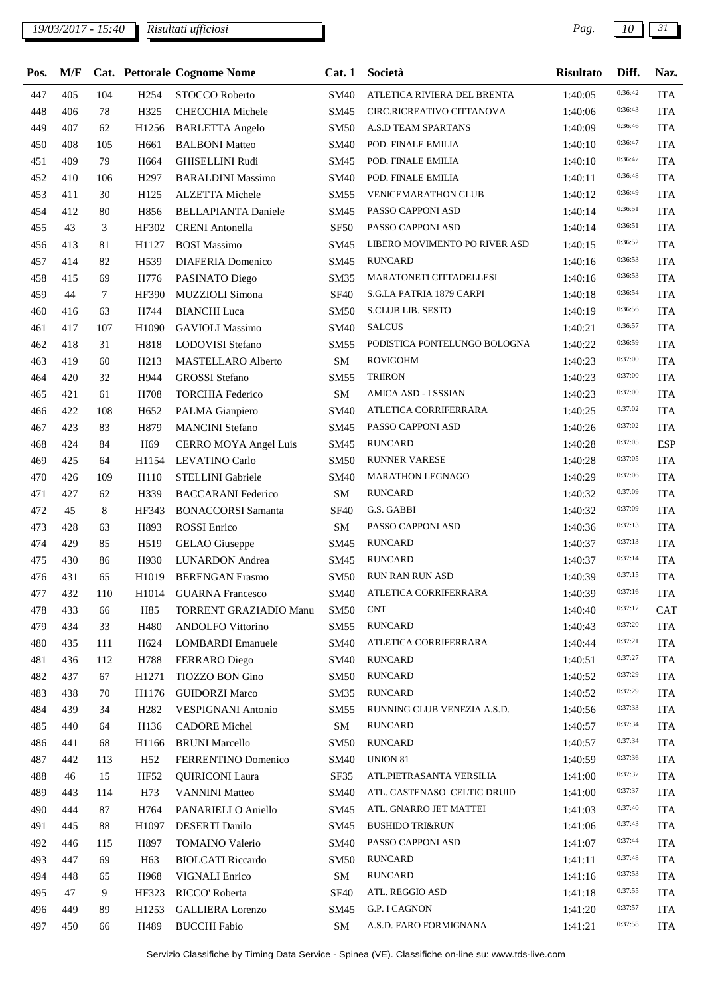# *19/03/2017 - 15:40 Pag. 10 31*

| Pos. | M/F |        |                   | <b>Cat. Pettorale Cognome Nome</b> | Cat.1       | Società                       | <b>Risultato</b> | Diff.   | Naz.       |
|------|-----|--------|-------------------|------------------------------------|-------------|-------------------------------|------------------|---------|------------|
| 447  | 405 | 104    | H <sub>254</sub>  | STOCCO Roberto                     | <b>SM40</b> | ATLETICA RIVIERA DEL BRENTA   | 1:40:05          | 0:36:42 | <b>ITA</b> |
| 448  | 406 | 78     | H325              | <b>CHECCHIA</b> Michele            | SM45        | CIRC.RICREATIVO CITTANOVA     | 1:40:06          | 0:36:43 | <b>ITA</b> |
| 449  | 407 | 62     | H1256             | <b>BARLETTA Angelo</b>             | <b>SM50</b> | A.S.D TEAM SPARTANS           | 1:40:09          | 0:36:46 | <b>ITA</b> |
| 450  | 408 | 105    | H661              | <b>BALBONI</b> Matteo              | <b>SM40</b> | POD. FINALE EMILIA            | 1:40:10          | 0:36:47 | <b>ITA</b> |
| 451  | 409 | 79     | H664              | <b>GHISELLINI Rudi</b>             | SM45        | POD. FINALE EMILIA            | 1:40:10          | 0:36:47 | <b>ITA</b> |
| 452  | 410 | 106    | H <sub>297</sub>  | <b>BARALDINI Massimo</b>           | <b>SM40</b> | POD. FINALE EMILIA            | 1:40:11          | 0:36:48 | <b>ITA</b> |
| 453  | 411 | 30     | H125              | <b>ALZETTA Michele</b>             | SM55        | <b>VENICEMARATHON CLUB</b>    | 1:40:12          | 0:36:49 | <b>ITA</b> |
| 454  | 412 | 80     | H856              | <b>BELLAPIANTA Daniele</b>         | SM45        | PASSO CAPPONI ASD             | 1:40:14          | 0:36:51 | <b>ITA</b> |
| 455  | 43  | 3      | HF302             | <b>CRENI</b> Antonella             | <b>SF50</b> | PASSO CAPPONI ASD             | 1:40:14          | 0:36:51 | <b>ITA</b> |
| 456  | 413 | 81     | H1127             | <b>BOSI</b> Massimo                | SM45        | LIBERO MOVIMENTO PO RIVER ASD | 1:40:15          | 0:36:52 | <b>ITA</b> |
| 457  | 414 | 82     | H <sub>539</sub>  | <b>DIAFERIA</b> Domenico           | SM45        | <b>RUNCARD</b>                | 1:40:16          | 0:36:53 | <b>ITA</b> |
| 458  | 415 | 69     | H776              | PASINATO Diego                     | SM35        | MARATONETI CITTADELLESI       | 1:40:16          | 0:36:53 | <b>ITA</b> |
| 459  | 44  | $\tau$ | HF390             | MUZZIOLI Simona                    | <b>SF40</b> | S.G.LA PATRIA 1879 CARPI      | 1:40:18          | 0:36:54 | <b>ITA</b> |
| 460  | 416 | 63     | H744              | <b>BIANCHI</b> Luca                | <b>SM50</b> | <b>S.CLUB LIB. SESTO</b>      | 1:40:19          | 0:36:56 | <b>ITA</b> |
| 461  | 417 | 107    | H1090             | <b>GAVIOLI</b> Massimo             | <b>SM40</b> | <b>SALCUS</b>                 | 1:40:21          | 0:36:57 | <b>ITA</b> |
| 462  | 418 | 31     | H818              | <b>LODOVISI Stefano</b>            | <b>SM55</b> | PODISTICA PONTELUNGO BOLOGNA  | 1:40:22          | 0:36:59 | <b>ITA</b> |
| 463  | 419 | 60     | H <sub>213</sub>  | <b>MASTELLARO</b> Alberto          | ${\bf SM}$  | <b>ROVIGOHM</b>               | 1:40:23          | 0:37:00 | <b>ITA</b> |
| 464  | 420 | 32     | H944              | <b>GROSSI</b> Stefano              | <b>SM55</b> | <b>TRIIRON</b>                | 1:40:23          | 0:37:00 | <b>ITA</b> |
| 465  | 421 | 61     | H708              | <b>TORCHIA Federico</b>            | SM          | AMICA ASD - I SSSIAN          | 1:40:23          | 0:37:00 | <b>ITA</b> |
| 466  | 422 | 108    | H652              | PALMA Gianpiero                    | <b>SM40</b> | ATLETICA CORRIFERRARA         | 1:40:25          | 0:37:02 | <b>ITA</b> |
| 467  | 423 | 83     | H879              | <b>MANCINI</b> Stefano             | SM45        | PASSO CAPPONI ASD             | 1:40:26          | 0:37:02 | <b>ITA</b> |
| 468  | 424 | 84     | H <sub>69</sub>   | CERRO MOYA Angel Luis              | SM45        | <b>RUNCARD</b>                | 1:40:28          | 0:37:05 | <b>ESP</b> |
| 469  | 425 | 64     | H1154             | <b>LEVATINO Carlo</b>              | <b>SM50</b> | <b>RUNNER VARESE</b>          | 1:40:28          | 0:37:05 | <b>ITA</b> |
| 470  | 426 | 109    | H110              | STELLINI Gabriele                  | <b>SM40</b> | MARATHON LEGNAGO              | 1:40:29          | 0:37:06 | <b>ITA</b> |
| 471  | 427 | 62     | H339              | <b>BACCARANI Federico</b>          | SM          | <b>RUNCARD</b>                | 1:40:32          | 0:37:09 | <b>ITA</b> |
| 472  | 45  | 8      | HF343             | <b>BONACCORSI Samanta</b>          | <b>SF40</b> | G.S. GABBI                    | 1:40:32          | 0:37:09 | <b>ITA</b> |
| 473  | 428 | 63     | H893              | <b>ROSSI</b> Enrico                | SM          | PASSO CAPPONI ASD             | 1:40:36          | 0:37:13 | <b>ITA</b> |
| 474  | 429 | 85     | H519              | <b>GELAO</b> Giuseppe              | SM45        | <b>RUNCARD</b>                | 1:40:37          | 0:37:13 | <b>ITA</b> |
| 475  | 430 | 86     | H930              | <b>LUNARDON</b> Andrea             | SM45        | <b>RUNCARD</b>                | 1:40:37          | 0:37:14 | <b>ITA</b> |
| 476  | 431 | 65     | H1019             | <b>BERENGAN</b> Erasmo             | <b>SM50</b> | <b>RUN RAN RUN ASD</b>        | 1:40:39          | 0:37:15 | <b>ITA</b> |
| 477  | 432 | 110    |                   | H1014 GUARNA Francesco             |             | SM40 ATLETICA CORRIFERRARA    | 1:40:39          | 0:37:16 | <b>ITA</b> |
| 478  | 433 | 66     | H85               | TORRENT GRAZIADIO Manu             | SM50        | <b>CNT</b>                    | 1:40:40          | 0:37:17 | CAT        |
| 479  | 434 | 33     | H480              | <b>ANDOLFO</b> Vittorino           | <b>SM55</b> | <b>RUNCARD</b>                | 1:40:43          | 0:37:20 | <b>ITA</b> |
| 480  | 435 | 111    | H <sub>624</sub>  | <b>LOMBARDI</b> Emanuele           | <b>SM40</b> | ATLETICA CORRIFERRARA         | 1:40:44          | 0:37:21 | <b>ITA</b> |
| 481  | 436 | 112    | H788              | FERRARO Diego                      | <b>SM40</b> | <b>RUNCARD</b>                | 1:40:51          | 0:37:27 | <b>ITA</b> |
| 482  | 437 | 67     | H1271             | TIOZZO BON Gino                    | <b>SM50</b> | <b>RUNCARD</b>                | 1:40:52          | 0:37:29 | <b>ITA</b> |
| 483  | 438 | 70     | H1176             | <b>GUIDORZI Marco</b>              | SM35        | <b>RUNCARD</b>                | 1:40:52          | 0:37:29 | <b>ITA</b> |
| 484  | 439 | 34     | H <sub>2</sub> 82 | VESPIGNANI Antonio                 | <b>SM55</b> | RUNNING CLUB VENEZIA A.S.D.   | 1:40:56          | 0:37:33 | <b>ITA</b> |
| 485  | 440 | 64     | H136              | <b>CADORE</b> Michel               | SM          | <b>RUNCARD</b>                | 1:40:57          | 0:37:34 | <b>ITA</b> |
| 486  | 441 | 68     | H1166             | <b>BRUNI</b> Marcello              | <b>SM50</b> | <b>RUNCARD</b>                | 1:40:57          | 0:37:34 | <b>ITA</b> |
| 487  | 442 | 113    | H <sub>52</sub>   | FERRENTINO Domenico                | <b>SM40</b> | UNION 81                      | 1:40:59          | 0:37:36 | <b>ITA</b> |
| 488  | 46  | 15     | <b>HF52</b>       | <b>QUIRICONI</b> Laura             | SF35        | ATL.PIETRASANTA VERSILIA      | 1:41:00          | 0:37:37 | <b>ITA</b> |
| 489  | 443 | 114    | H73               | <b>VANNINI Matteo</b>              | SM40        | ATL. CASTENASO CELTIC DRUID   | 1:41:00          | 0:37:37 | <b>ITA</b> |
| 490  | 444 | 87     | H764              | PANARIELLO Aniello                 | SM45        | ATL. GNARRO JET MATTEI        | 1:41:03          | 0:37:40 | <b>ITA</b> |
| 491  | 445 | 88     | H1097             | DESERTI Danilo                     | SM45        | <b>BUSHIDO TRI&amp;RUN</b>    | 1:41:06          | 0:37:43 | <b>ITA</b> |
| 492  | 446 | 115    | H897              | <b>TOMAINO Valerio</b>             | <b>SM40</b> | PASSO CAPPONI ASD             | 1:41:07          | 0:37:44 | <b>ITA</b> |
| 493  | 447 | 69     | H <sub>63</sub>   | <b>BIOLCATI Riccardo</b>           | <b>SM50</b> | <b>RUNCARD</b>                | 1:41:11          | 0:37:48 | <b>ITA</b> |
| 494  | 448 | 65     | H <sub>968</sub>  | VIGNALI Enrico                     | SM          | <b>RUNCARD</b>                | 1:41:16          | 0:37:53 | <b>ITA</b> |
| 495  | 47  | 9      | HF323             | RICCO' Roberta                     | <b>SF40</b> | ATL. REGGIO ASD               | 1:41:18          | 0:37:55 | <b>ITA</b> |
| 496  | 449 | 89     | H1253             | <b>GALLIERA</b> Lorenzo            | SM45        | G.P. I CAGNON                 | 1:41:20          | 0:37:57 | <b>ITA</b> |
| 497  | 450 | 66     | H489              | <b>BUCCHI Fabio</b>                | SM          | A.S.D. FARO FORMIGNANA        | 1:41:21          | 0:37:58 | <b>ITA</b> |
|      |     |        |                   |                                    |             |                               |                  |         |            |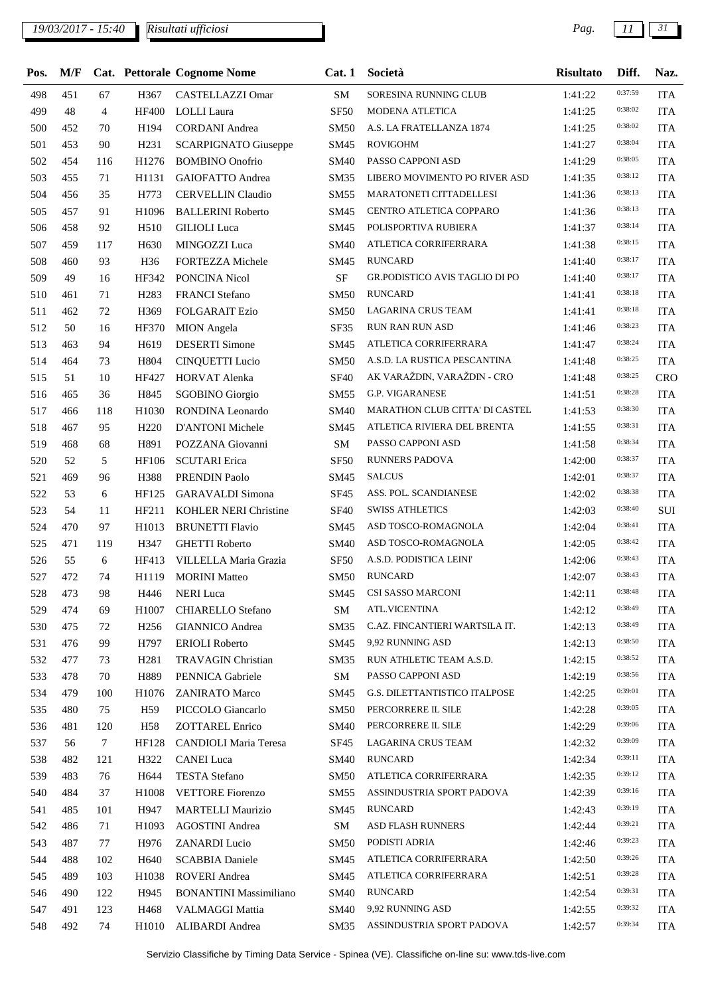| Pos. | M/F |                |                   | Cat. Pettorale Cognome Nome   | Cat.1            | Società                        | <b>Risultato</b> | Diff.   | Naz.       |
|------|-----|----------------|-------------------|-------------------------------|------------------|--------------------------------|------------------|---------|------------|
| 498  | 451 | 67             | H367              | CASTELLAZZI Omar              | SM               | SORESINA RUNNING CLUB          | 1:41:22          | 0:37:59 | <b>ITA</b> |
| 499  | 48  | $\overline{4}$ | <b>HF400</b>      | <b>LOLLI</b> Laura            | <b>SF50</b>      | MODENA ATLETICA                | 1:41:25          | 0:38:02 | <b>ITA</b> |
| 500  | 452 | 70             | H194              | <b>CORDANI</b> Andrea         | <b>SM50</b>      | A.S. LA FRATELLANZA 1874       | 1:41:25          | 0:38:02 | <b>ITA</b> |
| 501  | 453 | 90             | H <sub>231</sub>  | <b>SCARPIGNATO Giuseppe</b>   | SM45             | <b>ROVIGOHM</b>                | 1:41:27          | 0:38:04 | <b>ITA</b> |
| 502  | 454 | 116            | H1276             | <b>BOMBINO</b> Onofrio        | SM40             | PASSO CAPPONI ASD              | 1:41:29          | 0:38:05 | <b>ITA</b> |
| 503  | 455 | 71             | H1131             | GAIOFATTO Andrea              | SM35             | LIBERO MOVIMENTO PO RIVER ASD  | 1:41:35          | 0:38:12 | <b>ITA</b> |
| 504  | 456 | 35             | H773              | <b>CERVELLIN</b> Claudio      | SM55             | MARATONETI CITTADELLESI        | 1:41:36          | 0:38:13 | <b>ITA</b> |
| 505  | 457 | 91             | H <sub>1096</sub> | <b>BALLERINI Roberto</b>      | SM45             | CENTRO ATLETICA COPPARO        | 1:41:36          | 0:38:13 | <b>ITA</b> |
| 506  | 458 | 92             | H510              | <b>GILIOLI</b> Luca           | SM45             | POLISPORTIVA RUBIERA           | 1:41:37          | 0:38:14 | <b>ITA</b> |
| 507  | 459 | 117            | H <sub>630</sub>  | MINGOZZI Luca                 | <b>SM40</b>      | ATLETICA CORRIFERRARA          | 1:41:38          | 0:38:15 | <b>ITA</b> |
| 508  | 460 | 93             | H36               | <b>FORTEZZA Michele</b>       | SM45             | <b>RUNCARD</b>                 | 1:41:40          | 0:38:17 | <b>ITA</b> |
| 509  | 49  | 16             | HF342             | PONCINA Nicol                 | SF               | GR.PODISTICO AVIS TAGLIO DI PO | 1:41:40          | 0:38:17 | <b>ITA</b> |
| 510  | 461 | 71             | H <sub>2</sub> 83 | <b>FRANCI</b> Stefano         | <b>SM50</b>      | <b>RUNCARD</b>                 | 1:41:41          | 0:38:18 | <b>ITA</b> |
| 511  | 462 | 72             | H369              | <b>FOLGARAIT Ezio</b>         | <b>SM50</b>      | LAGARINA CRUS TEAM             | 1:41:41          | 0:38:18 | <b>ITA</b> |
| 512  | 50  | 16             | HF370             | <b>MION</b> Angela            | SF35             | RUN RAN RUN ASD                | 1:41:46          | 0:38:23 | <b>ITA</b> |
| 513  | 463 | 94             | H <sub>619</sub>  | <b>DESERTI</b> Simone         | SM45             | ATLETICA CORRIFERRARA          | 1:41:47          | 0:38:24 | <b>ITA</b> |
| 514  | 464 | 73             | H804              | <b>CINQUETTI Lucio</b>        | <b>SM50</b>      | A.S.D. LA RUSTICA PESCANTINA   | 1:41:48          | 0:38:25 | <b>ITA</b> |
| 515  | 51  | 10             | HF427             | HORVAT Alenka                 | <b>SF40</b>      | AK VARAŽDIN, VARAŽDIN - CRO    | 1:41:48          | 0:38:25 | CRO        |
| 516  | 465 | 36             | H845              | <b>SGOBINO</b> Giorgio        | SM55             | <b>G.P. VIGARANESE</b>         | 1:41:51          | 0:38:28 | <b>ITA</b> |
| 517  | 466 | 118            | H1030             | RONDINA Leonardo              | <b>SM40</b>      | MARATHON CLUB CITTA' DI CASTEL | 1:41:53          | 0:38:30 | <b>ITA</b> |
| 518  | 467 | 95             | H <sub>220</sub>  | <b>D'ANTONI Michele</b>       | SM45             | ATLETICA RIVIERA DEL BRENTA    | 1:41:55          | 0:38:31 | <b>ITA</b> |
| 519  | 468 | 68             | H891              | POZZANA Giovanni              | SM               | PASSO CAPPONI ASD              | 1:41:58          | 0:38:34 | <b>ITA</b> |
| 520  | 52  | 5              | <b>HF106</b>      | <b>SCUTARI</b> Erica          | SF <sub>50</sub> | <b>RUNNERS PADOVA</b>          | 1:42:00          | 0:38:37 | <b>ITA</b> |
| 521  | 469 | 96             | H388              | PRENDIN Paolo                 | SM45             | <b>SALCUS</b>                  | 1:42:01          | 0:38:37 | <b>ITA</b> |
| 522  | 53  | 6              | HF125             | <b>GARAVALDI</b> Simona       | SF45             | ASS. POL. SCANDIANESE          | 1:42:02          | 0:38:38 | <b>ITA</b> |
| 523  | 54  | 11             | HF211             | <b>KOHLER NERI Christine</b>  | <b>SF40</b>      | <b>SWISS ATHLETICS</b>         | 1:42:03          | 0:38:40 | SUI        |
| 524  | 470 | 97             | H1013             | <b>BRUNETTI Flavio</b>        | SM45             | ASD TOSCO-ROMAGNOLA            | 1:42:04          | 0:38:41 | <b>ITA</b> |
| 525  | 471 | 119            | H347              | <b>GHETTI</b> Roberto         | SM40             | ASD TOSCO-ROMAGNOLA            | 1:42:05          | 0:38:42 | <b>ITA</b> |
| 526  | 55  | 6              | HF413             | VILLELLA Maria Grazia         | <b>SF50</b>      | A.S.D. PODISTICA LEINI'        | 1:42:06          | 0:38:43 | <b>ITA</b> |
| 527  | 472 | 74             | H1119             | <b>MORINI Matteo</b>          | <b>SM50</b>      | <b>RUNCARD</b>                 | 1:42:07          | 0:38:43 | <b>ITA</b> |
| 528  | 473 | 98             |                   | H446 NERI Luca                |                  | SM45 CSI SASSO MARCONI         | 1:42:11          | 0:38:48 | <b>ITA</b> |
| 529  | 474 | 69             | H1007             | <b>CHIARELLO Stefano</b>      | SM               | ATL.VICENTINA                  | 1:42:12          | 0:38:49 | <b>ITA</b> |
| 530  | 475 | 72             | H <sub>256</sub>  | <b>GIANNICO</b> Andrea        | SM35             | C.AZ. FINCANTIERI WARTSILA IT. | 1:42:13          | 0:38:49 | <b>ITA</b> |
| 531  | 476 | 99             | H797              | <b>ERIOLI</b> Roberto         | SM45             | 9,92 RUNNING ASD               | 1:42:13          | 0:38:50 | <b>ITA</b> |
| 532  | 477 | 73             | H <sub>281</sub>  | TRAVAGIN Christian            | SM35             | RUN ATHLETIC TEAM A.S.D.       | 1:42:15          | 0:38:52 | <b>ITA</b> |
| 533  | 478 | 70             | H889              | PENNICA Gabriele              | SM               | PASSO CAPPONI ASD              | 1:42:19          | 0:38:56 | <b>ITA</b> |
| 534  | 479 | 100            | H <sub>1076</sub> | <b>ZANIRATO Marco</b>         | SM45             | G.S. DILETTANTISTICO ITALPOSE  | 1:42:25          | 0:39:01 | <b>ITA</b> |
| 535  | 480 | 75             | H <sub>59</sub>   | PICCOLO Giancarlo             | <b>SM50</b>      | PERCORRERE IL SILE             | 1:42:28          | 0:39:05 | <b>ITA</b> |
| 536  | 481 | 120            | H <sub>58</sub>   | <b>ZOTTAREL Enrico</b>        | SM40             | PERCORRERE IL SILE             | 1:42:29          | 0:39:06 | <b>ITA</b> |
| 537  | 56  | $\tau$         | <b>HF128</b>      | CANDIOLI Maria Teresa         | SF <sub>45</sub> | LAGARINA CRUS TEAM             | 1:42:32          | 0:39:09 | <b>ITA</b> |
| 538  | 482 | 121            | H322              | <b>CANEI</b> Luca             | <b>SM40</b>      | <b>RUNCARD</b>                 | 1:42:34          | 0:39:11 | <b>ITA</b> |
| 539  | 483 | 76             | H644              | <b>TESTA Stefano</b>          | <b>SM50</b>      | ATLETICA CORRIFERRARA          | 1:42:35          | 0:39:12 | <b>ITA</b> |
| 540  | 484 | 37             | H1008             | <b>VETTORE</b> Fiorenzo       | SM55             | ASSINDUSTRIA SPORT PADOVA      | 1:42:39          | 0:39:16 | <b>ITA</b> |
| 541  | 485 | 101            | H947              | <b>MARTELLI Maurizio</b>      | SM45             | <b>RUNCARD</b>                 | 1:42:43          | 0:39:19 | <b>ITA</b> |
| 542  | 486 | 71             | H1093             | <b>AGOSTINI</b> Andrea        | SM               | <b>ASD FLASH RUNNERS</b>       | 1:42:44          | 0:39:21 | <b>ITA</b> |
| 543  | 487 | 77             | H976              | ZANARDI Lucio                 | SM50             | PODISTI ADRIA                  | 1:42:46          | 0:39:23 | <b>ITA</b> |
| 544  | 488 | 102            | H <sub>640</sub>  | <b>SCABBIA Daniele</b>        | SM45             | ATLETICA CORRIFERRARA          | 1:42:50          | 0:39:26 | <b>ITA</b> |
| 545  | 489 | 103            | H1038             | <b>ROVERI</b> Andrea          | SM45             | ATLETICA CORRIFERRARA          | 1:42:51          | 0:39:28 | <b>ITA</b> |
| 546  | 490 | 122            | H945              | <b>BONANTINI Massimiliano</b> | <b>SM40</b>      | <b>RUNCARD</b>                 | 1:42:54          | 0:39:31 | <b>ITA</b> |
| 547  | 491 | 123            | H468              | VALMAGGI Mattia               | <b>SM40</b>      | 9,92 RUNNING ASD               | 1:42:55          | 0:39:32 | <b>ITA</b> |
| 548  | 492 | 74             | H <sub>1010</sub> | ALIBARDI Andrea               | SM35             | ASSINDUSTRIA SPORT PADOVA      | 1:42:57          | 0:39:34 | <b>ITA</b> |
|      |     |                |                   |                               |                  |                                |                  |         |            |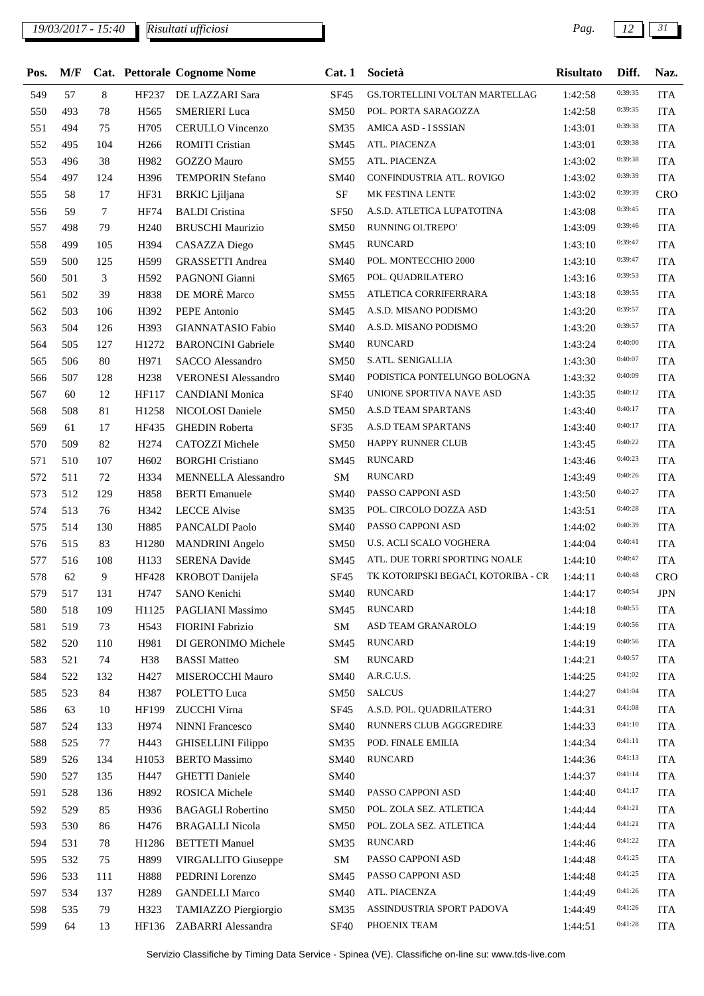| Pos. | M/F |                |                   | Cat. Pettorale Cognome Nome | Cat.1       | Società                             | <b>Risultato</b> | Diff.   | Naz.       |
|------|-----|----------------|-------------------|-----------------------------|-------------|-------------------------------------|------------------|---------|------------|
| 549  | 57  | 8              | HF237             | DE LAZZARI Sara             | <b>SF45</b> | GS.TORTELLINI VOLTAN MARTELLAG      | 1:42:58          | 0:39:35 | <b>ITA</b> |
| 550  | 493 | 78             | H <sub>565</sub>  | <b>SMERIERI</b> Luca        | <b>SM50</b> | POL. PORTA SARAGOZZA                | 1:42:58          | 0:39:35 | <b>ITA</b> |
| 551  | 494 | 75             | H705              | <b>CERULLO</b> Vincenzo     | <b>SM35</b> | AMICA ASD - I SSSIAN                | 1:43:01          | 0:39:38 | <b>ITA</b> |
| 552  | 495 | 104            | H <sub>266</sub>  | <b>ROMITI Cristian</b>      | SM45        | ATL. PIACENZA                       | 1:43:01          | 0:39:38 | <b>ITA</b> |
| 553  | 496 | 38             | H982              | <b>GOZZO</b> Mauro          | <b>SM55</b> | ATL. PIACENZA                       | 1:43:02          | 0:39:38 | <b>ITA</b> |
| 554  | 497 | 124            | H396              | <b>TEMPORIN Stefano</b>     | <b>SM40</b> | CONFINDUSTRIA ATL. ROVIGO           | 1:43:02          | 0:39:39 | <b>ITA</b> |
| 555  | 58  | 17             | HF31              | <b>BRKIC</b> Ljiljana       | $\rm{SF}$   | MK FESTINA LENTE                    | 1:43:02          | 0:39:39 | <b>CRO</b> |
| 556  | 59  | $\tau$         | <b>HF74</b>       | <b>BALDI</b> Cristina       | <b>SF50</b> | A.S.D. ATLETICA LUPATOTINA          | 1:43:08          | 0:39:45 | <b>ITA</b> |
| 557  | 498 | 79             | H <sub>240</sub>  | <b>BRUSCHI</b> Maurizio     | <b>SM50</b> | RUNNING OLTREPO'                    | 1:43:09          | 0:39:46 | <b>ITA</b> |
| 558  | 499 | 105            | H394              | <b>CASAZZA</b> Diego        | SM45        | <b>RUNCARD</b>                      | 1:43:10          | 0:39:47 | <b>ITA</b> |
| 559  | 500 | 125            | H599              | <b>GRASSETTI</b> Andrea     | <b>SM40</b> | POL. MONTECCHIO 2000                | 1:43:10          | 0:39:47 | <b>ITA</b> |
| 560  | 501 | 3              | H592              | PAGNONI Gianni              | SM65        | POL. QUADRILATERO                   | 1:43:16          | 0:39:53 | <b>ITA</b> |
| 561  | 502 | 39             | H838              | DE MORÈ Marco               | <b>SM55</b> | ATLETICA CORRIFERRARA               | 1:43:18          | 0:39:55 | <b>ITA</b> |
| 562  | 503 | 106            | H392              | PEPE Antonio                | SM45        | A.S.D. MISANO PODISMO               | 1:43:20          | 0:39:57 | <b>ITA</b> |
| 563  | 504 | 126            | H393              | <b>GIANNATASIO Fabio</b>    | <b>SM40</b> | A.S.D. MISANO PODISMO               | 1:43:20          | 0:39:57 | <b>ITA</b> |
| 564  | 505 | 127            | H <sub>1272</sub> | <b>BARONCINI</b> Gabriele   | <b>SM40</b> | <b>RUNCARD</b>                      | 1:43:24          | 0:40:00 | <b>ITA</b> |
| 565  | 506 | 80             | H971              | <b>SACCO</b> Alessandro     | <b>SM50</b> | S.ATL. SENIGALLIA                   | 1:43:30          | 0:40:07 | <b>ITA</b> |
| 566  | 507 | 128            | H <sub>238</sub>  | <b>VERONESI Alessandro</b>  | <b>SM40</b> | PODISTICA PONTELUNGO BOLOGNA        | 1:43:32          | 0:40:09 | <b>ITA</b> |
| 567  | 60  | 12             | HF117             | <b>CANDIANI</b> Monica      | <b>SF40</b> | UNIONE SPORTIVA NAVE ASD            | 1:43:35          | 0:40:12 | <b>ITA</b> |
| 568  | 508 | 81             | H1258             | NICOLOSI Daniele            | <b>SM50</b> | A.S.D TEAM SPARTANS                 | 1:43:40          | 0:40:17 | <b>ITA</b> |
| 569  | 61  | 17             | HF435             | <b>GHEDIN Roberta</b>       | SF35        | A.S.D TEAM SPARTANS                 | 1:43:40          | 0:40:17 | <b>ITA</b> |
| 570  | 509 | 82             | H <sub>274</sub>  | CATOZZI Michele             | <b>SM50</b> | HAPPY RUNNER CLUB                   | 1:43:45          | 0:40:22 | <b>ITA</b> |
| 571  | 510 | 107            | H <sub>602</sub>  | <b>BORGHI</b> Cristiano     | SM45        | <b>RUNCARD</b>                      | 1:43:46          | 0:40:23 | <b>ITA</b> |
| 572  | 511 | 72             | H334              | <b>MENNELLA Alessandro</b>  | ${\bf SM}$  | <b>RUNCARD</b>                      | 1:43:49          | 0:40:26 | <b>ITA</b> |
| 573  | 512 | 129            | H858              | <b>BERTI</b> Emanuele       | <b>SM40</b> | PASSO CAPPONI ASD                   | 1:43:50          | 0:40:27 | <b>ITA</b> |
| 574  | 513 | 76             | H342              | <b>LECCE</b> Alvise         | <b>SM35</b> | POL. CIRCOLO DOZZA ASD              | 1:43:51          | 0:40:28 | <b>ITA</b> |
| 575  | 514 | 130            | H885              | PANCALDI Paolo              | <b>SM40</b> | PASSO CAPPONI ASD                   | 1:44:02          | 0:40:39 | <b>ITA</b> |
| 576  | 515 | 83             | H1280             | <b>MANDRINI</b> Angelo      | <b>SM50</b> | U.S. ACLI SCALO VOGHERA             | 1:44:04          | 0:40:41 | <b>ITA</b> |
| 577  | 516 | 108            | H133              | <b>SERENA Davide</b>        | SM45        | ATL. DUE TORRI SPORTING NOALE       | 1:44:10          | 0:40:47 | <b>ITA</b> |
| 578  | 62  | $\overline{9}$ | <b>HF428</b>      | KROBOT Danijela             | <b>SF45</b> | TK KOTORIPSKI BEGAČI, KOTORIBA - CR | 1:44:11          | 0:40:48 | <b>CRO</b> |
| 579  | 517 | 131            | H747              | SANO Kenichi                | SM40        | RUNCARD                             | 1:44:17          | 0:40:54 | $\rm JPN$  |
| 580  | 518 | 109            | H1125             | PAGLIANI Massimo            | SM45        | <b>RUNCARD</b>                      | 1:44:18          | 0:40:55 | <b>ITA</b> |
| 581  | 519 | 73             | H543              | FIORINI Fabrizio            | ${\bf SM}$  | ASD TEAM GRANAROLO                  | 1:44:19          | 0:40:56 | <b>ITA</b> |
| 582  | 520 | 110            | H981              | DI GERONIMO Michele         | SM45        | <b>RUNCARD</b>                      | 1:44:19          | 0:40:56 | <b>ITA</b> |
| 583  | 521 | 74             | H38               | <b>BASSI</b> Matteo         | ${\bf SM}$  | <b>RUNCARD</b>                      | 1:44:21          | 0:40:57 | <b>ITA</b> |
| 584  | 522 | 132            | H427              | MISEROCCHI Mauro            | <b>SM40</b> | A.R.C.U.S.                          | 1:44:25          | 0:41:02 | <b>ITA</b> |
| 585  | 523 | 84             | H387              | POLETTO Luca                | <b>SM50</b> | <b>SALCUS</b>                       | 1:44:27          | 0:41:04 | <b>ITA</b> |
| 586  | 63  | 10             | HF199             | ZUCCHI Virna                | <b>SF45</b> | A.S.D. POL. QUADRILATERO            | 1:44:31          | 0:41:08 | <b>ITA</b> |
| 587  | 524 | 133            | H974              | <b>NINNI Francesco</b>      | <b>SM40</b> | RUNNERS CLUB AGGGREDIRE             | 1:44:33          | 0:41:10 | <b>ITA</b> |
| 588  | 525 | 77             | H443              | <b>GHISELLINI Filippo</b>   | <b>SM35</b> | POD. FINALE EMILIA                  | 1:44:34          | 0:41:11 | <b>ITA</b> |
| 589  |     |                |                   | <b>BERTO</b> Massimo        | <b>SM40</b> | <b>RUNCARD</b>                      |                  | 0:41:13 | <b>ITA</b> |
|      | 526 | 134            | H1053             |                             | <b>SM40</b> |                                     | 1:44:36          | 0:41:14 | <b>ITA</b> |
| 590  | 527 | 135            | H447              | <b>GHETTI</b> Daniele       |             | PASSO CAPPONI ASD                   | 1:44:37          | 0:41:17 |            |
| 591  | 528 | 136            | H892              | ROSICA Michele              | <b>SM40</b> |                                     | 1:44:40          | 0:41:21 | <b>ITA</b> |
| 592  | 529 | 85             | H936              | <b>BAGAGLI</b> Robertino    | <b>SM50</b> | POL. ZOLA SEZ. ATLETICA             | 1:44:44          | 0:41:21 | <b>ITA</b> |
| 593  | 530 | 86             | H476              | <b>BRAGALLI Nicola</b>      | <b>SM50</b> | POL. ZOLA SEZ. ATLETICA             | 1:44:44          |         | <b>ITA</b> |
| 594  | 531 | 78             | H1286             | <b>BETTETI</b> Manuel       | SM35        | <b>RUNCARD</b>                      | 1:44:46          | 0:41:22 | <b>ITA</b> |
| 595  | 532 | 75             | H899              | VIRGALLITO Giuseppe         | SM          | PASSO CAPPONI ASD                   | 1:44:48          | 0:41:25 | <b>ITA</b> |
| 596  | 533 | 111            | H888              | PEDRINI Lorenzo             | SM45        | PASSO CAPPONI ASD                   | 1:44:48          | 0:41:25 | <b>ITA</b> |
| 597  | 534 | 137            | H <sub>289</sub>  | <b>GANDELLI Marco</b>       | <b>SM40</b> | ATL. PIACENZA                       | 1:44:49          | 0:41:26 | <b>ITA</b> |
| 598  | 535 | 79             | H323              | TAMIAZZO Piergiorgio        | <b>SM35</b> | ASSINDUSTRIA SPORT PADOVA           | 1:44:49          | 0:41:26 | <b>ITA</b> |
| 599  | 64  | 13             | HF136             | ZABARRI Alessandra          | <b>SF40</b> | PHOENIX TEAM                        | 1:44:51          | 0:41:28 | <b>ITA</b> |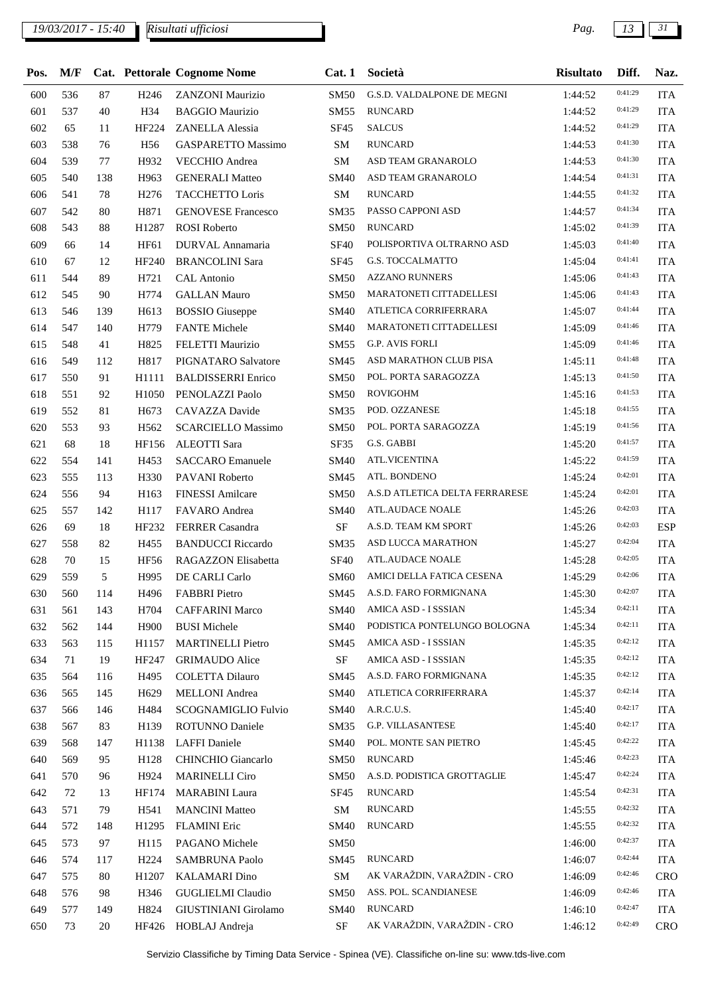# *19/03/2017 - 15:40 Pag. 13 31*

| Pos. | M/F |     |                  | Cat. Pettorale Cognome Nome | Cat.1       | Società                        | <b>Risultato</b> | Diff.   | Naz.       |
|------|-----|-----|------------------|-----------------------------|-------------|--------------------------------|------------------|---------|------------|
| 600  | 536 | 87  | H <sub>246</sub> | ZANZONI Maurizio            | <b>SM50</b> | G.S.D. VALDALPONE DE MEGNI     | 1:44:52          | 0:41:29 | <b>ITA</b> |
| 601  | 537 | 40  | H34              | <b>BAGGIO Maurizio</b>      | SM55        | <b>RUNCARD</b>                 | 1:44:52          | 0:41:29 | <b>ITA</b> |
| 602  | 65  | 11  | HF224            | <b>ZANELLA</b> Alessia      | <b>SF45</b> | <b>SALCUS</b>                  | 1:44:52          | 0:41:29 | <b>ITA</b> |
| 603  | 538 | 76  | H <sub>56</sub>  | <b>GASPARETTO Massimo</b>   | SM          | <b>RUNCARD</b>                 | 1:44:53          | 0:41:30 | <b>ITA</b> |
| 604  | 539 | 77  | H932             | VECCHIO Andrea              | SM          | ASD TEAM GRANAROLO             | 1:44:53          | 0:41:30 | <b>ITA</b> |
| 605  | 540 | 138 | H963             | <b>GENERALI Matteo</b>      | SM40        | ASD TEAM GRANAROLO             | 1:44:54          | 0:41:31 | <b>ITA</b> |
| 606  | 541 | 78  | H <sub>276</sub> | <b>TACCHETTO Loris</b>      | SM          | <b>RUNCARD</b>                 | 1:44:55          | 0:41:32 | <b>ITA</b> |
| 607  | 542 | 80  | H871             | <b>GENOVESE Francesco</b>   | <b>SM35</b> | PASSO CAPPONI ASD              | 1:44:57          | 0:41:34 | <b>ITA</b> |
| 608  | 543 | 88  | H1287            | <b>ROSI</b> Roberto         | <b>SM50</b> | <b>RUNCARD</b>                 | 1:45:02          | 0:41:39 | <b>ITA</b> |
| 609  | 66  | 14  | HF61             | DURVAL Annamaria            | <b>SF40</b> | POLISPORTIVA OLTRARNO ASD      | 1:45:03          | 0:41:40 | <b>ITA</b> |
| 610  | 67  | 12  | HF240            | <b>BRANCOLINI Sara</b>      | SF45        | G.S. TOCCALMATTO               | 1:45:04          | 0:41:41 | <b>ITA</b> |
| 611  | 544 | 89  | H721             | CAL Antonio                 | <b>SM50</b> | <b>AZZANO RUNNERS</b>          | 1:45:06          | 0:41:43 | <b>ITA</b> |
| 612  | 545 | 90  | H774             | <b>GALLAN Mauro</b>         | <b>SM50</b> | MARATONETI CITTADELLESI        | 1:45:06          | 0:41:43 | <b>ITA</b> |
| 613  | 546 | 139 | H613             | <b>BOSSIO</b> Giuseppe      | SM40        | ATLETICA CORRIFERRARA          | 1:45:07          | 0:41:44 | <b>ITA</b> |
| 614  | 547 | 140 | H779             | <b>FANTE Michele</b>        | SM40        | MARATONETI CITTADELLESI        | 1:45:09          | 0:41:46 | <b>ITA</b> |
| 615  | 548 | 41  | H825             | FELETTI Maurizio            | SM55        | <b>G.P. AVIS FORLI</b>         | 1:45:09          | 0:41:46 | <b>ITA</b> |
| 616  | 549 | 112 | H817             | PIGNATARO Salvatore         | SM45        | ASD MARATHON CLUB PISA         | 1:45:11          | 0:41:48 | <b>ITA</b> |
| 617  | 550 | 91  | H1111            | <b>BALDISSERRI Enrico</b>   | SM50        | POL. PORTA SARAGOZZA           | 1:45:13          | 0:41:50 | <b>ITA</b> |
| 618  | 551 | 92  | H1050            | PENOLAZZI Paolo             | <b>SM50</b> | <b>ROVIGOHM</b>                | 1:45:16          | 0:41:53 | <b>ITA</b> |
| 619  | 552 | 81  | H <sub>673</sub> | CAVAZZA Davide              | <b>SM35</b> | POD. OZZANESE                  | 1:45:18          | 0:41:55 | <b>ITA</b> |
| 620  | 553 | 93  | H <sub>562</sub> | <b>SCARCIELLO Massimo</b>   | <b>SM50</b> | POL. PORTA SARAGOZZA           | 1:45:19          | 0:41:56 | <b>ITA</b> |
| 621  | 68  | 18  | HF156            | <b>ALEOTTI</b> Sara         | SF35        | G.S. GABBI                     | 1:45:20          | 0:41:57 | <b>ITA</b> |
| 622  | 554 | 141 | H453             | <b>SACCARO Emanuele</b>     | SM40        | <b>ATL.VICENTINA</b>           | 1:45:22          | 0:41:59 | <b>ITA</b> |
| 623  | 555 | 113 | H330             | PAVANI Roberto              | SM45        | ATL. BONDENO                   | 1:45:24          | 0:42:01 | <b>ITA</b> |
| 624  | 556 | 94  | H163             | FINESSI Amilcare            | <b>SM50</b> | A.S.D ATLETICA DELTA FERRARESE | 1:45:24          | 0:42:01 | <b>ITA</b> |
| 625  | 557 | 142 | H117             | FAVARO Andrea               | SM40        | <b>ATL.AUDACE NOALE</b>        | 1:45:26          | 0:42:03 | <b>ITA</b> |
| 626  | 69  | 18  | HF232            | <b>FERRER Casandra</b>      | $\rm{SF}$   | A.S.D. TEAM KM SPORT           | 1:45:26          | 0:42:03 | <b>ESP</b> |
| 627  | 558 | 82  | H455             | <b>BANDUCCI Riccardo</b>    | <b>SM35</b> | <b>ASD LUCCA MARATHON</b>      | 1:45:27          | 0:42:04 | <b>ITA</b> |
| 628  | 70  | 15  | <b>HF56</b>      | RAGAZZON Elisabetta         | <b>SF40</b> | <b>ATL.AUDACE NOALE</b>        | 1:45:28          | 0:42:05 | <b>ITA</b> |
| 629  | 559 | 5   | H995             | DE CARLI Carlo              | <b>SM60</b> | AMICI DELLA FATICA CESENA      | 1:45:29          | 0:42:06 | <b>ITA</b> |
| 630  | 560 | 114 | H496             | <b>FABBRI</b> Pietro        | SM45        | A.S.D. FARO FORMIGNANA         | 1:45:30          | 0:42:07 | <b>ITA</b> |
| 631  | 561 | 143 | H704             | <b>CAFFARINI Marco</b>      | SM40        | AMICA ASD - I SSSIAN           | 1:45:34          | 0:42:11 | <b>ITA</b> |
| 632  | 562 | 144 | H900             | <b>BUSI</b> Michele         | <b>SM40</b> | PODISTICA PONTELUNGO BOLOGNA   | 1:45:34          | 0:42:11 | <b>ITA</b> |
| 633  | 563 | 115 | H1157            | <b>MARTINELLI Pietro</b>    | SM45        | AMICA ASD - I SSSIAN           | 1:45:35          | 0:42:12 | <b>ITA</b> |
| 634  | 71  | 19  | HF247            | <b>GRIMAUDO</b> Alice       | $\rm{SF}$   | AMICA ASD - I SSSIAN           | 1:45:35          | 0:42:12 | <b>ITA</b> |
| 635  | 564 | 116 | H495             | <b>COLETTA Dilauro</b>      | SM45        | A.S.D. FARO FORMIGNANA         | 1:45:35          | 0:42:12 | <b>ITA</b> |
| 636  | 565 | 145 | H <sub>629</sub> | <b>MELLONI</b> Andrea       | SM40        | ATLETICA CORRIFERRARA          | 1:45:37          | 0:42:14 | <b>ITA</b> |
| 637  | 566 | 146 | H484             | SCOGNAMIGLIO Fulvio         | <b>SM40</b> | A.R.C.U.S.                     | 1:45:40          | 0:42:17 | <b>ITA</b> |
| 638  | 567 | 83  | H139             | <b>ROTUNNO Daniele</b>      | SM35        | <b>G.P. VILLASANTESE</b>       | 1:45:40          | 0:42:17 | <b>ITA</b> |
| 639  | 568 | 147 | H1138            | <b>LAFFI</b> Daniele        | SM40        | POL. MONTE SAN PIETRO          | 1:45:45          | 0:42:22 | <b>ITA</b> |
| 640  | 569 | 95  | H128             | CHINCHIO Giancarlo          | <b>SM50</b> | <b>RUNCARD</b>                 | 1:45:46          | 0:42:23 | <b>ITA</b> |
| 641  | 570 | 96  | H924             | <b>MARINELLI Ciro</b>       | <b>SM50</b> | A.S.D. PODISTICA GROTTAGLIE    | 1:45:47          | 0:42:24 | <b>ITA</b> |
| 642  | 72  | 13  | HF174            | <b>MARABINI Laura</b>       | <b>SF45</b> | RUNCARD                        | 1:45:54          | 0:42:31 | <b>ITA</b> |
| 643  | 571 | 79  | H541             | <b>MANCINI Matteo</b>       | SM          | <b>RUNCARD</b>                 | 1:45:55          | 0:42:32 | <b>ITA</b> |
| 644  | 572 | 148 | H1295            | <b>FLAMINI</b> Eric         | SM40        | <b>RUNCARD</b>                 | 1:45:55          | 0:42:32 | <b>ITA</b> |
| 645  | 573 | 97  | H115             | PAGANO Michele              | <b>SM50</b> |                                | 1:46:00          | 0:42:37 | <b>ITA</b> |
| 646  | 574 | 117 | H <sub>224</sub> | <b>SAMBRUNA Paolo</b>       | SM45        | <b>RUNCARD</b>                 | 1:46:07          | 0:42:44 | <b>ITA</b> |
| 647  | 575 | 80  | H1207            | <b>KALAMARI</b> Dino        | SM          | AK VARAŽDIN, VARAŽDIN - CRO    | 1:46:09          | 0:42:46 | <b>CRO</b> |
| 648  | 576 | 98  | H346             | <b>GUGLIELMI</b> Claudio    | <b>SM50</b> | ASS. POL. SCANDIANESE          | 1:46:09          | 0:42:46 | <b>ITA</b> |
| 649  | 577 | 149 | H824             | GIUSTINIANI Girolamo        | <b>SM40</b> | <b>RUNCARD</b>                 | 1:46:10          | 0:42:47 | <b>ITA</b> |
| 650  | 73  | 20  |                  | HF426 HOBLAJ Andreja        | SF          | AK VARAŽDIN, VARAŽDIN - CRO    | 1:46:12          | 0:42:49 | <b>CRO</b> |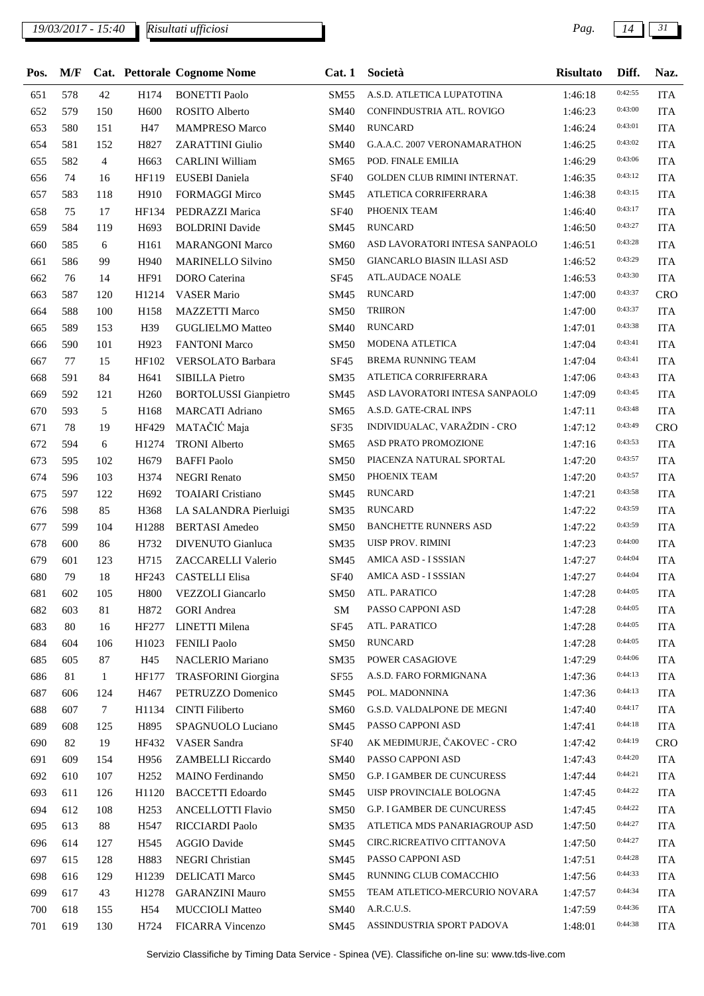| Pos. | M/F |                 |                   | Cat. Pettorale Cognome Nome  | Cat.1            | Società                           | <b>Risultato</b> | Diff.   | Naz.       |
|------|-----|-----------------|-------------------|------------------------------|------------------|-----------------------------------|------------------|---------|------------|
| 651  | 578 | 42              | H174              | <b>BONETTI Paolo</b>         | SM55             | A.S.D. ATLETICA LUPATOTINA        | 1:46:18          | 0:42:55 | <b>ITA</b> |
| 652  | 579 | 150             | H <sub>600</sub>  | ROSITO Alberto               | SM40             | CONFINDUSTRIA ATL. ROVIGO         | 1:46:23          | 0:43:00 | <b>ITA</b> |
| 653  | 580 | 151             | H47               | <b>MAMPRESO Marco</b>        | <b>SM40</b>      | <b>RUNCARD</b>                    | 1:46:24          | 0:43:01 | <b>ITA</b> |
| 654  | 581 | 152             | H827              | <b>ZARATTINI</b> Giulio      | SM40             | G.A.A.C. 2007 VERONAMARATHON      | 1:46:25          | 0:43:02 | <b>ITA</b> |
| 655  | 582 | 4               | H <sub>663</sub>  | <b>CARLINI William</b>       | SM65             | POD. FINALE EMILIA                | 1:46:29          | 0:43:06 | <b>ITA</b> |
| 656  | 74  | 16              | HF119             | EUSEBI Daniela               | <b>SF40</b>      | GOLDEN CLUB RIMINI INTERNAT.      | 1:46:35          | 0:43:12 | <b>ITA</b> |
| 657  | 583 | 118             | H910              | <b>FORMAGGI Mirco</b>        | SM45             | ATLETICA CORRIFERRARA             | 1:46:38          | 0:43:15 | <b>ITA</b> |
| 658  | 75  | 17              | HF134             | PEDRAZZI Marica              | <b>SF40</b>      | PHOENIX TEAM                      | 1:46:40          | 0:43:17 | <b>ITA</b> |
| 659  | 584 | 119             | H693              | <b>BOLDRINI</b> Davide       | SM45             | <b>RUNCARD</b>                    | 1:46:50          | 0:43:27 | <b>ITA</b> |
| 660  | 585 | 6               | H161              | <b>MARANGONI Marco</b>       | SM60             | ASD LAVORATORI INTESA SANPAOLO    | 1:46:51          | 0:43:28 | <b>ITA</b> |
| 661  | 586 | 99              | H940              | <b>MARINELLO Silvino</b>     | <b>SM50</b>      | GIANCARLO BIASIN ILLASI ASD       | 1:46:52          | 0:43:29 | <b>ITA</b> |
| 662  | 76  | 14              | HF91              | <b>DORO</b> Caterina         | SF45             | ATL.AUDACE NOALE                  | 1:46:53          | 0:43:30 | <b>ITA</b> |
| 663  | 587 | 120             | H1214             | <b>VASER Mario</b>           | SM45             | <b>RUNCARD</b>                    | 1:47:00          | 0:43:37 | <b>CRO</b> |
| 664  | 588 | 100             | H158              | <b>MAZZETTI Marco</b>        | <b>SM50</b>      | <b>TRIIRON</b>                    | 1:47:00          | 0:43:37 | <b>ITA</b> |
| 665  | 589 | 153             | H39               | <b>GUGLIELMO Matteo</b>      | <b>SM40</b>      | <b>RUNCARD</b>                    | 1:47:01          | 0:43:38 | <b>ITA</b> |
| 666  | 590 | 101             | H923              | <b>FANTONI Marco</b>         | <b>SM50</b>      | MODENA ATLETICA                   | 1:47:04          | 0:43:41 | <b>ITA</b> |
| 667  | 77  | 15              | HF102             | VERSOLATO Barbara            | <b>SF45</b>      | <b>BREMA RUNNING TEAM</b>         | 1:47:04          | 0:43:41 | <b>ITA</b> |
| 668  | 591 | 84              | H641              | <b>SIBILLA Pietro</b>        | SM35             | ATLETICA CORRIFERRARA             | 1:47:06          | 0:43:43 | <b>ITA</b> |
| 669  | 592 | 121             | H <sub>260</sub>  | <b>BORTOLUSSI</b> Gianpietro | SM45             | ASD LAVORATORI INTESA SANPAOLO    | 1:47:09          | 0:43:45 | <b>ITA</b> |
| 670  | 593 | 5               | H168              | <b>MARCATI Adriano</b>       | SM65             | A.S.D. GATE-CRAL INPS             | 1:47:11          | 0:43:48 | <b>ITA</b> |
| 671  | 78  | 19              | HF429             | MATAČIĆ Maja                 | SF35             | INDIVIDUALAC, VARAŽDIN - CRO      | 1:47:12          | 0:43:49 | <b>CRO</b> |
| 672  | 594 | 6               | H1274             | <b>TRONI Alberto</b>         | SM65             | ASD PRATO PROMOZIONE              | 1:47:16          | 0:43:53 | <b>ITA</b> |
| 673  | 595 | 102             | H <sub>679</sub>  | <b>BAFFI</b> Paolo           | <b>SM50</b>      | PIACENZA NATURAL SPORTAL          | 1:47:20          | 0:43:57 | <b>ITA</b> |
| 674  | 596 | 103             | H374              | <b>NEGRI Renato</b>          | <b>SM50</b>      | PHOENIX TEAM                      | 1:47:20          | 0:43:57 | <b>ITA</b> |
| 675  | 597 | 122             | H692              | <b>TOAIARI</b> Cristiano     | SM45             | <b>RUNCARD</b>                    | 1:47:21          | 0:43:58 | <b>ITA</b> |
| 676  | 598 | 85              | H368              | LA SALANDRA Pierluigi        | SM35             | <b>RUNCARD</b>                    | 1:47:22          | 0:43:59 | <b>ITA</b> |
| 677  | 599 | 104             | H1288             | <b>BERTASI</b> Amedeo        | <b>SM50</b>      | <b>BANCHETTE RUNNERS ASD</b>      | 1:47:22          | 0:43:59 | <b>ITA</b> |
| 678  | 600 | 86              | H732              | <b>DIVENUTO</b> Gianluca     | SM35             | UISP PROV. RIMINI                 | 1:47:23          | 0:44:00 | <b>ITA</b> |
| 679  | 601 | 123             | H715              | ZACCARELLI Valerio           | SM45             | AMICA ASD - I SSSIAN              | 1:47:27          | 0:44:04 | <b>ITA</b> |
| 680  | 79  | 18              | HF243             | <b>CASTELLI Elisa</b>        | <b>SF40</b>      | AMICA ASD - I SSSIAN              | 1:47:27          | 0:44:04 | <b>ITA</b> |
| 681  | 602 | 105             |                   | H800 VEZZOLI Giancarlo       |                  | SM50 ATL. PARATICO                | 1:47:28          | 0:44:05 | <b>ITA</b> |
| 682  | 603 | 81              | H872              | <b>GORI</b> Andrea           | SM               | PASSO CAPPONI ASD                 | 1:47:28          | 0:44:05 | <b>ITA</b> |
| 683  | 80  | 16              | HF277             | LINETTI Milena               | SF45             | ATL. PARATICO                     | 1:47:28          | 0:44:05 | <b>ITA</b> |
| 684  | 604 | 106             | H1023             | <b>FENILI Paolo</b>          | <b>SM50</b>      | <b>RUNCARD</b>                    | 1:47:28          | 0:44:05 | <b>ITA</b> |
| 685  | 605 | 87              | H45               | NACLERIO Mariano             | SM35             | POWER CASAGIOVE                   | 1:47:29          | 0:44:06 | <b>ITA</b> |
| 686  | 81  | $\mathbf{1}$    | HF177             | <b>TRASFORINI</b> Giorgina   | SF <sub>55</sub> | A.S.D. FARO FORMIGNANA            | 1:47:36          | 0:44:13 | <b>ITA</b> |
| 687  | 606 | 124             | H467              | PETRUZZO Domenico            | SM45             | POL. MADONNINA                    | 1:47:36          | 0:44:13 | <b>ITA</b> |
| 688  | 607 | $7\phantom{.0}$ | H1134             | <b>CINTI Filiberto</b>       | <b>SM60</b>      | G.S.D. VALDALPONE DE MEGNI        | 1:47:40          | 0:44:17 | <b>ITA</b> |
| 689  | 608 | 125             | H895              | SPAGNUOLO Luciano            | SM45             | PASSO CAPPONI ASD                 | 1:47:41          | 0:44:18 | <b>ITA</b> |
| 690  | 82  | 19              | HF432             | <b>VASER Sandra</b>          | <b>SF40</b>      | AK MEĐIMURJE, ČAKOVEC - CRO       | 1:47:42          | 0:44:19 | <b>CRO</b> |
| 691  | 609 | 154             | H956              | ZAMBELLI Riccardo            | <b>SM40</b>      | PASSO CAPPONI ASD                 | 1:47:43          | 0:44:20 | <b>ITA</b> |
| 692  | 610 | 107             | H <sub>252</sub>  | <b>MAINO</b> Ferdinando      | <b>SM50</b>      | G.P. I GAMBER DE CUNCURESS        | 1:47:44          | 0:44:21 | <b>ITA</b> |
| 693  | 611 | 126             | H1120             | <b>BACCETTI</b> Edoardo      | SM45             | UISP PROVINCIALE BOLOGNA          | 1:47:45          | 0:44:22 | <b>ITA</b> |
| 694  | 612 | 108             | H <sub>253</sub>  | <b>ANCELLOTTI Flavio</b>     | <b>SM50</b>      | <b>G.P. I GAMBER DE CUNCURESS</b> | 1:47:45          | 0:44:22 | <b>ITA</b> |
| 695  | 613 | 88              | H547              | RICCIARDI Paolo              | SM35             | ATLETICA MDS PANARIAGROUP ASD     | 1:47:50          | 0:44:27 | <b>ITA</b> |
| 696  | 614 | 127             | H <sub>545</sub>  | <b>AGGIO Davide</b>          | SM45             | CIRC.RICREATIVO CITTANOVA         | 1:47:50          | 0:44:27 | <b>ITA</b> |
| 697  | 615 | 128             | H883              | NEGRI Christian              | SM45             | PASSO CAPPONI ASD                 | 1:47:51          | 0:44:28 | <b>ITA</b> |
| 698  | 616 | 129             | H <sub>1239</sub> | <b>DELICATI Marco</b>        | SM45             | RUNNING CLUB COMACCHIO            | 1:47:56          | 0:44:33 | <b>ITA</b> |
| 699  | 617 | 43              | H <sub>1278</sub> | <b>GARANZINI Mauro</b>       | <b>SM55</b>      | TEAM ATLETICO-MERCURIO NOVARA     | 1:47:57          | 0:44:34 | <b>ITA</b> |
| 700  | 618 | 155             | H54               | <b>MUCCIOLI Matteo</b>       | SM40             | A.R.C.U.S.                        | 1:47:59          | 0:44:36 | <b>ITA</b> |
| 701  | 619 | 130             | H724              | FICARRA Vincenzo             | SM45             | ASSINDUSTRIA SPORT PADOVA         | 1:48:01          | 0:44:38 | <b>ITA</b> |
|      |     |                 |                   |                              |                  |                                   |                  |         |            |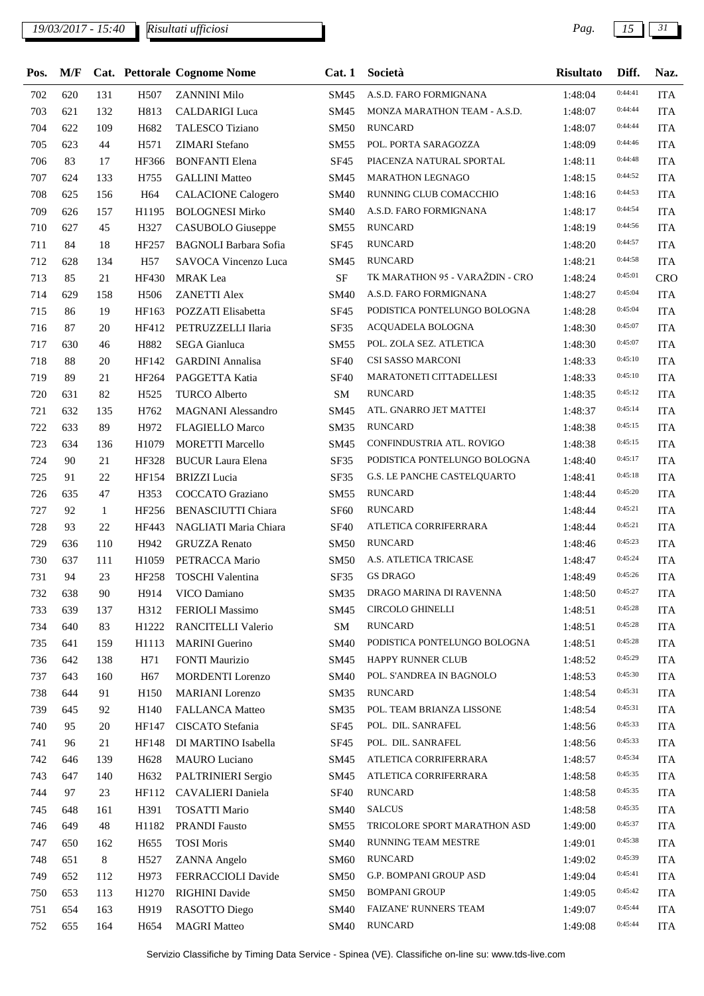# *19/03/2017 - 15:40 Pag. 15 31*

| Pos. | M/F |              |                   | Cat. Pettorale Cognome Nome  | Cat.1            | Società                         | <b>Risultato</b> | Diff.   | Naz.         |
|------|-----|--------------|-------------------|------------------------------|------------------|---------------------------------|------------------|---------|--------------|
| 702  | 620 | 131          | H507              | <b>ZANNINI Milo</b>          | <b>SM45</b>      | A.S.D. FARO FORMIGNANA          | 1:48:04          | 0:44:41 | <b>ITA</b>   |
| 703  | 621 | 132          | H813              | <b>CALDARIGI Luca</b>        | SM45             | MONZA MARATHON TEAM - A.S.D.    | 1:48:07          | 0:44:44 | <b>ITA</b>   |
| 704  | 622 | 109          | H682              | <b>TALESCO Tiziano</b>       | <b>SM50</b>      | <b>RUNCARD</b>                  | 1:48:07          | 0:44:44 | <b>ITA</b>   |
| 705  | 623 | 44           | H571              | ZIMARI Stefano               | <b>SM55</b>      | POL. PORTA SARAGOZZA            | 1:48:09          | 0:44:46 | <b>ITA</b>   |
| 706  | 83  | 17           | HF366             | <b>BONFANTI Elena</b>        | SF45             | PIACENZA NATURAL SPORTAL        | 1:48:11          | 0:44:48 | <b>ITA</b>   |
| 707  | 624 | 133          | H755              | <b>GALLINI</b> Matteo        | <b>SM45</b>      | <b>MARATHON LEGNAGO</b>         | 1:48:15          | 0:44:52 | <b>ITA</b>   |
| 708  | 625 | 156          | H <sub>64</sub>   | <b>CALACIONE Calogero</b>    | <b>SM40</b>      | RUNNING CLUB COMACCHIO          | 1:48:16          | 0:44:53 | <b>ITA</b>   |
| 709  | 626 | 157          | H1195             | <b>BOLOGNESI Mirko</b>       | <b>SM40</b>      | A.S.D. FARO FORMIGNANA          | 1:48:17          | 0:44:54 | <b>ITA</b>   |
| 710  | 627 | 45           | H327              | CASUBOLO Giuseppe            | SM55             | <b>RUNCARD</b>                  | 1:48:19          | 0:44:56 | <b>ITA</b>   |
| 711  | 84  | 18           | HF257             | <b>BAGNOLI Barbara Sofia</b> | SF45             | <b>RUNCARD</b>                  | 1:48:20          | 0:44:57 | <b>ITA</b>   |
| 712  | 628 | 134          | H <sub>57</sub>   | SAVOCA Vincenzo Luca         | SM45             | <b>RUNCARD</b>                  | 1:48:21          | 0:44:58 | <b>ITA</b>   |
| 713  | 85  | 21           | HF430             | <b>MRAK</b> Lea              | $\rm{SF}$        | TK MARATHON 95 - VARAŽDIN - CRO | 1:48:24          | 0:45:01 | CRO          |
| 714  | 629 | 158          | H506              | <b>ZANETTI Alex</b>          | <b>SM40</b>      | A.S.D. FARO FORMIGNANA          | 1:48:27          | 0:45:04 | <b>ITA</b>   |
| 715  | 86  | 19           | HF163             | <b>POZZATI</b> Elisabetta    | SF45             | PODISTICA PONTELUNGO BOLOGNA    | 1:48:28          | 0:45:04 | <b>ITA</b>   |
| 716  | 87  | 20           | HF412             | PETRUZZELLI Ilaria           | SF35             | ACQUADELA BOLOGNA               | 1:48:30          | 0:45:07 | <b>ITA</b>   |
| 717  | 630 | 46           | H882              | <b>SEGA Gianluca</b>         | <b>SM55</b>      | POL. ZOLA SEZ. ATLETICA         | 1:48:30          | 0:45:07 | <b>ITA</b>   |
| 718  | 88  | 20           | HF142             | <b>GARDINI</b> Annalisa      | <b>SF40</b>      | CSI SASSO MARCONI               | 1:48:33          | 0:45:10 | <b>ITA</b>   |
| 719  | 89  | 21           | HF264             | PAGGETTA Katia               | <b>SF40</b>      | MARATONETI CITTADELLESI         | 1:48:33          | 0:45:10 | <b>ITA</b>   |
| 720  | 631 | 82           | H <sub>525</sub>  | <b>TURCO Alberto</b>         | SM               | <b>RUNCARD</b>                  | 1:48:35          | 0:45:12 | <b>ITA</b>   |
| 721  | 632 | 135          | H762              | <b>MAGNANI</b> Alessandro    | SM45             | ATL. GNARRO JET MATTEI          | 1:48:37          | 0:45:14 | <b>ITA</b>   |
| 722  | 633 | 89           | H972              | FLAGIELLO Marco              | SM35             | <b>RUNCARD</b>                  | 1:48:38          | 0:45:15 | <b>ITA</b>   |
| 723  | 634 | 136          | H <sub>1079</sub> | <b>MORETTI Marcello</b>      | SM45             | CONFINDUSTRIA ATL. ROVIGO       | 1:48:38          | 0:45:15 | <b>ITA</b>   |
| 724  | 90  | 21           | HF328             | <b>BUCUR Laura Elena</b>     | SF35             | PODISTICA PONTELUNGO BOLOGNA    | 1:48:40          | 0:45:17 | <b>ITA</b>   |
| 725  | 91  | 22           | HF154             | <b>BRIZZI</b> Lucia          | SF35             | G.S. LE PANCHE CASTELQUARTO     | 1:48:41          | 0:45:18 | <b>ITA</b>   |
| 726  | 635 | 47           | H353              | COCCATO Graziano             | <b>SM55</b>      | <b>RUNCARD</b>                  | 1:48:44          | 0:45:20 | <b>ITA</b>   |
| 727  | 92  | $\mathbf{1}$ | HF256             | <b>BENASCIUTTI Chiara</b>    | <b>SF60</b>      | <b>RUNCARD</b>                  | 1:48:44          | 0:45:21 | <b>ITA</b>   |
| 728  | 93  | 22           | HF443             | NAGLIATI Maria Chiara        | <b>SF40</b>      | ATLETICA CORRIFERRARA           | 1:48:44          | 0:45:21 | <b>ITA</b>   |
| 729  | 636 | 110          | H942              | <b>GRUZZA Renato</b>         | <b>SM50</b>      | <b>RUNCARD</b>                  | 1:48:46          | 0:45:23 | <b>ITA</b>   |
| 730  | 637 | 111          | H1059             | PETRACCA Mario               | <b>SM50</b>      | A.S. ATLETICA TRICASE           | 1:48:47          | 0:45:24 | <b>ITA</b>   |
| 731  | 94  | 23           | HF258             | <b>TOSCHI</b> Valentina      | SF35             | <b>GS DRAGO</b>                 | 1:48:49          | 0:45:26 | <b>ITA</b>   |
| 732  | 638 | 90           |                   | H914 VICO Damiano            |                  | SM35 DRAGO MARINA DI RAVENNA    | 1:48:50          | 0:45:27 | $_{\rm ITA}$ |
| 733  | 639 | 137          | H312              | <b>FERIOLI</b> Massimo       | SM45             | CIRCOLO GHINELLI                | 1:48:51          | 0:45:28 | <b>ITA</b>   |
| 734  | 640 | 83           | H1222             | RANCITELLI Valerio           | SM               | <b>RUNCARD</b>                  | 1:48:51          | 0:45:28 | <b>ITA</b>   |
| 735  | 641 | 159          | H1113             | <b>MARINI</b> Guerino        | <b>SM40</b>      | PODISTICA PONTELUNGO BOLOGNA    | 1:48:51          | 0:45:28 | <b>ITA</b>   |
| 736  | 642 | 138          | H71               | <b>FONTI Maurizio</b>        | SM45             | HAPPY RUNNER CLUB               | 1:48:52          | 0:45:29 | <b>ITA</b>   |
| 737  | 643 | 160          | H <sub>67</sub>   | <b>MORDENTI</b> Lorenzo      | <b>SM40</b>      | POL. S'ANDREA IN BAGNOLO        | 1:48:53          | 0:45:30 | <b>ITA</b>   |
| 738  | 644 | 91           | H150              | <b>MARIANI</b> Lorenzo       | SM35             | <b>RUNCARD</b>                  | 1:48:54          | 0:45:31 | <b>ITA</b>   |
| 739  | 645 | 92           | H140              | <b>FALLANCA Matteo</b>       | SM <sub>35</sub> | POL. TEAM BRIANZA LISSONE       | 1:48:54          | 0:45:31 | <b>ITA</b>   |
| 740  | 95  | 20           | HF147             | CISCATO Stefania             | SF45             | POL. DIL. SANRAFEL              | 1:48:56          | 0:45:33 | <b>ITA</b>   |
| 741  | 96  | 21           | HF148             | DI MARTINO Isabella          | SF <sub>45</sub> | POL. DIL. SANRAFEL              | 1:48:56          | 0:45:33 | <b>ITA</b>   |
| 742  | 646 | 139          | H <sub>628</sub>  | <b>MAURO</b> Luciano         | SM45             | ATLETICA CORRIFERRARA           | 1:48:57          | 0:45:34 | <b>ITA</b>   |
| 743  | 647 | 140          | H632              | PALTRINIERI Sergio           | SM45             | ATLETICA CORRIFERRARA           | 1:48:58          | 0:45:35 | <b>ITA</b>   |
| 744  | 97  | 23           | HF112             | CAVALIERI Daniela            | <b>SF40</b>      | <b>RUNCARD</b>                  | 1:48:58          | 0:45:35 | <b>ITA</b>   |
| 745  | 648 | 161          | H391              | <b>TOSATTI Mario</b>         | <b>SM40</b>      | <b>SALCUS</b>                   | 1:48:58          | 0:45:35 | <b>ITA</b>   |
| 746  | 649 | 48           | H1182             | <b>PRANDI Fausto</b>         | SM55             | TRICOLORE SPORT MARATHON ASD    | 1:49:00          | 0:45:37 | <b>ITA</b>   |
| 747  | 650 | 162          | H655              | <b>TOSI Moris</b>            | <b>SM40</b>      | RUNNING TEAM MESTRE             | 1:49:01          | 0:45:38 | <b>ITA</b>   |
| 748  | 651 | 8            | H <sub>527</sub>  | ZANNA Angelo                 | <b>SM60</b>      | <b>RUNCARD</b>                  | 1:49:02          | 0:45:39 | <b>ITA</b>   |
| 749  |     |              |                   |                              |                  | G.P. BOMPANI GROUP ASD          |                  | 0:45:41 |              |
|      | 652 | 112          | H973              | FERRACCIOLI Davide           | <b>SM50</b>      | <b>BOMPANI GROUP</b>            | 1:49:04          | 0:45:42 | <b>ITA</b>   |
| 750  | 653 | 113          | H <sub>1270</sub> | RIGHINI Davide               | <b>SM50</b>      |                                 | 1:49:05          | 0:45:44 | <b>ITA</b>   |
| 751  | 654 | 163          | H919              | RASOTTO Diego                | <b>SM40</b>      | FAIZANE' RUNNERS TEAM           | 1:49:07          | 0:45:44 | <b>ITA</b>   |
| 752  | 655 | 164          | H654              | <b>MAGRI Matteo</b>          | <b>SM40</b>      | <b>RUNCARD</b>                  | 1:49:08          |         | <b>ITA</b>   |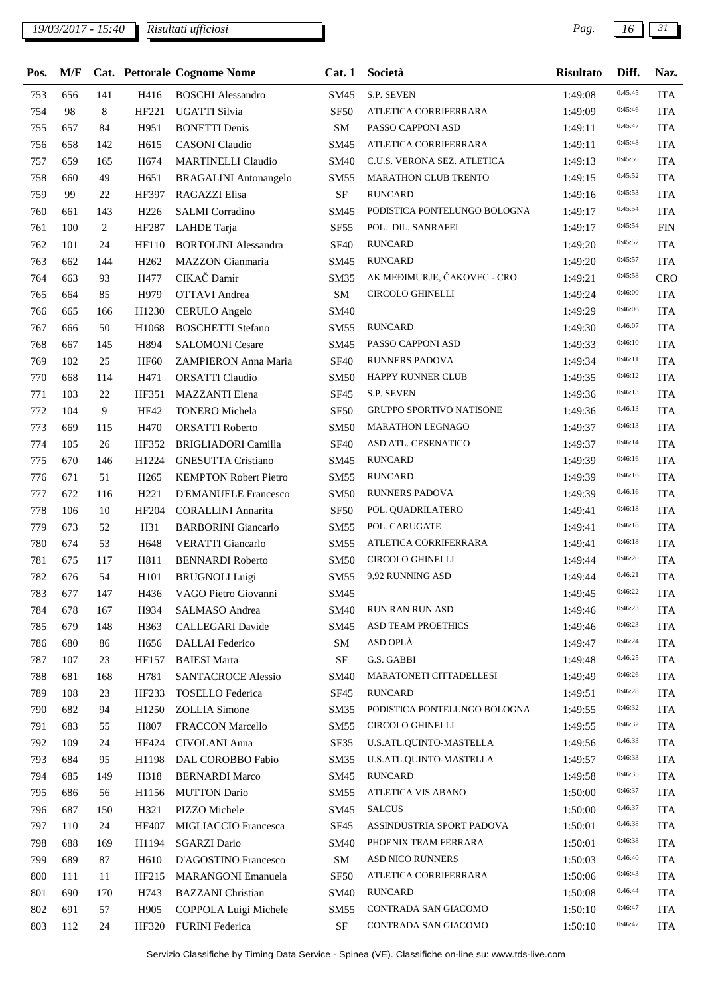# *19/03/2017 - 15:40 Pag. 16 31*

| M/F |     |                   |                              | Cat. 1                                                 | Società                         | <b>Risultato</b> | Diff.   | Naz.       |
|-----|-----|-------------------|------------------------------|--------------------------------------------------------|---------------------------------|------------------|---------|------------|
| 656 | 141 | H416              | <b>BOSCHI</b> Alessandro     | SM45                                                   | S.P. SEVEN                      | 1:49:08          | 0:45:45 | <b>ITA</b> |
| 98  | 8   | HF221             | UGATTI Silvia                | <b>SF50</b>                                            | ATLETICA CORRIFERRARA           | 1:49:09          | 0:45:46 | <b>ITA</b> |
| 657 | 84  | H951              | <b>BONETTI Denis</b>         | SM                                                     | PASSO CAPPONI ASD               | 1:49:11          | 0:45:47 | <b>ITA</b> |
| 658 | 142 | H615              | <b>CASONI</b> Claudio        | SM45                                                   | ATLETICA CORRIFERRARA           | 1:49:11          | 0:45:48 | <b>ITA</b> |
| 659 | 165 | H674              | <b>MARTINELLI Claudio</b>    | SM40                                                   | C.U.S. VERONA SEZ. ATLETICA     | 1:49:13          | 0:45:50 | <b>ITA</b> |
| 660 | 49  | H651              | <b>BRAGALINI</b> Antonangelo | SM55                                                   | MARATHON CLUB TRENTO            | 1:49:15          | 0:45:52 | <b>ITA</b> |
| 99  | 22  | HF397             | <b>RAGAZZI Elisa</b>         | $\rm{SF}$                                              | <b>RUNCARD</b>                  | 1:49:16          | 0:45:53 | <b>ITA</b> |
| 661 | 143 | H <sub>226</sub>  | <b>SALMI</b> Corradino       | SM45                                                   | PODISTICA PONTELUNGO BOLOGNA    | 1:49:17          | 0:45:54 | <b>ITA</b> |
| 100 | 2   | HF287             | LAHDE Tarja                  | SF55                                                   | POL. DIL. SANRAFEL              | 1:49:17          | 0:45:54 | <b>FIN</b> |
| 101 | 24  | HF110             | <b>BORTOLINI</b> Alessandra  | <b>SF40</b>                                            | <b>RUNCARD</b>                  | 1:49:20          | 0:45:57 | <b>ITA</b> |
| 662 | 144 | H <sub>262</sub>  | <b>MAZZON</b> Gianmaria      | SM45                                                   | <b>RUNCARD</b>                  | 1:49:20          | 0:45:57 | <b>ITA</b> |
| 663 | 93  | H477              | CIKAČ Damir                  | SM35                                                   | AK MEĐIMURJE, ČAKOVEC - CRO     | 1:49:21          | 0:45:58 | CRO        |
| 664 | 85  | H979              | <b>OTTAVI</b> Andrea         | ${\rm SM}$                                             | <b>CIRCOLO GHINELLI</b>         | 1:49:24          | 0:46:00 | <b>ITA</b> |
| 665 | 166 | H1230             | <b>CERULO</b> Angelo         | SM40                                                   |                                 | 1:49:29          | 0:46:06 | <b>ITA</b> |
| 666 | 50  | H1068             | <b>BOSCHETTI Stefano</b>     | SM55                                                   | <b>RUNCARD</b>                  | 1:49:30          | 0:46:07 | <b>ITA</b> |
| 667 | 145 | H894              | <b>SALOMONI Cesare</b>       | SM45                                                   | PASSO CAPPONI ASD               | 1:49:33          | 0:46:10 | <b>ITA</b> |
| 102 | 25  | <b>HF60</b>       | <b>ZAMPIERON Anna Maria</b>  | <b>SF40</b>                                            | <b>RUNNERS PADOVA</b>           | 1:49:34          | 0:46:11 | <b>ITA</b> |
| 668 | 114 | H471              | ORSATTI Claudio              | <b>SM50</b>                                            | HAPPY RUNNER CLUB               | 1:49:35          | 0:46:12 | <b>ITA</b> |
| 103 | 22  | HF351             | <b>MAZZANTI</b> Elena        | SF45                                                   | S.P. SEVEN                      | 1:49:36          | 0:46:13 | <b>ITA</b> |
| 104 | 9   | <b>HF42</b>       | <b>TONERO</b> Michela        | <b>SF50</b>                                            | <b>GRUPPO SPORTIVO NATISONE</b> | 1:49:36          | 0:46:13 | <b>ITA</b> |
| 669 | 115 | H470              | <b>ORSATTI Roberto</b>       | <b>SM50</b>                                            | <b>MARATHON LEGNAGO</b>         | 1:49:37          | 0:46:13 | <b>ITA</b> |
| 105 | 26  | HF352             | <b>BRIGLIADORI Camilla</b>   | <b>SF40</b>                                            | ASD ATL. CESENATICO             | 1:49:37          | 0:46:14 | <b>ITA</b> |
| 670 | 146 | H1224             | <b>GNESUTTA Cristiano</b>    | SM45                                                   | <b>RUNCARD</b>                  | 1:49:39          | 0:46:16 | <b>ITA</b> |
| 671 | 51  | H <sub>265</sub>  | <b>KEMPTON Robert Pietro</b> | SM55                                                   | <b>RUNCARD</b>                  | 1:49:39          | 0:46:16 | <b>ITA</b> |
| 672 | 116 | H <sub>221</sub>  | <b>D'EMANUELE Francesco</b>  | <b>SM50</b>                                            | <b>RUNNERS PADOVA</b>           | 1:49:39          | 0:46:16 | <b>ITA</b> |
| 106 | 10  | HF204             | <b>CORALLINI Annarita</b>    | <b>SF50</b>                                            | POL. QUADRILATERO               | 1:49:41          | 0:46:18 | <b>ITA</b> |
| 673 | 52  | H31               | <b>BARBORINI</b> Giancarlo   | SM55                                                   | POL. CARUGATE                   | 1:49:41          | 0:46:18 | <b>ITA</b> |
| 674 | 53  | H <sub>648</sub>  | <b>VERATTI Giancarlo</b>     | <b>SM55</b>                                            | ATLETICA CORRIFERRARA           | 1:49:41          | 0:46:18 | <b>ITA</b> |
| 675 | 117 | H811              | <b>BENNARDI Roberto</b>      | <b>SM50</b>                                            | <b>CIRCOLO GHINELLI</b>         | 1:49:44          | 0:46:20 | <b>ITA</b> |
| 676 | 54  | H101              | <b>BRUGNOLI</b> Luigi        | SM55                                                   | 9,92 RUNNING ASD                | 1:49:44          | 0:46:21 | <b>ITA</b> |
| 677 | 147 |                   | VAGO Pietro Giovanni         | SM45                                                   |                                 | 1:49:45          | 0:46:22 | <b>ITA</b> |
| 678 | 167 | H934              | SALMASO Andrea               | SM40                                                   | RUN RAN RUN ASD                 | 1:49:46          | 0:46:23 | <b>ITA</b> |
| 679 | 148 | H <sub>363</sub>  | <b>CALLEGARI</b> Davide      | SM45                                                   | ASD TEAM PROETHICS              | 1:49:46          | 0:46:23 | <b>ITA</b> |
| 680 | 86  | H656              | <b>DALLAI</b> Federico       | SM                                                     | ASD OPLÀ                        | 1:49:47          | 0:46:24 | <b>ITA</b> |
| 107 | 23  | HF157             | <b>BAIESI</b> Marta          | SF                                                     | G.S. GABBI                      | 1:49:48          | 0:46:25 | <b>ITA</b> |
| 681 | 168 | H781              | <b>SANTACROCE Alessio</b>    | <b>SM40</b>                                            | MARATONETI CITTADELLESI         | 1:49:49          | 0:46:26 | <b>ITA</b> |
| 108 | 23  | HF233             | TOSELLO Federica             | SF45                                                   | <b>RUNCARD</b>                  | 1:49:51          | 0:46:28 | <b>ITA</b> |
| 682 | 94  | H <sub>1250</sub> | <b>ZOLLIA</b> Simone         | SM35                                                   | PODISTICA PONTELUNGO BOLOGNA    | 1:49:55          | 0:46:32 | <b>ITA</b> |
| 683 | 55  | H807              | FRACCON Marcello             | SM55                                                   | CIRCOLO GHINELLI                | 1:49:55          | 0:46:32 | <b>ITA</b> |
| 109 | 24  | HF424             | CIVOLANI Anna                | SF35                                                   | U.S.ATL.QUINTO-MASTELLA         | 1:49:56          | 0:46:33 | <b>ITA</b> |
| 684 | 95  | H1198             | DAL COROBBO Fabio            | SM35                                                   | U.S.ATL.QUINTO-MASTELLA         | 1:49:57          | 0:46:33 | <b>ITA</b> |
| 685 | 149 | H318              | <b>BERNARDI Marco</b>        | SM45                                                   | <b>RUNCARD</b>                  | 1:49:58          | 0:46:35 | <b>ITA</b> |
| 686 | 56  | H1156             | <b>MUTTON Dario</b>          | <b>SM55</b>                                            | ATLETICA VIS ABANO              | 1:50:00          | 0:46:37 | <b>ITA</b> |
| 687 | 150 | H321              | PIZZO Michele                | SM45                                                   | <b>SALCUS</b>                   | 1:50:00          | 0:46:37 | <b>ITA</b> |
| 110 | 24  | HF407             | MIGLIACCIO Francesca         | SF45                                                   | ASSINDUSTRIA SPORT PADOVA       | 1:50:01          | 0:46:38 | <b>ITA</b> |
| 688 | 169 | H1194             | <b>SGARZI</b> Dario          | SM40                                                   | PHOENIX TEAM FERRARA            | 1:50:01          | 0:46:38 | <b>ITA</b> |
| 689 | 87  | H610              | D'AGOSTINO Francesco         | SM                                                     | <b>ASD NICO RUNNERS</b>         | 1:50:03          | 0:46:40 | <b>ITA</b> |
| 111 | 11  | HF215             | <b>MARANGONI</b> Emanuela    | <b>SF50</b>                                            | ATLETICA CORRIFERRARA           | 1:50:06          | 0:46:43 | <b>ITA</b> |
| 690 | 170 | H743              | <b>BAZZANI</b> Christian     | SM40                                                   | <b>RUNCARD</b>                  | 1:50:08          | 0:46:44 | <b>ITA</b> |
| 691 | 57  | H905              | COPPOLA Luigi Michele        | SM55                                                   | CONTRADA SAN GIACOMO            | 1:50:10          | 0:46:47 | <b>ITA</b> |
| 112 | 24  | HF320             |                              | $\rm{SF}$                                              | CONTRADA SAN GIACOMO            | 1:50:10          | 0:46:47 | <b>ITA</b> |
|     |     |                   |                              | Cat. Pettorale Cognome Nome<br>H436<br>FURINI Federica |                                 |                  |         |            |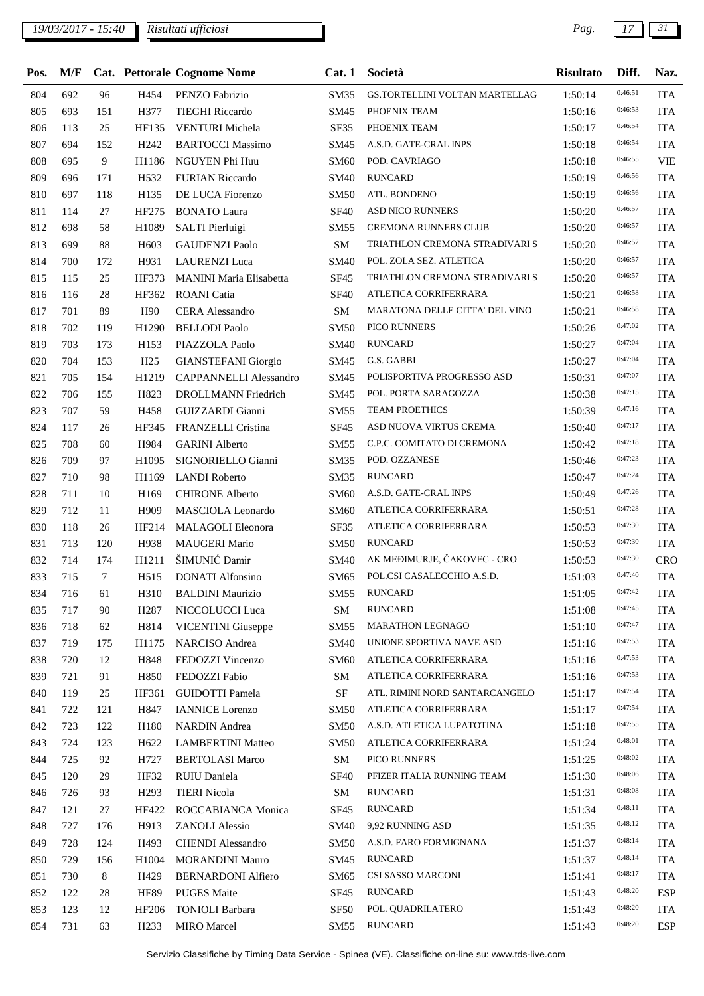# *19/03/2017 - 15:40 Pag. 17 31*

| Pos. | M/F |        |                   | Cat. Pettorale Cognome Nome           | Cat. 1      | Società                                           | <b>Risultato</b> | Diff.   | Naz.       |
|------|-----|--------|-------------------|---------------------------------------|-------------|---------------------------------------------------|------------------|---------|------------|
| 804  | 692 | 96     | H454              | PENZO Fabrizio                        | <b>SM35</b> | GS.TORTELLINI VOLTAN MARTELLAG                    | 1:50:14          | 0:46:51 | <b>ITA</b> |
| 805  | 693 | 151    | H377              | <b>TIEGHI Riccardo</b>                | SM45        | PHOENIX TEAM                                      | 1:50:16          | 0:46:53 | <b>ITA</b> |
| 806  | 113 | 25     | HF135             | VENTURI Michela                       | SF35        | PHOENIX TEAM                                      | 1:50:17          | 0:46:54 | <b>ITA</b> |
| 807  | 694 | 152    | H <sub>242</sub>  | <b>BARTOCCI Massimo</b>               | SM45        | A.S.D. GATE-CRAL INPS                             | 1:50:18          | 0:46:54 | <b>ITA</b> |
| 808  | 695 | 9      | H1186             | NGUYEN Phi Huu                        | <b>SM60</b> | POD. CAVRIAGO                                     | 1:50:18          | 0:46:55 | <b>VIE</b> |
| 809  | 696 | 171    | H <sub>532</sub>  | <b>FURIAN Riccardo</b>                | <b>SM40</b> | <b>RUNCARD</b>                                    | 1:50:19          | 0:46:56 | <b>ITA</b> |
| 810  | 697 | 118    | H135              | DE LUCA Fiorenzo                      | <b>SM50</b> | ATL. BONDENO                                      | 1:50:19          | 0:46:56 | <b>ITA</b> |
| 811  | 114 | 27     | HF275             | <b>BONATO Laura</b>                   | <b>SF40</b> | <b>ASD NICO RUNNERS</b>                           | 1:50:20          | 0:46:57 | <b>ITA</b> |
| 812  | 698 | 58     | H1089             | SALTI Pierluigi                       | SM55        | <b>CREMONA RUNNERS CLUB</b>                       | 1:50:20          | 0:46:57 | <b>ITA</b> |
| 813  | 699 | 88     | H <sub>603</sub>  | <b>GAUDENZI Paolo</b>                 | SM          | TRIATHLON CREMONA STRADIVARI S                    | 1:50:20          | 0:46:57 | <b>ITA</b> |
| 814  | 700 | 172    | H931              | <b>LAURENZI</b> Luca                  | <b>SM40</b> | POL. ZOLA SEZ. ATLETICA                           | 1:50:20          | 0:46:57 | <b>ITA</b> |
| 815  | 115 | 25     | HF373             | MANINI Maria Elisabetta               | SF45        | TRIATHLON CREMONA STRADIVARI S                    | 1:50:20          | 0:46:57 | <b>ITA</b> |
| 816  | 116 | 28     | HF362             | <b>ROANI</b> Catia                    | <b>SF40</b> | ATLETICA CORRIFERRARA                             | 1:50:21          | 0:46:58 | <b>ITA</b> |
| 817  | 701 | 89     | H90               | CERA Alessandro                       | SM          | MARATONA DELLE CITTA' DEL VINO                    | 1:50:21          | 0:46:58 | <b>ITA</b> |
| 818  | 702 | 119    | H1290             | <b>BELLODI</b> Paolo                  | <b>SM50</b> | PICO RUNNERS                                      | 1:50:26          | 0:47:02 | <b>ITA</b> |
| 819  | 703 | 173    | H153              | PIAZZOLA Paolo                        | <b>SM40</b> | <b>RUNCARD</b>                                    | 1:50:27          | 0:47:04 | <b>ITA</b> |
| 820  | 704 | 153    | H <sub>25</sub>   | <b>GIANSTEFANI</b> Giorgio            | SM45        | G.S. GABBI                                        | 1:50:27          | 0:47:04 | <b>ITA</b> |
| 821  | 705 | 154    | H1219             | CAPPANNELLI Alessandro                | SM45        | POLISPORTIVA PROGRESSO ASD                        | 1:50:31          | 0:47:07 | <b>ITA</b> |
| 822  | 706 | 155    | H823              | <b>DROLLMANN</b> Friedrich            | SM45        | POL. PORTA SARAGOZZA                              | 1:50:38          | 0:47:15 | <b>ITA</b> |
| 823  | 707 | 59     | H458              | GUIZZARDI Gianni                      | <b>SM55</b> | <b>TEAM PROETHICS</b>                             | 1:50:39          | 0:47:16 | <b>ITA</b> |
| 824  | 117 | 26     | HF345             | FRANZELLI Cristina                    | SF45        | ASD NUOVA VIRTUS CREMA                            | 1:50:40          | 0:47:17 | <b>ITA</b> |
| 825  | 708 | 60     | H984              | <b>GARINI</b> Alberto                 | SM55        | C.P.C. COMITATO DI CREMONA                        | 1:50:42          | 0:47:18 | <b>ITA</b> |
| 826  | 709 | 97     | H1095             | SIGNORIELLO Gianni                    | SM35        | POD. OZZANESE                                     | 1:50:46          | 0:47:23 | <b>ITA</b> |
| 827  | 710 | 98     | H1169             | <b>LANDI</b> Roberto                  | <b>SM35</b> | <b>RUNCARD</b>                                    | 1:50:47          | 0:47:24 | <b>ITA</b> |
| 828  | 711 | 10     | H169              | <b>CHIRONE Alberto</b>                | <b>SM60</b> | A.S.D. GATE-CRAL INPS                             | 1:50:49          | 0:47:26 | <b>ITA</b> |
| 829  | 712 | 11     | H <sub>909</sub>  | MASCIOLA Leonardo                     | <b>SM60</b> | ATLETICA CORRIFERRARA                             | 1:50:51          | 0:47:28 | <b>ITA</b> |
| 830  | 118 | 26     | HF214             | MALAGOLI Eleonora                     | SF35        | ATLETICA CORRIFERRARA                             | 1:50:53          | 0:47:30 | <b>ITA</b> |
| 831  | 713 | 120    |                   |                                       | <b>SM50</b> | <b>RUNCARD</b>                                    | 1:50:53          | 0:47:30 | <b>ITA</b> |
| 832  | 714 | 174    | H938<br>H1211     | <b>MAUGERI Mario</b><br>ŠIMUNIĆ Damir | <b>SM40</b> | AK MEĐIMURJE, ČAKOVEC - CRO                       | 1:50:53          | 0:47:30 | <b>CRO</b> |
| 833  | 715 | $\tau$ | H515              | <b>DONATI Alfonsino</b>               | SM65        | POL.CSI CASALECCHIO A.S.D.                        | 1:51:03          | 0:47:40 | <b>ITA</b> |
|      |     |        |                   |                                       |             | SM55 RUNCARD                                      |                  | 0:47:42 |            |
| 834  | 716 | 61     | H310              | <b>BALDINI Maurizio</b>               |             |                                                   | 1:51:05          | 0:47:45 | <b>ITA</b> |
| 835  | 717 | 90     | H <sub>287</sub>  | NICCOLUCCI Luca                       | SM          | RUNCARD<br>MARATHON LEGNAGO                       | 1:51:08          | 0:47:47 | <b>ITA</b> |
| 836  | 718 | 62     | H814              | <b>VICENTINI</b> Giuseppe             | <b>SM55</b> |                                                   | 1:51:10          | 0:47:53 | <b>ITA</b> |
| 837  | 719 | 175    | H1175             | NARCISO Andrea                        | <b>SM40</b> | UNIONE SPORTIVA NAVE ASD<br>ATLETICA CORRIFERRARA | 1:51:16          | 0:47:53 | <b>ITA</b> |
| 838  | 720 | 12     | H848              | FEDOZZI Vincenzo                      | <b>SM60</b> | ATLETICA CORRIFERRARA                             | 1:51:16          | 0:47:53 | <b>ITA</b> |
| 839  | 721 | 91     | H850              | FEDOZZI Fabio                         | SM          |                                                   | 1:51:16          | 0:47:54 | <b>ITA</b> |
| 840  | 119 | 25     | HF361             | GUIDOTTI Pamela                       | $\rm{SF}$   | ATL. RIMINI NORD SANTARCANGELO                    | 1:51:17          | 0:47:54 | <b>ITA</b> |
| 841  | 722 | 121    | H847              | <b>IANNICE</b> Lorenzo                | <b>SM50</b> | ATLETICA CORRIFERRARA                             | 1:51:17          |         | <b>ITA</b> |
| 842  | 723 | 122    | H180              | <b>NARDIN</b> Andrea                  | <b>SM50</b> | A.S.D. ATLETICA LUPATOTINA                        | 1:51:18          | 0:47:55 | <b>ITA</b> |
| 843  | 724 | 123    | H <sub>622</sub>  | <b>LAMBERTINI Matteo</b>              | <b>SM50</b> | ATLETICA CORRIFERRARA                             | 1:51:24          | 0:48:01 | <b>ITA</b> |
| 844  | 725 | 92     | H727              | <b>BERTOLASI Marco</b>                | SM          | PICO RUNNERS                                      | 1:51:25          | 0:48:02 | <b>ITA</b> |
| 845  | 120 | 29     | HF32              | RUIU Daniela                          | <b>SF40</b> | PFIZER ITALIA RUNNING TEAM                        | 1:51:30          | 0:48:06 | <b>ITA</b> |
| 846  | 726 | 93     | H <sub>293</sub>  | <b>TIERI</b> Nicola                   | SM          | <b>RUNCARD</b>                                    | 1:51:31          | 0:48:08 | <b>ITA</b> |
| 847  | 121 | 27     | HF422             | ROCCABIANCA Monica                    | SF45        | <b>RUNCARD</b>                                    | 1:51:34          | 0:48:11 | <b>ITA</b> |
| 848  | 727 | 176    | H913              | <b>ZANOLI</b> Alessio                 | <b>SM40</b> | 9,92 RUNNING ASD                                  | 1:51:35          | 0:48:12 | <b>ITA</b> |
| 849  | 728 | 124    | H493              | <b>CHENDI</b> Alessandro              | <b>SM50</b> | A.S.D. FARO FORMIGNANA                            | 1:51:37          | 0:48:14 | <b>ITA</b> |
| 850  | 729 | 156    | H1004             | <b>MORANDINI Mauro</b>                | SM45        | <b>RUNCARD</b>                                    | 1:51:37          | 0:48:14 | <b>ITA</b> |
| 851  | 730 | 8      | H429              | <b>BERNARDONI Alfiero</b>             | SM65        | CSI SASSO MARCONI                                 | 1:51:41          | 0:48:17 | <b>ITA</b> |
| 852  | 122 | 28     | <b>HF89</b>       | <b>PUGES</b> Maite                    | <b>SF45</b> | <b>RUNCARD</b>                                    | 1:51:43          | 0:48:20 | <b>ESP</b> |
| 853  | 123 | 12     | HF206             | <b>TONIOLI Barbara</b>                | <b>SF50</b> | POL. QUADRILATERO                                 | 1:51:43          | 0:48:20 | <b>ITA</b> |
| 854  | 731 | 63     | H <sub>2</sub> 33 | <b>MIRO</b> Marcel                    | SM55        | <b>RUNCARD</b>                                    | 1:51:43          | 0:48:20 | <b>ESP</b> |
|      |     |        |                   |                                       |             |                                                   |                  |         |            |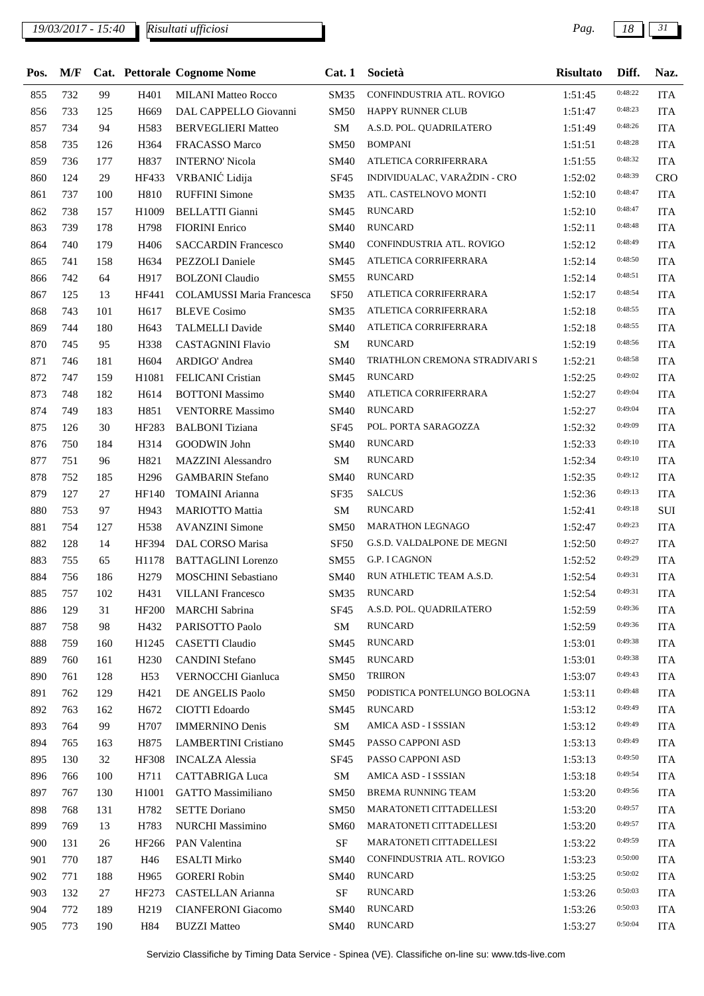| Pos. | M/F |     |                   | Cat. Pettorale Cognome Nome | Cat.1       | Società                        | <b>Risultato</b> | Diff.   | Naz.       |
|------|-----|-----|-------------------|-----------------------------|-------------|--------------------------------|------------------|---------|------------|
| 855  | 732 | 99  | H401              | <b>MILANI Matteo Rocco</b>  | <b>SM35</b> | CONFINDUSTRIA ATL. ROVIGO      | 1:51:45          | 0:48:22 | <b>ITA</b> |
| 856  | 733 | 125 | H <sub>669</sub>  | DAL CAPPELLO Giovanni       | <b>SM50</b> | <b>HAPPY RUNNER CLUB</b>       | 1:51:47          | 0:48:23 | <b>ITA</b> |
| 857  | 734 | 94  | H583              | <b>BERVEGLIERI Matteo</b>   | SM          | A.S.D. POL. QUADRILATERO       | 1:51:49          | 0:48:26 | <b>ITA</b> |
| 858  | 735 | 126 | H364              | <b>FRACASSO Marco</b>       | <b>SM50</b> | <b>BOMPANI</b>                 | 1:51:51          | 0:48:28 | <b>ITA</b> |
| 859  | 736 | 177 | H837              | <b>INTERNO' Nicola</b>      | <b>SM40</b> | ATLETICA CORRIFERRARA          | 1:51:55          | 0:48:32 | <b>ITA</b> |
| 860  | 124 | 29  | HF433             | VRBANIĆ Lidija              | SF45        | INDIVIDUALAC, VARAŽDIN - CRO   | 1:52:02          | 0:48:39 | CRO        |
| 861  | 737 | 100 | H810              | <b>RUFFINI</b> Simone       | <b>SM35</b> | ATL. CASTELNOVO MONTI          | 1:52:10          | 0:48:47 | <b>ITA</b> |
| 862  | 738 | 157 | H1009             | <b>BELLATTI</b> Gianni      | SM45        | <b>RUNCARD</b>                 | 1:52:10          | 0:48:47 | <b>ITA</b> |
| 863  | 739 | 178 | H798              | <b>FIORINI</b> Enrico       | <b>SM40</b> | <b>RUNCARD</b>                 | 1:52:11          | 0:48:48 | <b>ITA</b> |
| 864  | 740 | 179 | H406              | <b>SACCARDIN Francesco</b>  | <b>SM40</b> | CONFINDUSTRIA ATL. ROVIGO      | 1:52:12          | 0:48:49 | <b>ITA</b> |
| 865  | 741 | 158 | H634              | PEZZOLI Daniele             | SM45        | ATLETICA CORRIFERRARA          | 1:52:14          | 0:48:50 | <b>ITA</b> |
| 866  | 742 | 64  | H917              | <b>BOLZONI</b> Claudio      | SM55        | <b>RUNCARD</b>                 | 1:52:14          | 0:48:51 | <b>ITA</b> |
| 867  | 125 | 13  | HF441             | COLAMUSSI Maria Francesca   | <b>SF50</b> | ATLETICA CORRIFERRARA          | 1:52:17          | 0:48:54 | <b>ITA</b> |
| 868  | 743 | 101 | H617              | <b>BLEVE</b> Cosimo         | <b>SM35</b> | ATLETICA CORRIFERRARA          | 1:52:18          | 0:48:55 | <b>ITA</b> |
| 869  | 744 | 180 | H <sub>643</sub>  | <b>TALMELLI Davide</b>      | <b>SM40</b> | ATLETICA CORRIFERRARA          | 1:52:18          | 0:48:55 | <b>ITA</b> |
| 870  | 745 | 95  | H338              | <b>CASTAGNINI Flavio</b>    | SM          | <b>RUNCARD</b>                 | 1:52:19          | 0:48:56 | <b>ITA</b> |
| 871  | 746 | 181 | H <sub>604</sub>  | ARDIGO' Andrea              | <b>SM40</b> | TRIATHLON CREMONA STRADIVARI S | 1:52:21          | 0:48:58 | <b>ITA</b> |
| 872  | 747 | 159 | H1081             | FELICANI Cristian           | SM45        | <b>RUNCARD</b>                 | 1:52:25          | 0:49:02 | <b>ITA</b> |
| 873  | 748 | 182 | H614              | <b>BOTTONI</b> Massimo      | <b>SM40</b> | ATLETICA CORRIFERRARA          | 1:52:27          | 0:49:04 | <b>ITA</b> |
| 874  | 749 | 183 | H851              | <b>VENTORRE Massimo</b>     | <b>SM40</b> | <b>RUNCARD</b>                 | 1:52:27          | 0:49:04 | <b>ITA</b> |
| 875  | 126 | 30  | HF283             | <b>BALBONI</b> Tiziana      | <b>SF45</b> | POL. PORTA SARAGOZZA           | 1:52:32          | 0:49:09 | <b>ITA</b> |
| 876  | 750 | 184 | H314              | GOODWIN John                | <b>SM40</b> | <b>RUNCARD</b>                 | 1:52:33          | 0:49:10 | <b>ITA</b> |
| 877  | 751 | 96  | H821              | MAZZINI Alessandro          | <b>SM</b>   | <b>RUNCARD</b>                 | 1:52:34          | 0:49:10 | <b>ITA</b> |
| 878  | 752 | 185 | H <sub>296</sub>  | <b>GAMBARIN</b> Stefano     | <b>SM40</b> | <b>RUNCARD</b>                 | 1:52:35          | 0:49:12 | <b>ITA</b> |
| 879  | 127 | 27  | HF140             | <b>TOMAINI</b> Arianna      | <b>SF35</b> | <b>SALCUS</b>                  | 1:52:36          | 0:49:13 | <b>ITA</b> |
| 880  | 753 | 97  | H943              | <b>MARIOTTO Mattia</b>      | SM          | <b>RUNCARD</b>                 | 1:52:41          | 0:49:18 | SUI        |
| 881  | 754 | 127 | H538              | <b>AVANZINI Simone</b>      | <b>SM50</b> | <b>MARATHON LEGNAGO</b>        | 1:52:47          | 0:49:23 | <b>ITA</b> |
| 882  | 128 | 14  | HF394             | DAL CORSO Marisa            | <b>SF50</b> | G.S.D. VALDALPONE DE MEGNI     | 1:52:50          | 0:49:27 | <b>ITA</b> |
| 883  | 755 | 65  | H <sub>1178</sub> | <b>BATTAGLINI</b> Lorenzo   | SM55        | G.P. I CAGNON                  | 1:52:52          | 0:49:29 | <b>ITA</b> |
| 884  | 756 | 186 | H <sub>279</sub>  | MOSCHINI Sebastiano         | <b>SM40</b> | RUN ATHLETIC TEAM A.S.D.       | 1:52:54          | 0:49:31 | <b>ITA</b> |
| 885  | 757 | 102 |                   | H431 VILLANI Francesco      | SM35        | RUNCARD                        | 1:52:54          | 0:49:31 | <b>ITA</b> |
| 886  | 129 | 31  | <b>HF200</b>      | MARCHI Sabrina              | SF45        | A.S.D. POL. QUADRILATERO       | 1:52:59          | 0:49:36 | <b>ITA</b> |
| 887  | 758 | 98  | H432              | PARISOTTO Paolo             | SM          | <b>RUNCARD</b>                 | 1:52:59          | 0:49:36 | <b>ITA</b> |
| 888  | 759 | 160 | H1245             | <b>CASETTI</b> Claudio      | SM45        | <b>RUNCARD</b>                 | 1:53:01          | 0:49:38 | <b>ITA</b> |
| 889  | 760 | 161 | H <sub>230</sub>  | <b>CANDINI</b> Stefano      | SM45        | <b>RUNCARD</b>                 | 1:53:01          | 0:49:38 | <b>ITA</b> |
| 890  | 761 | 128 | H <sub>53</sub>   | VERNOCCHI Gianluca          | <b>SM50</b> | <b>TRIIRON</b>                 | 1:53:07          | 0:49:43 | <b>ITA</b> |
| 891  | 762 | 129 | H421              | DE ANGELIS Paolo            | <b>SM50</b> | PODISTICA PONTELUNGO BOLOGNA   | 1:53:11          | 0:49:48 | <b>ITA</b> |
| 892  | 763 | 162 | H <sub>672</sub>  | CIOTTI Edoardo              | SM45        | <b>RUNCARD</b>                 | 1:53:12          | 0:49:49 | <b>ITA</b> |
| 893  | 764 | 99  | H707              | <b>IMMERNINO Denis</b>      | SM          | AMICA ASD - I SSSIAN           | 1:53:12          | 0:49:49 | <b>ITA</b> |
| 894  | 765 | 163 | H875              | <b>LAMBERTINI</b> Cristiano | SM45        | PASSO CAPPONI ASD              | 1:53:13          | 0:49:49 | <b>ITA</b> |
| 895  | 130 | 32  | HF308             | <b>INCALZA Alessia</b>      | <b>SF45</b> | PASSO CAPPONI ASD              | 1:53:13          | 0:49:50 | <b>ITA</b> |
| 896  | 766 | 100 | H711              | CATTABRIGA Luca             | SM          | AMICA ASD - I SSSIAN           | 1:53:18          | 0:49:54 | <b>ITA</b> |
| 897  | 767 | 130 | H1001             | GATTO Massimiliano          | <b>SM50</b> | <b>BREMA RUNNING TEAM</b>      | 1:53:20          | 0:49:56 | <b>ITA</b> |
| 898  | 768 | 131 | H782              | <b>SETTE Doriano</b>        | <b>SM50</b> | MARATONETI CITTADELLESI        | 1:53:20          | 0:49:57 | <b>ITA</b> |
| 899  | 769 | 13  | H783              | <b>NURCHI Massimino</b>     | <b>SM60</b> | MARATONETI CITTADELLESI        | 1:53:20          | 0:49:57 | <b>ITA</b> |
| 900  | 131 | 26  | HF266             | PAN Valentina               | $\rm{SF}$   | MARATONETI CITTADELLESI        | 1:53:22          | 0:49:59 | <b>ITA</b> |
| 901  | 770 | 187 | H46               | <b>ESALTI Mirko</b>         | <b>SM40</b> | CONFINDUSTRIA ATL. ROVIGO      | 1:53:23          | 0:50:00 | <b>ITA</b> |
| 902  | 771 | 188 | H <sub>965</sub>  | <b>GORERI Robin</b>         | <b>SM40</b> | <b>RUNCARD</b>                 | 1:53:25          | 0:50:02 | <b>ITA</b> |
| 903  | 132 | 27  | HF273             | CASTELLAN Arianna           | SF          | <b>RUNCARD</b>                 | 1:53:26          | 0:50:03 | <b>ITA</b> |
| 904  | 772 | 189 | H <sub>219</sub>  | <b>CIANFERONI</b> Giacomo   | <b>SM40</b> | RUNCARD                        | 1:53:26          | 0:50:03 | <b>ITA</b> |
| 905  | 773 | 190 | H84               | <b>BUZZI Matteo</b>         | <b>SM40</b> | <b>RUNCARD</b>                 | 1:53:27          | 0:50:04 | <b>ITA</b> |
|      |     |     |                   |                             |             |                                |                  |         |            |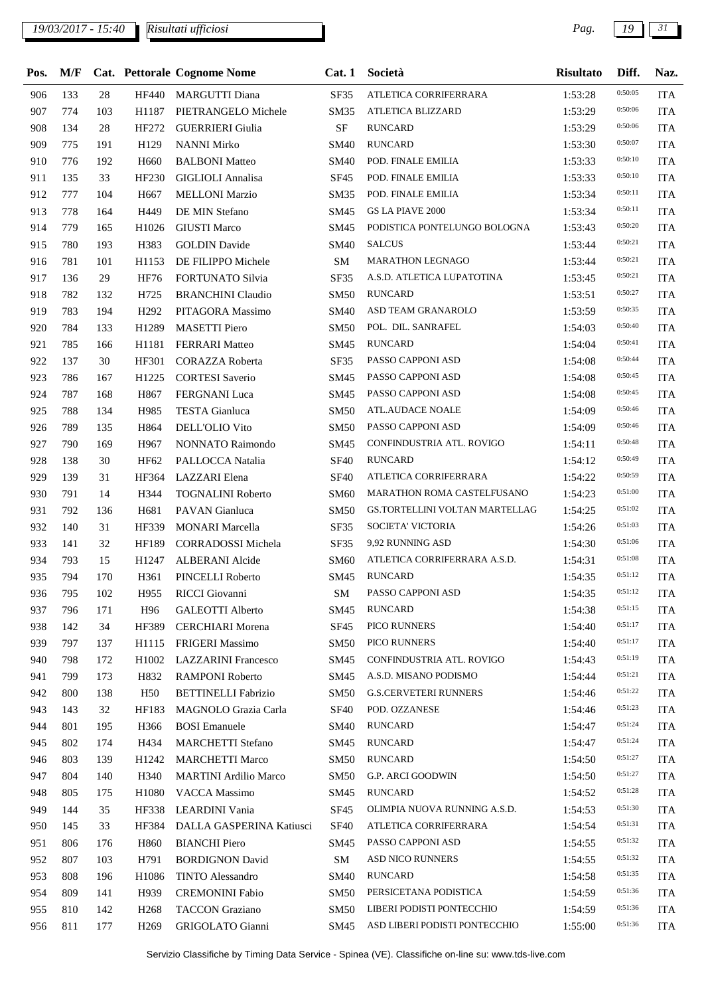# *19/03/2017 - 15:40 Pag. 19 31*

| Pos. |     |     |                   | M/F Cat. Pettorale Cognome Nome | Cat.1       | Società                        | <b>Risultato</b> | Diff.   | Naz.       |
|------|-----|-----|-------------------|---------------------------------|-------------|--------------------------------|------------------|---------|------------|
| 906  | 133 | 28  | HF440             | <b>MARGUTTI Diana</b>           | <b>SF35</b> | ATLETICA CORRIFERRARA          | 1:53:28          | 0:50:05 | <b>ITA</b> |
| 907  | 774 | 103 | H1187             | PIETRANGELO Michele             | <b>SM35</b> | ATLETICA BLIZZARD              | 1:53:29          | 0:50:06 | <b>ITA</b> |
| 908  | 134 | 28  | HF272             | <b>GUERRIERI Giulia</b>         | $\rm{SF}$   | <b>RUNCARD</b>                 | 1:53:29          | 0:50:06 | <b>ITA</b> |
| 909  | 775 | 191 | H129              | <b>NANNI Mirko</b>              | <b>SM40</b> | <b>RUNCARD</b>                 | 1:53:30          | 0:50:07 | <b>ITA</b> |
| 910  | 776 | 192 | H <sub>660</sub>  | <b>BALBONI</b> Matteo           | <b>SM40</b> | POD. FINALE EMILIA             | 1:53:33          | 0:50:10 | <b>ITA</b> |
| 911  | 135 | 33  | HF230             | <b>GIGLIOLI Annalisa</b>        | <b>SF45</b> | POD. FINALE EMILIA             | 1:53:33          | 0:50:10 | <b>ITA</b> |
| 912  | 777 | 104 | H667              | <b>MELLONI Marzio</b>           | <b>SM35</b> | POD. FINALE EMILIA             | 1:53:34          | 0:50:11 | <b>ITA</b> |
| 913  | 778 | 164 | H449              | DE MIN Stefano                  | SM45        | <b>GS LA PIAVE 2000</b>        | 1:53:34          | 0:50:11 | <b>ITA</b> |
| 914  | 779 | 165 | H1026             | <b>GIUSTI Marco</b>             | SM45        | PODISTICA PONTELUNGO BOLOGNA   | 1:53:43          | 0:50:20 | <b>ITA</b> |
| 915  | 780 | 193 | H383              | <b>GOLDIN</b> Davide            | <b>SM40</b> | <b>SALCUS</b>                  | 1:53:44          | 0:50:21 | <b>ITA</b> |
| 916  | 781 | 101 | H1153             | DE FILIPPO Michele              | SM          | MARATHON LEGNAGO               | 1:53:44          | 0:50:21 | <b>ITA</b> |
| 917  | 136 | 29  | <b>HF76</b>       | FORTUNATO Silvia                | SF35        | A.S.D. ATLETICA LUPATOTINA     | 1:53:45          | 0:50:21 | <b>ITA</b> |
| 918  | 782 | 132 | H725              | <b>BRANCHINI Claudio</b>        | <b>SM50</b> | <b>RUNCARD</b>                 | 1:53:51          | 0:50:27 | <b>ITA</b> |
| 919  | 783 | 194 | H <sub>292</sub>  | PITAGORA Massimo                | SM40        | ASD TEAM GRANAROLO             | 1:53:59          | 0:50:35 | <b>ITA</b> |
| 920  | 784 | 133 | H <sub>1289</sub> | <b>MASETTI Piero</b>            | SM50        | POL. DIL. SANRAFEL             | 1:54:03          | 0:50:40 | <b>ITA</b> |
| 921  | 785 | 166 | H1181             | <b>FERRARI</b> Matteo           | SM45        | <b>RUNCARD</b>                 | 1:54:04          | 0:50:41 | <b>ITA</b> |
| 922  | 137 | 30  | HF301             | <b>CORAZZA Roberta</b>          | SF35        | PASSO CAPPONI ASD              | 1:54:08          | 0:50:44 | <b>ITA</b> |
| 923  | 786 | 167 | H1225             | <b>CORTESI</b> Saverio          | SM45        | PASSO CAPPONI ASD              | 1:54:08          | 0:50:45 | <b>ITA</b> |
| 924  | 787 | 168 | H867              | FERGNANI Luca                   | SM45        | PASSO CAPPONI ASD              | 1:54:08          | 0:50:45 | <b>ITA</b> |
| 925  | 788 | 134 | H985              | <b>TESTA</b> Gianluca           | <b>SM50</b> | <b>ATL.AUDACE NOALE</b>        | 1:54:09          | 0:50:46 | <b>ITA</b> |
| 926  | 789 | 135 | H864              | DELL'OLIO Vito                  | <b>SM50</b> | PASSO CAPPONI ASD              | 1:54:09          | 0:50:46 | <b>ITA</b> |
| 927  | 790 | 169 | H967              | <b>NONNATO Raimondo</b>         | SM45        | CONFINDUSTRIA ATL. ROVIGO      | 1:54:11          | 0:50:48 | <b>ITA</b> |
| 928  | 138 | 30  | HF62              | PALLOCCA Natalia                | <b>SF40</b> | <b>RUNCARD</b>                 | 1:54:12          | 0:50:49 | <b>ITA</b> |
| 929  | 139 | 31  | HF364             | LAZZARI Elena                   | <b>SF40</b> | ATLETICA CORRIFERRARA          | 1:54:22          | 0:50:59 | <b>ITA</b> |
| 930  | 791 | 14  | H344              | <b>TOGNALINI Roberto</b>        | SM60        | MARATHON ROMA CASTELFUSANO     | 1:54:23          | 0:51:00 | <b>ITA</b> |
| 931  | 792 | 136 | H681              | PAVAN Gianluca                  | <b>SM50</b> | GS.TORTELLINI VOLTAN MARTELLAG | 1:54:25          | 0:51:02 | <b>ITA</b> |
| 932  | 140 | 31  | HF339             | <b>MONARI</b> Marcella          | SF35        | SOCIETA' VICTORIA              | 1:54:26          | 0:51:03 | <b>ITA</b> |
| 933  | 141 | 32  | HF189             | <b>CORRADOSSI Michela</b>       | SF35        | 9,92 RUNNING ASD               | 1:54:30          | 0:51:06 | <b>ITA</b> |
| 934  | 793 | 15  | H <sub>1247</sub> | <b>ALBERANI Alcide</b>          | SM60        | ATLETICA CORRIFERRARA A.S.D.   | 1:54:31          | 0:51:08 | <b>ITA</b> |
| 935  | 794 | 170 | H361              | PINCELLI Roberto                | SM45        | <b>RUNCARD</b>                 | 1:54:35          | 0:51:12 | <b>ITA</b> |
| 936  | 795 | 102 | H955              | RICCI Giovanni                  | ${\bf SM}$  | PASSO CAPPONI ASD              | 1:54:35          | 0:51:12 | <b>ITA</b> |
| 937  | 796 | 171 | H96               | <b>GALEOTTI</b> Alberto         | SM45        | <b>RUNCARD</b>                 | 1:54:38          | 0:51:15 | <b>ITA</b> |
| 938  | 142 | 34  | HF389             | <b>CERCHIARI</b> Morena         | <b>SF45</b> | PICO RUNNERS                   | 1:54:40          | 0:51:17 | <b>ITA</b> |
| 939  | 797 | 137 | H1115             | <b>FRIGERI Massimo</b>          | SM50        | PICO RUNNERS                   | 1:54:40          | 0:51:17 | <b>ITA</b> |
| 940  | 798 | 172 | H1002             | <b>LAZZARINI Francesco</b>      | SM45        | CONFINDUSTRIA ATL. ROVIGO      | 1:54:43          | 0:51:19 | <b>ITA</b> |
| 941  | 799 | 173 | H832              | RAMPONI Roberto                 | SM45        | A.S.D. MISANO PODISMO          | 1:54:44          | 0:51:21 | <b>ITA</b> |
| 942  | 800 | 138 | H50               | <b>BETTINELLI Fabrizio</b>      | <b>SM50</b> | <b>G.S.CERVETERI RUNNERS</b>   | 1:54:46          | 0:51:22 | <b>ITA</b> |
| 943  | 143 | 32  | HF183             | MAGNOLO Grazia Carla            | <b>SF40</b> | POD. OZZANESE                  | 1:54:46          | 0:51:23 | <b>ITA</b> |
| 944  | 801 | 195 | H <sub>366</sub>  | <b>BOSI</b> Emanuele            | <b>SM40</b> | <b>RUNCARD</b>                 | 1:54:47          | 0:51:24 | <b>ITA</b> |
| 945  | 802 | 174 | H434              | <b>MARCHETTI Stefano</b>        | SM45        | <b>RUNCARD</b>                 | 1:54:47          | 0:51:24 | <b>ITA</b> |
| 946  | 803 | 139 | H <sub>1242</sub> | <b>MARCHETTI Marco</b>          | SM50        | <b>RUNCARD</b>                 | 1:54:50          | 0:51:27 | <b>ITA</b> |
| 947  | 804 | 140 | H340              | <b>MARTINI</b> Ardilio Marco    | SM50        | G.P. ARCI GOODWIN              | 1:54:50          | 0:51:27 | <b>ITA</b> |
| 948  | 805 | 175 | H1080             | <b>VACCA</b> Massimo            | SM45        | <b>RUNCARD</b>                 | 1:54:52          | 0:51:28 | <b>ITA</b> |
| 949  | 144 | 35  | HF338             | LEARDINI Vania                  | <b>SF45</b> | OLIMPIA NUOVA RUNNING A.S.D.   | 1:54:53          | 0:51:30 | <b>ITA</b> |
| 950  | 145 | 33  | HF384             | DALLA GASPERINA Katiusci        | <b>SF40</b> | ATLETICA CORRIFERRARA          | 1:54:54          | 0:51:31 | <b>ITA</b> |
| 951  | 806 | 176 | H860              | <b>BIANCHI</b> Piero            | SM45        | PASSO CAPPONI ASD              | 1:54:55          | 0:51:32 | <b>ITA</b> |
| 952  | 807 | 103 | H791              | <b>BORDIGNON David</b>          | SM          | ASD NICO RUNNERS               | 1:54:55          | 0:51:32 | <b>ITA</b> |
| 953  | 808 | 196 | H1086             | <b>TINTO Alessandro</b>         | SM40        | <b>RUNCARD</b>                 | 1:54:58          | 0:51:35 | <b>ITA</b> |
| 954  | 809 | 141 | H939              | <b>CREMONINI Fabio</b>          | <b>SM50</b> | PERSICETANA PODISTICA          | 1:54:59          | 0:51:36 | <b>ITA</b> |
| 955  | 810 | 142 | H <sub>268</sub>  | <b>TACCON Graziano</b>          | <b>SM50</b> | LIBERI PODISTI PONTECCHIO      | 1:54:59          | 0:51:36 | <b>ITA</b> |
| 956  | 811 | 177 | H <sub>269</sub>  | GRIGOLATO Gianni                | SM45        | ASD LIBERI PODISTI PONTECCHIO  | 1:55:00          | 0:51:36 | <b>ITA</b> |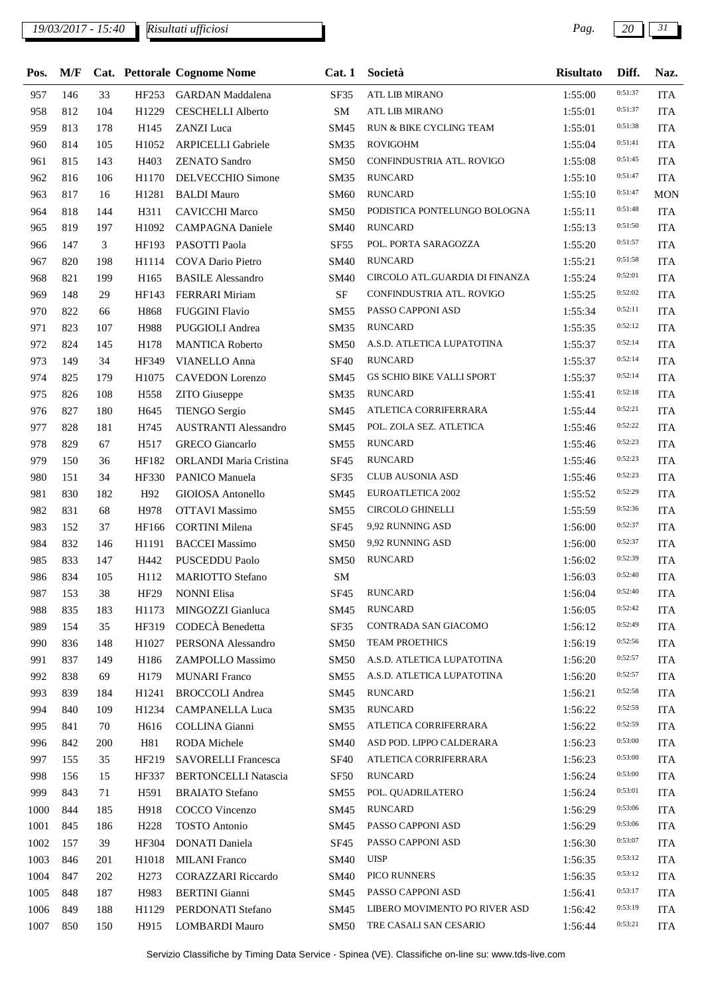### *19/03/2017 - 15:40 Pag. 20 31*

| Pos. | M/F |     |                   | Cat. Pettorale Cognome Nome | Cat.1            | Società                        | <b>Risultato</b> | Diff.   | Naz.       |
|------|-----|-----|-------------------|-----------------------------|------------------|--------------------------------|------------------|---------|------------|
| 957  | 146 | 33  | HF253             | <b>GARDAN</b> Maddalena     | SF35             | ATL LIB MIRANO                 | 1:55:00          | 0:51:37 | <b>ITA</b> |
| 958  | 812 | 104 | H1229             | <b>CESCHELLI Alberto</b>    | ${\bf SM}$       | <b>ATL LIB MIRANO</b>          | 1:55:01          | 0:51:37 | <b>ITA</b> |
| 959  | 813 | 178 | H145              | <b>ZANZI</b> Luca           | SM45             | RUN & BIKE CYCLING TEAM        | 1:55:01          | 0:51:38 | <b>ITA</b> |
| 960  | 814 | 105 | H1052             | <b>ARPICELLI Gabriele</b>   | SM35             | <b>ROVIGOHM</b>                | 1:55:04          | 0:51:41 | <b>ITA</b> |
| 961  | 815 | 143 | H403              | <b>ZENATO Sandro</b>        | <b>SM50</b>      | CONFINDUSTRIA ATL. ROVIGO      | 1:55:08          | 0:51:45 | <b>ITA</b> |
| 962  | 816 | 106 | H <sub>1170</sub> | DELVECCHIO Simone           | SM35             | <b>RUNCARD</b>                 | 1:55:10          | 0:51:47 | <b>ITA</b> |
| 963  | 817 | 16  | H1281             | <b>BALDI</b> Mauro          | <b>SM60</b>      | <b>RUNCARD</b>                 | 1:55:10          | 0:51:47 | <b>MON</b> |
| 964  | 818 | 144 | H311              | <b>CAVICCHI Marco</b>       | <b>SM50</b>      | PODISTICA PONTELUNGO BOLOGNA   | 1:55:11          | 0:51:48 | <b>ITA</b> |
| 965  | 819 | 197 | H1092             | <b>CAMPAGNA Daniele</b>     | <b>SM40</b>      | <b>RUNCARD</b>                 | 1:55:13          | 0:51:50 | <b>ITA</b> |
| 966  | 147 | 3   | HF193             | PASOTTI Paola               | <b>SF55</b>      | POL. PORTA SARAGOZZA           | 1:55:20          | 0:51:57 | <b>ITA</b> |
| 967  | 820 | 198 | H1114             | <b>COVA Dario Pietro</b>    | SM40             | <b>RUNCARD</b>                 | 1:55:21          | 0:51:58 | <b>ITA</b> |
| 968  | 821 | 199 | H165              | <b>BASILE Alessandro</b>    | <b>SM40</b>      | CIRCOLO ATL.GUARDIA DI FINANZA | 1:55:24          | 0:52:01 | <b>ITA</b> |
| 969  | 148 | 29  | HF143             | FERRARI Miriam              | $\rm{SF}$        | CONFINDUSTRIA ATL. ROVIGO      | 1:55:25          | 0:52:02 | <b>ITA</b> |
| 970  | 822 | 66  | H868              | <b>FUGGINI Flavio</b>       | SM55             | PASSO CAPPONI ASD              | 1:55:34          | 0:52:11 | <b>ITA</b> |
| 971  | 823 | 107 | H988              | PUGGIOLI Andrea             | SM35             | <b>RUNCARD</b>                 | 1:55:35          | 0:52:12 | <b>ITA</b> |
| 972  | 824 | 145 | H178              | <b>MANTICA Roberto</b>      | <b>SM50</b>      | A.S.D. ATLETICA LUPATOTINA     | 1:55:37          | 0:52:14 | <b>ITA</b> |
| 973  | 149 | 34  | HF349             | <b>VIANELLO Anna</b>        | <b>SF40</b>      | <b>RUNCARD</b>                 | 1:55:37          | 0:52:14 | <b>ITA</b> |
| 974  | 825 | 179 | H <sub>1075</sub> | <b>CAVEDON</b> Lorenzo      | SM45             | GS SCHIO BIKE VALLI SPORT      | 1:55:37          | 0:52:14 | <b>ITA</b> |
| 975  | 826 | 108 | H <sub>558</sub>  | <b>ZITO</b> Giuseppe        | SM35             | <b>RUNCARD</b>                 | 1:55:41          | 0:52:18 | <b>ITA</b> |
| 976  | 827 | 180 | H645              | <b>TIENGO Sergio</b>        | SM45             | ATLETICA CORRIFERRARA          | 1:55:44          | 0:52:21 | <b>ITA</b> |
| 977  | 828 | 181 | H745              | <b>AUSTRANTI Alessandro</b> | SM45             | POL. ZOLA SEZ. ATLETICA        | 1:55:46          | 0:52:22 | <b>ITA</b> |
| 978  | 829 | 67  | H517              | <b>GRECO</b> Giancarlo      | SM55             | <b>RUNCARD</b>                 | 1:55:46          | 0:52:23 | <b>ITA</b> |
| 979  | 150 | 36  | HF182             | ORLANDI Maria Cristina      | <b>SF45</b>      | <b>RUNCARD</b>                 | 1:55:46          | 0:52:23 | <b>ITA</b> |
| 980  | 151 | 34  | HF330             | PANICO Manuela              | SF35             | CLUB AUSONIA ASD               | 1:55:46          | 0:52:23 | <b>ITA</b> |
| 981  | 830 | 182 | H92               | GIOIOSA Antonello           | SM45             | EUROATLETICA 2002              | 1:55:52          | 0:52:29 | <b>ITA</b> |
| 982  | 831 | 68  | H978              | <b>OTTAVI</b> Massimo       | SM55             | <b>CIRCOLO GHINELLI</b>        | 1:55:59          | 0:52:36 | <b>ITA</b> |
| 983  | 152 | 37  | HF166             | <b>CORTINI</b> Milena       | SF45             | 9,92 RUNNING ASD               | 1:56:00          | 0:52:37 | <b>ITA</b> |
| 984  | 832 | 146 | H1191             | <b>BACCEI Massimo</b>       | <b>SM50</b>      | 9,92 RUNNING ASD               | 1:56:00          | 0:52:37 | <b>ITA</b> |
| 985  | 833 | 147 | H442              | PUSCEDDU Paolo              | <b>SM50</b>      | <b>RUNCARD</b>                 | 1:56:02          | 0:52:39 | <b>ITA</b> |
| 986  | 834 | 105 | H112              | MARIOTTO Stefano            | SM               |                                | 1:56:03          | 0:52:40 | <b>ITA</b> |
| 987  | 153 | 38  | HF29              | <b>NONNI Elisa</b>          | SF <sub>45</sub> | <b>RUNCARD</b>                 | 1:56:04          | 0:52:40 | <b>ITA</b> |
| 988  | 835 | 183 | H1173             | MINGOZZI Gianluca           | SM45             | <b>RUNCARD</b>                 | 1:56:05          | 0:52:42 | <b>ITA</b> |
| 989  | 154 | 35  | HF319             | CODECÀ Benedetta            | SF35             | CONTRADA SAN GIACOMO           | 1:56:12          | 0:52:49 | <b>ITA</b> |
| 990  | 836 | 148 | H1027             | PERSONA Alessandro          | <b>SM50</b>      | <b>TEAM PROETHICS</b>          | 1:56:19          | 0:52:56 | <b>ITA</b> |
| 991  | 837 | 149 | H186              | ZAMPOLLO Massimo            | <b>SM50</b>      | A.S.D. ATLETICA LUPATOTINA     | 1:56:20          | 0:52:57 | <b>ITA</b> |
| 992  | 838 | 69  | H179              | <b>MUNARI</b> Franco        | SM55             | A.S.D. ATLETICA LUPATOTINA     | 1:56:20          | 0:52:57 | <b>ITA</b> |
| 993  | 839 | 184 | H <sub>1241</sub> | <b>BROCCOLI</b> Andrea      | SM45             | <b>RUNCARD</b>                 | 1:56:21          | 0:52:58 | <b>ITA</b> |
| 994  | 840 | 109 | H1234             | <b>CAMPANELLA Luca</b>      | SM35             | <b>RUNCARD</b>                 | 1:56:22          | 0:52:59 | <b>ITA</b> |
| 995  | 841 | 70  | H616              | COLLINA Gianni              | SM55             | ATLETICA CORRIFERRARA          | 1:56:22          | 0:52:59 | <b>ITA</b> |
| 996  | 842 | 200 | H81               | RODA Michele                | <b>SM40</b>      | ASD POD. LIPPO CALDERARA       | 1:56:23          | 0:53:00 | <b>ITA</b> |
| 997  | 155 | 35  | HF219             | <b>SAVORELLI Francesca</b>  | <b>SF40</b>      | ATLETICA CORRIFERRARA          | 1:56:23          | 0:53:00 | <b>ITA</b> |
| 998  | 156 | 15  | HF337             | <b>BERTONCELLI Natascia</b> | SF <sub>50</sub> | <b>RUNCARD</b>                 | 1:56:24          | 0:53:00 | <b>ITA</b> |
| 999  | 843 | 71  | H591              | <b>BRAIATO</b> Stefano      | SM55             | POL. QUADRILATERO              | 1:56:24          | 0:53:01 | <b>ITA</b> |
| 1000 | 844 | 185 | H918              | COCCO Vincenzo              | SM45             | <b>RUNCARD</b>                 | 1:56:29          | 0:53:06 | <b>ITA</b> |
| 1001 | 845 | 186 | H <sub>228</sub>  | <b>TOSTO Antonio</b>        | SM45             | PASSO CAPPONI ASD              | 1:56:29          | 0:53:06 | <b>ITA</b> |
| 1002 | 157 | 39  | HF304             | DONATI Daniela              | SF <sub>45</sub> | PASSO CAPPONI ASD              | 1:56:30          | 0:53:07 | <b>ITA</b> |
| 1003 | 846 | 201 | H1018             | <b>MILANI</b> Franco        | <b>SM40</b>      | <b>UISP</b>                    | 1:56:35          | 0:53:12 | <b>ITA</b> |
| 1004 | 847 | 202 | H <sub>273</sub>  | <b>CORAZZARI</b> Riccardo   | <b>SM40</b>      | PICO RUNNERS                   | 1:56:35          | 0:53:12 | <b>ITA</b> |
| 1005 | 848 | 187 | H983              | <b>BERTINI</b> Gianni       | SM45             | PASSO CAPPONI ASD              | 1:56:41          | 0:53:17 | <b>ITA</b> |
| 1006 | 849 | 188 | H1129             | PERDONATI Stefano           | SM45             | LIBERO MOVIMENTO PO RIVER ASD  | 1:56:42          | 0:53:19 | <b>ITA</b> |
| 1007 | 850 | 150 | H915              | <b>LOMBARDI Mauro</b>       | <b>SM50</b>      | TRE CASALI SAN CESARIO         | 1:56:44          | 0:53:21 | <b>ITA</b> |
|      |     |     |                   |                             |                  |                                |                  |         |            |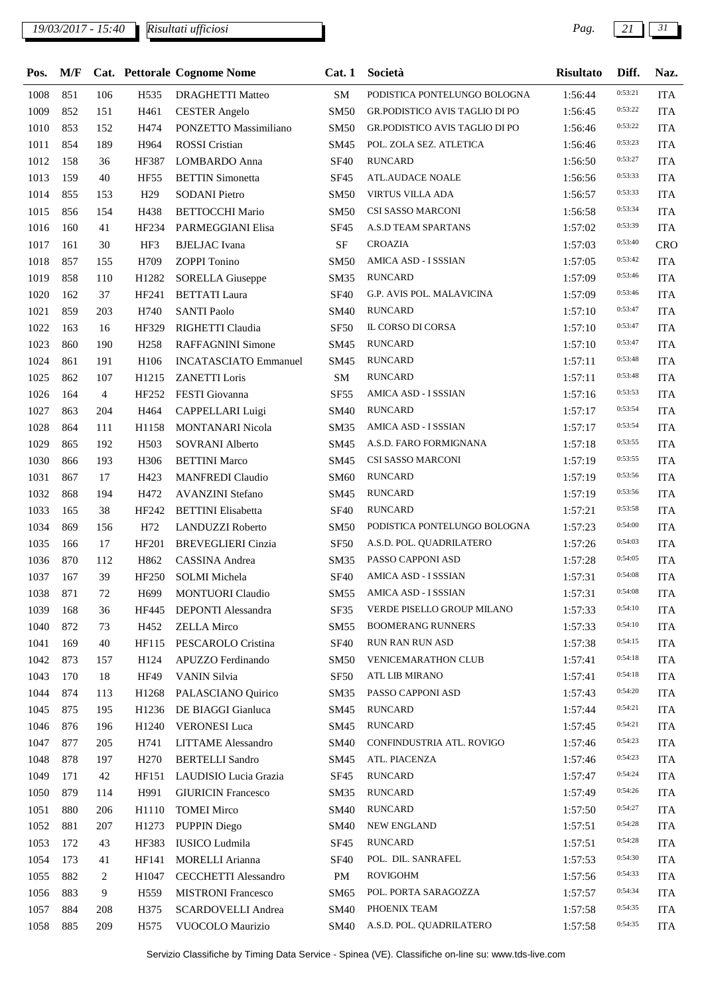### *19/03/2017 - 15:40 Pag. 21 31*

| Pos. | M/F |                |                   | Cat. Pettorale Cognome Nome  | <b>Cat. 1</b>    | Società                        | <b>Risultato</b> | Diff.   | Naz.       |
|------|-----|----------------|-------------------|------------------------------|------------------|--------------------------------|------------------|---------|------------|
| 1008 | 851 | 106            | H <sub>535</sub>  | <b>DRAGHETTI Matteo</b>      | SM               | PODISTICA PONTELUNGO BOLOGNA   | 1:56:44          | 0:53:21 | <b>ITA</b> |
| 1009 | 852 | 151            | H461              | <b>CESTER Angelo</b>         | <b>SM50</b>      | GR.PODISTICO AVIS TAGLIO DI PO | 1:56:45          | 0:53:22 | <b>ITA</b> |
| 1010 | 853 | 152            | H474              | PONZETTO Massimiliano        | <b>SM50</b>      | GR.PODISTICO AVIS TAGLIO DI PO | 1:56:46          | 0:53:22 | <b>ITA</b> |
| 1011 | 854 | 189            | H964              | <b>ROSSI</b> Cristian        | SM45             | POL. ZOLA SEZ. ATLETICA        | 1:56:46          | 0:53:23 | <b>ITA</b> |
| 1012 | 158 | 36             | HF387             | LOMBARDO Anna                | <b>SF40</b>      | <b>RUNCARD</b>                 | 1:56:50          | 0:53:27 | <b>ITA</b> |
| 1013 | 159 | 40             | <b>HF55</b>       | <b>BETTIN</b> Simonetta      | SF45             | <b>ATL.AUDACE NOALE</b>        | 1:56:56          | 0:53:33 | <b>ITA</b> |
| 1014 | 855 | 153            | H <sub>29</sub>   | <b>SODANI</b> Pietro         | <b>SM50</b>      | <b>VIRTUS VILLA ADA</b>        | 1:56:57          | 0:53:33 | <b>ITA</b> |
| 1015 | 856 | 154            | H438              | <b>BETTOCCHI</b> Mario       | <b>SM50</b>      | CSI SASSO MARCONI              | 1:56:58          | 0:53:34 | <b>ITA</b> |
| 1016 | 160 | 41             | HF234             | PARMEGGIANI Elisa            | SF45             | A.S.D TEAM SPARTANS            | 1:57:02          | 0:53:39 | <b>ITA</b> |
| 1017 | 161 | 30             | HF3               | <b>BJELJAC</b> Ivana         | $\rm{SF}$        | <b>CROAZIA</b>                 | 1:57:03          | 0:53:40 | CRO        |
| 1018 | 857 | 155            | H709              | <b>ZOPPI</b> Tonino          | <b>SM50</b>      | AMICA ASD - I SSSIAN           | 1:57:05          | 0:53:42 | <b>ITA</b> |
| 1019 | 858 | 110            | H1282             | <b>SORELLA Giuseppe</b>      | <b>SM35</b>      | <b>RUNCARD</b>                 | 1:57:09          | 0:53:46 | <b>ITA</b> |
| 1020 | 162 | 37             | HF241             | <b>BETTATI</b> Laura         | <b>SF40</b>      | G.P. AVIS POL. MALAVICINA      | 1:57:09          | 0:53:46 | <b>ITA</b> |
| 1021 | 859 | 203            | H740              | <b>SANTI Paolo</b>           | <b>SM40</b>      | <b>RUNCARD</b>                 | 1:57:10          | 0:53:47 | <b>ITA</b> |
| 1022 | 163 | 16             | HF329             | RIGHETTI Claudia             | <b>SF50</b>      | IL CORSO DI CORSA              | 1:57:10          | 0:53:47 | <b>ITA</b> |
| 1023 | 860 | 190            | H <sub>258</sub>  | RAFFAGNINI Simone            | SM45             | <b>RUNCARD</b>                 | 1:57:10          | 0:53:47 | <b>ITA</b> |
| 1024 | 861 | 191            | H106              | <b>INCATASCIATO Emmanuel</b> | SM45             | <b>RUNCARD</b>                 | 1:57:11          | 0:53:48 | <b>ITA</b> |
| 1025 | 862 | 107            | H1215             | <b>ZANETTI</b> Loris         | ${\bf SM}$       | <b>RUNCARD</b>                 | 1:57:11          | 0:53:48 | <b>ITA</b> |
| 1026 | 164 | $\overline{4}$ | HF252             | FESTI Giovanna               | SF <sub>55</sub> | AMICA ASD - I SSSIAN           | 1:57:16          | 0:53:53 | <b>ITA</b> |
| 1027 | 863 | 204            | H464              | CAPPELLARI Luigi             | <b>SM40</b>      | <b>RUNCARD</b>                 | 1:57:17          | 0:53:54 | <b>ITA</b> |
| 1028 | 864 | 111            | H1158             | MONTANARI Nicola             | <b>SM35</b>      | AMICA ASD - I SSSIAN           | 1:57:17          | 0:53:54 | <b>ITA</b> |
| 1029 | 865 | 192            | H <sub>503</sub>  | <b>SOVRANI</b> Alberto       | SM45             | A.S.D. FARO FORMIGNANA         | 1:57:18          | 0:53:55 | <b>ITA</b> |
| 1030 | 866 | 193            | H306              | <b>BETTINI</b> Marco         | SM45             | CSI SASSO MARCONI              | 1:57:19          | 0:53:55 | <b>ITA</b> |
| 1031 | 867 | 17             | H423              | <b>MANFREDI Claudio</b>      | <b>SM60</b>      | <b>RUNCARD</b>                 | 1:57:19          | 0:53:56 | <b>ITA</b> |
| 1032 | 868 | 194            | H472              | <b>AVANZINI</b> Stefano      | SM45             | <b>RUNCARD</b>                 | 1:57:19          | 0:53:56 | <b>ITA</b> |
| 1033 | 165 | 38             | HF242             | <b>BETTINI</b> Elisabetta    | <b>SF40</b>      | <b>RUNCARD</b>                 | 1:57:21          | 0:53:58 | <b>ITA</b> |
| 1034 | 869 | 156            | H72               | LANDUZZI Roberto             | <b>SM50</b>      | PODISTICA PONTELUNGO BOLOGNA   | 1:57:23          | 0:54:00 | <b>ITA</b> |
| 1035 | 166 | 17             | <b>HF201</b>      | <b>BREVEGLIERI</b> Cinzia    | <b>SF50</b>      | A.S.D. POL. QUADRILATERO       | 1:57:26          | 0:54:03 | <b>ITA</b> |
| 1036 | 870 | 112            | H862              | CASSINA Andrea               | SM35             | PASSO CAPPONI ASD              | 1:57:28          | 0:54:05 | <b>ITA</b> |
| 1037 | 167 | 39             | <b>HF250</b>      | SOLMI Michela                | <b>SF40</b>      | AMICA ASD - I SSSIAN           | 1:57:31          | 0:54:08 | <b>ITA</b> |
| 1038 | 871 | 72             | H <sub>699</sub>  | <b>MONTUORI</b> Claudio      | SM <sub>55</sub> | AMICA ASD - I SSSIAN           | 1:57:31          | 0:54:08 | <b>ITA</b> |
| 1039 | 168 | 36             | HF445             | <b>DEPONTI</b> Alessandra    | SF35             | VERDE PISELLO GROUP MILANO     | 1:57:33          | 0:54:10 | <b>ITA</b> |
| 1040 | 872 | 73             | H452              | <b>ZELLA</b> Mirco           | SM55             | <b>BOOMERANG RUNNERS</b>       | 1:57:33          | 0:54:10 | <b>ITA</b> |
| 1041 | 169 | 40             | HF115             | PESCAROLO Cristina           | <b>SF40</b>      | <b>RUN RAN RUN ASD</b>         | 1:57:38          | 0:54:15 | <b>ITA</b> |
| 1042 | 873 | 157            | H124              | APUZZO Ferdinando            | <b>SM50</b>      | VENICEMARATHON CLUB            | 1:57:41          | 0:54:18 | <b>ITA</b> |
| 1043 | 170 | 18             | <b>HF49</b>       | <b>VANIN Silvia</b>          | SF <sub>50</sub> | ATL LIB MIRANO                 | 1:57:41          | 0:54:18 | <b>ITA</b> |
| 1044 | 874 | 113            | H1268             | PALASCIANO Quirico           | SM35             | PASSO CAPPONI ASD              | 1:57:43          | 0:54:20 | <b>ITA</b> |
| 1045 | 875 | 195            | H <sub>1236</sub> | DE BIAGGI Gianluca           | SM45             | <b>RUNCARD</b>                 | 1:57:44          | 0:54:21 | <b>ITA</b> |
| 1046 | 876 | 196            | H <sub>1240</sub> | <b>VERONESI</b> Luca         | SM45             | <b>RUNCARD</b>                 | 1:57:45          | 0:54:21 | <b>ITA</b> |
| 1047 | 877 | 205            | H741              | <b>LITTAME</b> Alessandro    | <b>SM40</b>      | CONFINDUSTRIA ATL. ROVIGO      | 1:57:46          | 0:54:23 | <b>ITA</b> |
| 1048 | 878 | 197            | H <sub>270</sub>  | <b>BERTELLI</b> Sandro       | SM45             | ATL. PIACENZA                  | 1:57:46          | 0:54:23 | <b>ITA</b> |
| 1049 | 171 | 42             | HF151             | LAUDISIO Lucia Grazia        | <b>SF45</b>      | <b>RUNCARD</b>                 | 1:57:47          | 0:54:24 | <b>ITA</b> |
| 1050 | 879 | 114            | H991              | <b>GIURICIN Francesco</b>    | SM35             | <b>RUNCARD</b>                 | 1:57:49          | 0:54:26 | <b>ITA</b> |
| 1051 | 880 | 206            | H1110             | <b>TOMEI Mirco</b>           | <b>SM40</b>      | <b>RUNCARD</b>                 | 1:57:50          | 0:54:27 | <b>ITA</b> |
| 1052 | 881 | 207            | H <sub>1273</sub> | <b>PUPPIN Diego</b>          | SM40             | <b>NEW ENGLAND</b>             | 1:57:51          | 0:54:28 | <b>ITA</b> |
| 1053 | 172 | 43             | HF383             | <b>IUSICO</b> Ludmila        | SF <sub>45</sub> | <b>RUNCARD</b>                 | 1:57:51          | 0:54:28 | <b>ITA</b> |
| 1054 | 173 | 41             | HF141             | <b>MORELLI Arianna</b>       | <b>SF40</b>      | POL. DIL. SANRAFEL             | 1:57:53          | 0:54:30 | <b>ITA</b> |
| 1055 | 882 | 2              | H <sub>1047</sub> | <b>CECCHETTI Alessandro</b>  | PM               | <b>ROVIGOHM</b>                | 1:57:56          | 0:54:33 | <b>ITA</b> |
| 1056 | 883 | 9              | H <sub>559</sub>  | <b>MISTRONI Francesco</b>    | SM65             | POL. PORTA SARAGOZZA           | 1:57:57          | 0:54:34 | <b>ITA</b> |
| 1057 | 884 | 208            | H375              | <b>SCARDOVELLI Andrea</b>    | SM40             | PHOENIX TEAM                   | 1:57:58          | 0:54:35 | <b>ITA</b> |
| 1058 | 885 | 209            | H <sub>575</sub>  | VUOCOLO Maurizio             | <b>SM40</b>      | A.S.D. POL. QUADRILATERO       | 1:57:58          | 0:54:35 | <b>ITA</b> |
|      |     |                |                   |                              |                  |                                |                  |         |            |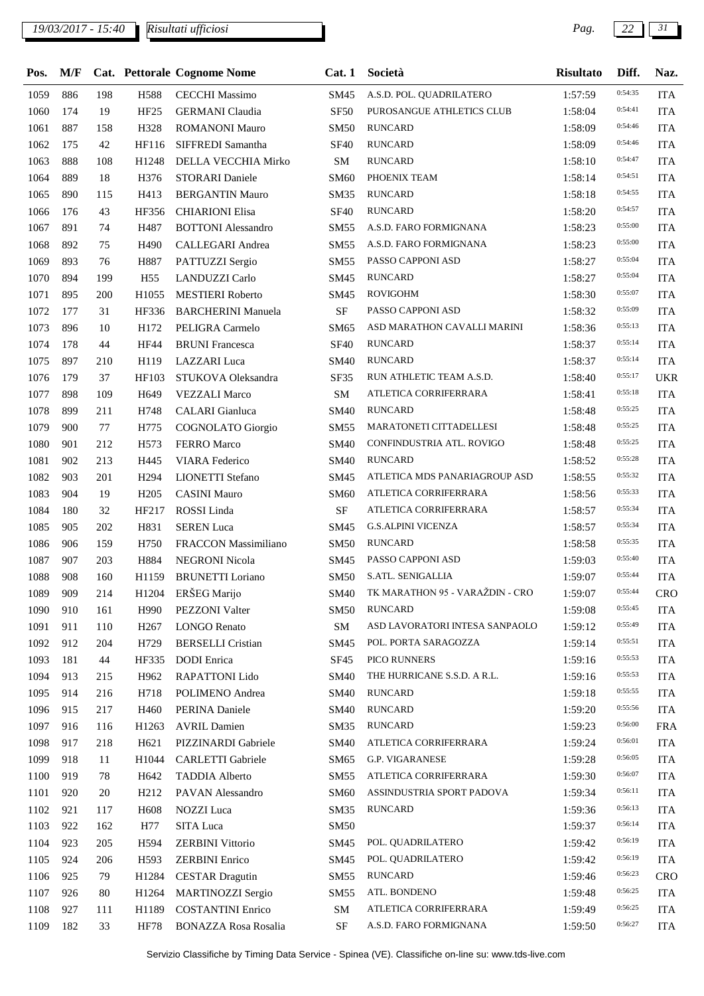# *19/03/2017 - 15:40 Pag. 22 31*

| Pos. | M/F |     |                   | Cat. Pettorale Cognome Nome | Cat. 1           | Società                              | <b>Risultato</b> | Diff.   | Naz.       |
|------|-----|-----|-------------------|-----------------------------|------------------|--------------------------------------|------------------|---------|------------|
| 1059 | 886 | 198 | H588              | <b>CECCHI</b> Massimo       | <b>SM45</b>      | A.S.D. POL. QUADRILATERO             | 1:57:59          | 0:54:35 | <b>ITA</b> |
| 1060 | 174 | 19  | <b>HF25</b>       | <b>GERMANI</b> Claudia      | <b>SF50</b>      | PUROSANGUE ATHLETICS CLUB            | 1:58:04          | 0:54:41 | <b>ITA</b> |
| 1061 | 887 | 158 | H328              | <b>ROMANONI Mauro</b>       | <b>SM50</b>      | <b>RUNCARD</b>                       | 1:58:09          | 0:54:46 | <b>ITA</b> |
| 1062 | 175 | 42  | HF116             | SIFFREDI Samantha           | <b>SF40</b>      | <b>RUNCARD</b>                       | 1:58:09          | 0:54:46 | <b>ITA</b> |
| 1063 | 888 | 108 | H1248             | DELLA VECCHIA Mirko         | ${\bf SM}$       | <b>RUNCARD</b>                       | 1:58:10          | 0:54:47 | <b>ITA</b> |
| 1064 | 889 | 18  | H376              | STORARI Daniele             | SM60             | PHOENIX TEAM                         | 1:58:14          | 0:54:51 | <b>ITA</b> |
| 1065 | 890 | 115 | H413              | <b>BERGANTIN Mauro</b>      | <b>SM35</b>      | <b>RUNCARD</b>                       | 1:58:18          | 0:54:55 | <b>ITA</b> |
| 1066 | 176 | 43  | HF356             | <b>CHIARIONI Elisa</b>      | <b>SF40</b>      | <b>RUNCARD</b>                       | 1:58:20          | 0:54:57 | <b>ITA</b> |
| 1067 | 891 | 74  | H487              | <b>BOTTONI</b> Alessandro   | SM55             | A.S.D. FARO FORMIGNANA               | 1:58:23          | 0:55:00 | <b>ITA</b> |
| 1068 | 892 | 75  | H490              | CALLEGARI Andrea            | SM55             | A.S.D. FARO FORMIGNANA               | 1:58:23          | 0:55:00 | <b>ITA</b> |
| 1069 | 893 | 76  | H887              | PATTUZZI Sergio             | SM55             | PASSO CAPPONI ASD                    | 1:58:27          | 0:55:04 | <b>ITA</b> |
| 1070 | 894 | 199 | H <sub>55</sub>   | LANDUZZI Carlo              | SM45             | <b>RUNCARD</b>                       | 1:58:27          | 0:55:04 | <b>ITA</b> |
| 1071 | 895 | 200 | H1055             | <b>MESTIERI</b> Roberto     | <b>SM45</b>      | <b>ROVIGOHM</b>                      | 1:58:30          | 0:55:07 | <b>ITA</b> |
| 1072 | 177 | 31  | HF336             | <b>BARCHERINI Manuela</b>   | $\rm{SF}$        | PASSO CAPPONI ASD                    | 1:58:32          | 0:55:09 | <b>ITA</b> |
| 1073 | 896 | 10  | H172              | PELIGRA Carmelo             | SM65             | ASD MARATHON CAVALLI MARINI          | 1:58:36          | 0:55:13 | <b>ITA</b> |
| 1074 | 178 | 44  | <b>HF44</b>       | <b>BRUNI</b> Francesca      | <b>SF40</b>      | <b>RUNCARD</b>                       | 1:58:37          | 0:55:14 | <b>ITA</b> |
| 1075 | 897 | 210 | H119              | <b>LAZZARI</b> Luca         | <b>SM40</b>      | <b>RUNCARD</b>                       | 1:58:37          | 0:55:14 | <b>ITA</b> |
| 1076 | 179 | 37  | HF103             | STUKOVA Oleksandra          | SF35             | RUN ATHLETIC TEAM A.S.D.             | 1:58:40          | 0:55:17 | <b>UKR</b> |
| 1077 | 898 | 109 | H <sub>649</sub>  | <b>VEZZALI Marco</b>        | ${\bf SM}$       | ATLETICA CORRIFERRARA                | 1:58:41          | 0:55:18 | <b>ITA</b> |
| 1078 | 899 | 211 | H748              | CALARI Gianluca             | SM40             | <b>RUNCARD</b>                       | 1:58:48          | 0:55:25 | <b>ITA</b> |
| 1079 | 900 | 77  | H775              | COGNOLATO Giorgio           | SM55             | <b>MARATONETI CITTADELLESI</b>       | 1:58:48          | 0:55:25 | <b>ITA</b> |
| 1080 | 901 | 212 | H <sub>573</sub>  | <b>FERRO Marco</b>          | SM40             | CONFINDUSTRIA ATL. ROVIGO            | 1:58:48          | 0:55:25 | <b>ITA</b> |
| 1081 | 902 | 213 | H445              | VIARA Federico              | <b>SM40</b>      | <b>RUNCARD</b>                       | 1:58:52          | 0:55:28 | <b>ITA</b> |
| 1082 | 903 | 201 | H <sub>294</sub>  | <b>LIONETTI</b> Stefano     | SM45             | ATLETICA MDS PANARIAGROUP ASD        | 1:58:55          | 0:55:32 | <b>ITA</b> |
| 1083 | 904 | 19  | H <sub>205</sub>  | <b>CASINI Mauro</b>         | <b>SM60</b>      | ATLETICA CORRIFERRARA                | 1:58:56          | 0:55:33 | <b>ITA</b> |
| 1084 | 180 | 32  | HF217             | ROSSI Linda                 | $\rm{SF}$        | ATLETICA CORRIFERRARA                | 1:58:57          | 0:55:34 | <b>ITA</b> |
| 1085 | 905 | 202 | H831              | <b>SEREN Luca</b>           | SM45             | <b>G.S.ALPINI VICENZA</b>            | 1:58:57          | 0:55:34 | <b>ITA</b> |
| 1086 | 906 | 159 | H750              | FRACCON Massimiliano        | <b>SM50</b>      | <b>RUNCARD</b>                       | 1:58:58          | 0:55:35 | <b>ITA</b> |
| 1087 | 907 | 203 | H884              | NEGRONI Nicola              | SM45             | PASSO CAPPONI ASD                    | 1:59:03          | 0:55:40 | <b>ITA</b> |
| 1088 | 908 | 160 | H1159             | <b>BRUNETTI</b> Loriano     | <b>SM50</b>      | S.ATL. SENIGALLIA                    | 1:59:07          | 0:55:44 | <b>ITA</b> |
| 1089 | 909 | 214 |                   | H1204 ERŠEG Marijo          |                  | SM40 TK MARATHON 95 - VARAŽDIN - CRO | 1:59:07          | 0:55:44 | <b>CRO</b> |
| 1090 | 910 | 161 | H990              | PEZZONI Valter              | <b>SM50</b>      | RUNCARD                              | 1:59:08          | 0:55:45 | <b>ITA</b> |
| 1091 | 911 | 110 | H <sub>267</sub>  | <b>LONGO Renato</b>         | SM               | ASD LAVORATORI INTESA SANPAOLO       | 1:59:12          | 0:55:49 | <b>ITA</b> |
| 1092 | 912 | 204 | H729              | <b>BERSELLI</b> Cristian    | SM45             | POL. PORTA SARAGOZZA                 | 1:59:14          | 0:55:51 | <b>ITA</b> |
| 1093 | 181 | 44  | HF335             | <b>DODI</b> Enrica          | SF <sub>45</sub> | PICO RUNNERS                         | 1:59:16          | 0:55:53 | <b>ITA</b> |
| 1094 | 913 | 215 | H962              | RAPATTONI Lido              | <b>SM40</b>      | THE HURRICANE S.S.D. A R.L.          | 1:59:16          | 0:55:53 | <b>ITA</b> |
| 1095 | 914 | 216 | H718              | POLIMENO Andrea             | SM40             | <b>RUNCARD</b>                       | 1:59:18          | 0:55:55 | <b>ITA</b> |
| 1096 | 915 | 217 | H460              | <b>PERINA Daniele</b>       | <b>SM40</b>      | <b>RUNCARD</b>                       | 1:59:20          | 0:55:56 | <b>ITA</b> |
| 1097 | 916 | 116 | H1263             | <b>AVRIL Damien</b>         | SM35             | <b>RUNCARD</b>                       | 1:59:23          | 0:56:00 | <b>FRA</b> |
| 1098 | 917 | 218 | H <sub>621</sub>  | PIZZINARDI Gabriele         | <b>SM40</b>      | ATLETICA CORRIFERRARA                | 1:59:24          | 0:56:01 | <b>ITA</b> |
| 1099 | 918 | 11  | H1044             | CARLETTI Gabriele           | SM65             | <b>G.P. VIGARANESE</b>               | 1:59:28          | 0:56:05 | <b>ITA</b> |
| 1100 | 919 | 78  | H <sub>642</sub>  | <b>TADDIA Alberto</b>       | SM55             | ATLETICA CORRIFERRARA                | 1:59:30          | 0:56:07 | <b>ITA</b> |
| 1101 | 920 | 20  | H <sub>2</sub> 12 | PAVAN Alessandro            | <b>SM60</b>      | ASSINDUSTRIA SPORT PADOVA            | 1:59:34          | 0:56:11 | <b>ITA</b> |
| 1102 | 921 | 117 | H <sub>608</sub>  | <b>NOZZI</b> Luca           | SM35             | <b>RUNCARD</b>                       | 1:59:36          | 0:56:13 | <b>ITA</b> |
| 1103 | 922 | 162 | H77               | SITA Luca                   | <b>SM50</b>      |                                      | 1:59:37          | 0:56:14 | <b>ITA</b> |
| 1104 | 923 | 205 | H594              | <b>ZERBINI Vittorio</b>     | SM45             | POL. QUADRILATERO                    | 1:59:42          | 0:56:19 | <b>ITA</b> |
| 1105 | 924 | 206 | H <sub>593</sub>  | <b>ZERBINI</b> Enrico       | SM45             | POL. QUADRILATERO                    | 1:59:42          | 0:56:19 | <b>ITA</b> |
| 1106 | 925 | 79  | H1284             | <b>CESTAR Dragutin</b>      | SM55             | <b>RUNCARD</b>                       | 1:59:46          | 0:56:23 | <b>CRO</b> |
| 1107 | 926 | 80  | H1264             | <b>MARTINOZZI Sergio</b>    | SM55             | ATL. BONDENO                         | 1:59:48          | 0:56:25 | <b>ITA</b> |
| 1108 | 927 | 111 | H1189             | <b>COSTANTINI Enrico</b>    | SM               | ATLETICA CORRIFERRARA                | 1:59:49          | 0:56:25 | <b>ITA</b> |
| 1109 | 182 | 33  | <b>HF78</b>       | <b>BONAZZA Rosa Rosalia</b> | $\rm{SF}$        | A.S.D. FARO FORMIGNANA               | 1:59:50          | 0:56:27 | <b>ITA</b> |
|      |     |     |                   |                             |                  |                                      |                  |         |            |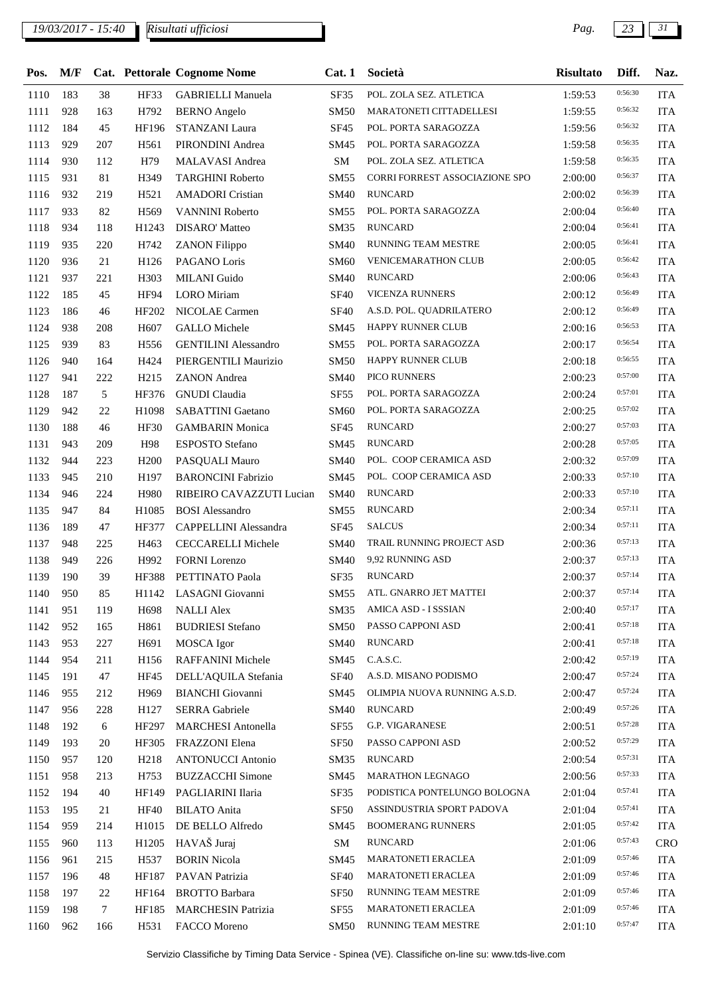# *19/03/2017 - 15:40 Pag. 23 31*

*Risultati ufficiosi*

ı

| Pos.         | M/F        |              |                   | Cat. Pettorale Cognome Nome                        | Cat.1            | Società                        | <b>Risultato</b>   | Diff.   | Naz.                     |
|--------------|------------|--------------|-------------------|----------------------------------------------------|------------------|--------------------------------|--------------------|---------|--------------------------|
| 1110         | 183        | 38           | HF33              | <b>GABRIELLI Manuela</b>                           | SF35             | POL. ZOLA SEZ. ATLETICA        | 1:59:53            | 0:56:30 | <b>ITA</b>               |
| 1111         | 928        | 163          | H792              | <b>BERNO</b> Angelo                                | <b>SM50</b>      | MARATONETI CITTADELLESI        | 1:59:55            | 0:56:32 | <b>ITA</b>               |
| 1112         | 184        | 45           | HF196             | <b>STANZANI</b> Laura                              | <b>SF45</b>      | POL. PORTA SARAGOZZA           | 1:59:56            | 0:56:32 | <b>ITA</b>               |
| 1113         | 929        | 207          | H561              | PIRONDINI Andrea                                   | SM45             | POL. PORTA SARAGOZZA           | 1:59:58            | 0:56:35 | <b>ITA</b>               |
| 1114         | 930        | 112          | H79               | MALAVASI Andrea                                    | ${\bf SM}$       | POL. ZOLA SEZ. ATLETICA        | 1:59:58            | 0:56:35 | <b>ITA</b>               |
| 1115         | 931        | 81           | H349              | <b>TARGHINI Roberto</b>                            | <b>SM55</b>      | CORRI FORREST ASSOCIAZIONE SPO | 2:00:00            | 0:56:37 | <b>ITA</b>               |
| 1116         | 932        | 219          | H521              | <b>AMADORI</b> Cristian                            | <b>SM40</b>      | <b>RUNCARD</b>                 | 2:00:02            | 0:56:39 | <b>ITA</b>               |
| 1117         | 933        | 82           | H <sub>569</sub>  | VANNINI Roberto                                    | <b>SM55</b>      | POL. PORTA SARAGOZZA           | 2:00:04            | 0:56:40 | <b>ITA</b>               |
| 1118         | 934        | 118          | H1243             | <b>DISARO'</b> Matteo                              | <b>SM35</b>      | <b>RUNCARD</b>                 | 2:00:04            | 0:56:41 | <b>ITA</b>               |
| 1119         | 935        | 220          | H742              | <b>ZANON Filippo</b>                               | <b>SM40</b>      | RUNNING TEAM MESTRE            | 2:00:05            | 0:56:41 | <b>ITA</b>               |
| 1120         | 936        | 21           | H126              | PAGANO Loris                                       | <b>SM60</b>      | <b>VENICEMARATHON CLUB</b>     | 2:00:05            | 0:56:42 | <b>ITA</b>               |
| 1121         | 937        | 221          | H303              | MILANI Guido                                       | <b>SM40</b>      | <b>RUNCARD</b>                 | 2:00:06            | 0:56:43 | <b>ITA</b>               |
| 1122         | 185        | 45           | HF94              | <b>LORO</b> Miriam                                 | <b>SF40</b>      | <b>VICENZA RUNNERS</b>         | 2:00:12            | 0:56:49 | <b>ITA</b>               |
| 1123         | 186        | 46           | HF202             | NICOLAE Carmen                                     | <b>SF40</b>      | A.S.D. POL. QUADRILATERO       | 2:00:12            | 0:56:49 | <b>ITA</b>               |
| 1124         | 938        | 208          | H <sub>607</sub>  | <b>GALLO</b> Michele                               | SM45             | HAPPY RUNNER CLUB              | 2:00:16            | 0:56:53 | <b>ITA</b>               |
| 1125         | 939        | 83           | H556              | <b>GENTILINI</b> Alessandro                        | <b>SM55</b>      | POL. PORTA SARAGOZZA           | 2:00:17            | 0:56:54 | <b>ITA</b>               |
| 1126         | 940        | 164          | H424              | PIERGENTILI Maurizio                               | <b>SM50</b>      | <b>HAPPY RUNNER CLUB</b>       | 2:00:18            | 0:56:55 | <b>ITA</b>               |
| 1127         | 941        | 222          | H <sub>215</sub>  | <b>ZANON</b> Andrea                                | <b>SM40</b>      | PICO RUNNERS                   | 2:00:23            | 0:57:00 | <b>ITA</b>               |
| 1128         | 187        | 5            | HF376             | <b>GNUDI</b> Claudia                               | <b>SF55</b>      | POL. PORTA SARAGOZZA           | 2:00:24            | 0:57:01 | <b>ITA</b>               |
| 1129         | 942        | 22           | H1098             | <b>SABATTINI</b> Gaetano                           | <b>SM60</b>      | POL. PORTA SARAGOZZA           | 2:00:25            | 0:57:02 | <b>ITA</b>               |
| 1130         | 188        | 46           | HF30              | <b>GAMBARIN</b> Monica                             | SF <sub>45</sub> | <b>RUNCARD</b>                 | 2:00:27            | 0:57:03 | <b>ITA</b>               |
| 1131         | 943        | 209          | H98               | <b>ESPOSTO Stefano</b>                             | SM45             | <b>RUNCARD</b>                 | 2:00:28            | 0:57:05 | <b>ITA</b>               |
| 1132         | 944        | 223          | H <sub>200</sub>  | PASQUALI Mauro                                     | <b>SM40</b>      | POL. COOP CERAMICA ASD         | 2:00:32            | 0:57:09 | <b>ITA</b>               |
| 1133         | 945        | 210          | H197              | <b>BARONCINI Fabrizio</b>                          | SM45             | POL. COOP CERAMICA ASD         | 2:00:33            | 0:57:10 | <b>ITA</b>               |
| 1134         | 946        | 224          | H980              | RIBEIRO CAVAZZUTI Lucian                           | <b>SM40</b>      | <b>RUNCARD</b>                 | 2:00:33            | 0:57:10 | <b>ITA</b>               |
| 1135         | 947        | 84           | H1085             | <b>BOSI</b> Alessandro                             | SM55             | <b>RUNCARD</b>                 | 2:00:34            | 0:57:11 | <b>ITA</b>               |
| 1136         | 189        | 47           | HF377             | CAPPELLINI Alessandra                              | <b>SF45</b>      | <b>SALCUS</b>                  | 2:00:34            | 0:57:11 | <b>ITA</b>               |
| 1137         | 948        | 225          | H463              | <b>CECCARELLI Michele</b>                          | <b>SM40</b>      | TRAIL RUNNING PROJECT ASD      | 2:00:36            | 0:57:13 | <b>ITA</b>               |
| 1138         | 949        | 226          | H992              | <b>FORNI</b> Lorenzo                               | <b>SM40</b>      | 9,92 RUNNING ASD               | 2:00:37            | 0:57:13 | <b>ITA</b>               |
| 1139         | 190        | 39           | <b>HF388</b>      | PETTINATO Paola                                    | <b>SF35</b>      | <b>RUNCARD</b>                 | 2:00:37            | 0:57:14 | <b>ITA</b>               |
| 1140         | 950        | 85           |                   | H1142 LASAGNI Giovanni                             | SM55             | ATL. GNARRO JET MATTEI         | 2:00:37            | 0:57:14 | <b>ITA</b>               |
| 1141         | 951        | 119          | H <sub>698</sub>  | <b>NALLI Alex</b>                                  | SM35             | AMICA ASD - I SSSIAN           | 2:00:40            | 0:57:17 | <b>ITA</b>               |
| 1142         | 952        | 165          | H861              | <b>BUDRIESI Stefano</b>                            | SM50             | PASSO CAPPONI ASD              | 2:00:41            | 0:57:18 | <b>ITA</b>               |
| 1143         | 953        | 227          | H691              | <b>MOSCA</b> Igor                                  | <b>SM40</b>      | <b>RUNCARD</b>                 | 2:00:41            | 0:57:18 | <b>ITA</b>               |
| 1144         | 954        | 211          | H156              | RAFFANINI Michele                                  | SM45             | C.A.S.C.                       | 2:00:42            | 0:57:19 | <b>ITA</b>               |
| 1145         | 191        | 47           | <b>HF45</b>       | DELL'AQUILA Stefania                               | <b>SF40</b>      | A.S.D. MISANO PODISMO          | 2:00:47            | 0:57:24 | <b>ITA</b>               |
| 1146         | 955        | 212          | H <sub>969</sub>  | <b>BIANCHI</b> Giovanni                            | SM45             | OLIMPIA NUOVA RUNNING A.S.D.   | 2:00:47            | 0:57:24 | <b>ITA</b>               |
| 1147         | 956        | 228          | H127              | <b>SERRA Gabriele</b>                              | <b>SM40</b>      | <b>RUNCARD</b>                 | 2:00:49            | 0:57:26 | <b>ITA</b>               |
| 1148         | 192        | 6            | HF297             | <b>MARCHESI Antonella</b>                          | SF <sub>55</sub> | G.P. VIGARANESE                | 2:00:51            | 0:57:28 | <b>ITA</b>               |
| 1149         | 193        | 20           | HF305             | FRAZZONI Elena                                     | SF <sub>50</sub> | PASSO CAPPONI ASD              | 2:00:52            | 0:57:29 | <b>ITA</b>               |
| 1150         | 957        | 120          | H <sub>218</sub>  | <b>ANTONUCCI</b> Antonio                           | <b>SM35</b>      | <b>RUNCARD</b>                 | 2:00:54            | 0:57:31 | <b>ITA</b>               |
| 1151         | 958        | 213          | H753              | <b>BUZZACCHI</b> Simone                            | SM45             | MARATHON LEGNAGO               | 2:00:56            | 0:57:33 | <b>ITA</b>               |
| 1152         | 194        | 40           | HF149             | PAGLIARINI Ilaria                                  | SF35             | PODISTICA PONTELUNGO BOLOGNA   | 2:01:04            | 0:57:41 | <b>ITA</b>               |
| 1153         | 195        | 21           | <b>HF40</b>       | <b>BILATO</b> Anita                                | <b>SF50</b>      | ASSINDUSTRIA SPORT PADOVA      | 2:01:04            | 0:57:41 | <b>ITA</b>               |
| 1154         | 959        | 214          | H1015             | DE BELLO Alfredo                                   | SM45             | <b>BOOMERANG RUNNERS</b>       | 2:01:05            | 0:57:42 | <b>ITA</b>               |
| 1155         | 960        | 113          | H <sub>1205</sub> | HAVAŠ Juraj                                        | SM               | <b>RUNCARD</b>                 | 2:01:06            | 0:57:43 | CRO                      |
| 1156         | 961        | 215          | H <sub>537</sub>  | <b>BORIN Nicola</b>                                | SM45             | <b>MARATONETI ERACLEA</b>      | 2:01:09            | 0:57:46 | <b>ITA</b>               |
| 1157         | 196        | 48           | HF187             | PAVAN Patrizia                                     | <b>SF40</b>      | MARATONETI ERACLEA             | 2:01:09            | 0:57:46 | <b>ITA</b>               |
|              |            |              |                   |                                                    | <b>SF50</b>      | RUNNING TEAM MESTRE            |                    | 0:57:46 |                          |
| 1158<br>1159 | 197<br>198 | 22<br>$\tau$ | HF164<br>HF185    | <b>BROTTO Barbara</b><br><b>MARCHESIN Patrizia</b> | <b>SF55</b>      | <b>MARATONETI ERACLEA</b>      | 2:01:09<br>2:01:09 | 0:57:46 | <b>ITA</b><br><b>ITA</b> |
|              |            |              |                   |                                                    |                  | RUNNING TEAM MESTRE            |                    | 0:57:47 |                          |
| 1160         | 962        | 166          | H531              | FACCO Moreno                                       | <b>SM50</b>      |                                | 2:01:10            |         | <b>ITA</b>               |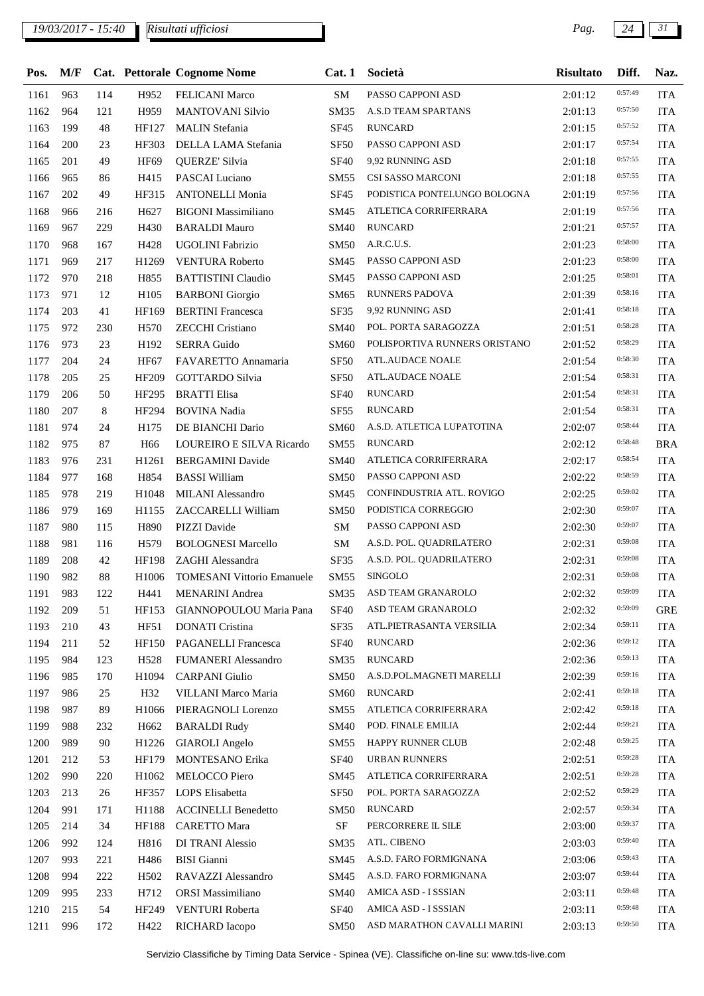# *19/03/2017 - 15:40 Pag. 24 31*

| Pos. | M/F |     |                   | <b>Cat. Pettorale Cognome Nome</b> | Cat.1            | Società                       | <b>Risultato</b> | Diff.   | Naz.       |
|------|-----|-----|-------------------|------------------------------------|------------------|-------------------------------|------------------|---------|------------|
| 1161 | 963 | 114 | H952              | <b>FELICANI Marco</b>              | SM               | PASSO CAPPONI ASD             | 2:01:12          | 0:57:49 | <b>ITA</b> |
| 1162 | 964 | 121 | H959              | <b>MANTOVANI Silvio</b>            | <b>SM35</b>      | A.S.D TEAM SPARTANS           | 2:01:13          | 0:57:50 | <b>ITA</b> |
| 1163 | 199 | 48  | HF127             | <b>MALIN</b> Stefania              | <b>SF45</b>      | <b>RUNCARD</b>                | 2:01:15          | 0:57:52 | <b>ITA</b> |
| 1164 | 200 | 23  | HF303             | DELLA LAMA Stefania                | <b>SF50</b>      | PASSO CAPPONI ASD             | 2:01:17          | 0:57:54 | <b>ITA</b> |
| 1165 | 201 | 49  | <b>HF69</b>       | QUERZE' Silvia                     | <b>SF40</b>      | 9,92 RUNNING ASD              | 2:01:18          | 0:57:55 | <b>ITA</b> |
| 1166 | 965 | 86  | H415              | PASCAI Luciano                     | SM55             | CSI SASSO MARCONI             | 2:01:18          | 0:57:55 | <b>ITA</b> |
| 1167 | 202 | 49  | HF315             | <b>ANTONELLI Monia</b>             | <b>SF45</b>      | PODISTICA PONTELUNGO BOLOGNA  | 2:01:19          | 0:57:56 | <b>ITA</b> |
| 1168 | 966 | 216 | H <sub>627</sub>  | <b>BIGONI</b> Massimiliano         | SM45             | ATLETICA CORRIFERRARA         | 2:01:19          | 0:57:56 | <b>ITA</b> |
| 1169 | 967 | 229 | H430              | <b>BARALDI Mauro</b>               | SM40             | <b>RUNCARD</b>                | 2:01:21          | 0:57:57 | <b>ITA</b> |
| 1170 | 968 | 167 | H428              | <b>UGOLINI</b> Fabrizio            | <b>SM50</b>      | A.R.C.U.S.                    | 2:01:23          | 0:58:00 | <b>ITA</b> |
| 1171 | 969 | 217 | H1269             | <b>VENTURA Roberto</b>             | SM45             | PASSO CAPPONI ASD             | 2:01:23          | 0:58:00 | <b>ITA</b> |
| 1172 | 970 | 218 | H855              | <b>BATTISTINI</b> Claudio          | SM45             | PASSO CAPPONI ASD             | 2:01:25          | 0:58:01 | <b>ITA</b> |
| 1173 | 971 | 12  | H105              | <b>BARBONI</b> Giorgio             | SM65             | <b>RUNNERS PADOVA</b>         | 2:01:39          | 0:58:16 | <b>ITA</b> |
| 1174 | 203 | 41  | HF169             | <b>BERTINI</b> Francesca           | SF35             | 9,92 RUNNING ASD              | 2:01:41          | 0:58:18 | <b>ITA</b> |
| 1175 | 972 | 230 | H <sub>570</sub>  | ZECCHI Cristiano                   | <b>SM40</b>      | POL. PORTA SARAGOZZA          | 2:01:51          | 0:58:28 | <b>ITA</b> |
| 1176 | 973 | 23  | H192              | <b>SERRA Guido</b>                 | SM60             | POLISPORTIVA RUNNERS ORISTANO | 2:01:52          | 0:58:29 | <b>ITA</b> |
| 1177 | 204 | 24  | <b>HF67</b>       | FAVARETTO Annamaria                | <b>SF50</b>      | ATL.AUDACE NOALE              | 2:01:54          | 0:58:30 | <b>ITA</b> |
| 1178 | 205 | 25  | HF209             | <b>GOTTARDO Silvia</b>             | SF <sub>50</sub> | ATL.AUDACE NOALE              | 2:01:54          | 0:58:31 | <b>ITA</b> |
| 1179 | 206 | 50  | HF295             | <b>BRATTI</b> Elisa                | <b>SF40</b>      | <b>RUNCARD</b>                | 2:01:54          | 0:58:31 | <b>ITA</b> |
| 1180 | 207 | 8   | HF294             | <b>BOVINA</b> Nadia                | <b>SF55</b>      | <b>RUNCARD</b>                | 2:01:54          | 0:58:31 | <b>ITA</b> |
| 1181 | 974 | 24  | H175              | DE BIANCHI Dario                   | SM60             | A.S.D. ATLETICA LUPATOTINA    | 2:02:07          | 0:58:44 | <b>ITA</b> |
| 1182 | 975 | 87  | H <sub>66</sub>   | <b>LOUREIRO E SILVA Ricardo</b>    | <b>SM55</b>      | <b>RUNCARD</b>                | 2:02:12          | 0:58:48 | <b>BRA</b> |
| 1183 | 976 | 231 | H1261             | <b>BERGAMINI</b> Davide            | SM40             | ATLETICA CORRIFERRARA         | 2:02:17          | 0:58:54 | <b>ITA</b> |
| 1184 | 977 | 168 | H854              | <b>BASSI</b> William               | <b>SM50</b>      | PASSO CAPPONI ASD             | 2:02:22          | 0:58:59 | <b>ITA</b> |
| 1185 | 978 | 219 | H1048             | <b>MILANI</b> Alessandro           | SM45             | CONFINDUSTRIA ATL. ROVIGO     | 2:02:25          | 0:59:02 | <b>ITA</b> |
| 1186 | 979 | 169 | H <sub>1155</sub> | ZACCARELLI William                 | <b>SM50</b>      | PODISTICA CORREGGIO           | 2:02:30          | 0:59:07 | <b>ITA</b> |
| 1187 | 980 | 115 | H890              | <b>PIZZI</b> Davide                | SM               | PASSO CAPPONI ASD             | 2:02:30          | 0:59:07 | <b>ITA</b> |
| 1188 | 981 | 116 | H <sub>579</sub>  | <b>BOLOGNESI Marcello</b>          | ${\bf SM}$       | A.S.D. POL. QUADRILATERO      | 2:02:31          | 0:59:08 | <b>ITA</b> |
| 1189 | 208 | 42  | HF198             | ZAGHI Alessandra                   | SF35             | A.S.D. POL. QUADRILATERO      | 2:02:31          | 0:59:08 | <b>ITA</b> |
| 1190 | 982 | 88  | H1006             | <b>TOMESANI Vittorio Emanuele</b>  | <b>SM55</b>      | <b>SINGOLO</b>                | 2:02:31          | 0:59:08 | <b>ITA</b> |
| 1191 | 983 | 122 | H441              | <b>MENARINI</b> Andrea             |                  | SM35 ASD TEAM GRANAROLO       | 2:02:32          | 0:59:09 | <b>ITA</b> |
| 1192 | 209 | 51  |                   | HF153 GIANNOPOULOU Maria Pana      | <b>SF40</b>      | ASD TEAM GRANAROLO            | 2:02:32          | 0:59:09 | <b>GRE</b> |
| 1193 | 210 | 43  | HF51              | <b>DONATI</b> Cristina             | SF35             | ATL.PIETRASANTA VERSILIA      | 2:02:34          | 0:59:11 | <b>ITA</b> |
| 1194 | 211 | 52  | HF150             | PAGANELLI Francesca                | <b>SF40</b>      | <b>RUNCARD</b>                | 2:02:36          | 0:59:12 | <b>ITA</b> |
| 1195 | 984 | 123 | H <sub>528</sub>  | <b>FUMANERI Alessandro</b>         | SM35             | <b>RUNCARD</b>                | 2:02:36          | 0:59:13 | <b>ITA</b> |
| 1196 | 985 | 170 | H <sub>1094</sub> | <b>CARPANI</b> Giulio              | <b>SM50</b>      | A.S.D.POL.MAGNETI MARELLI     | 2:02:39          | 0:59:16 | <b>ITA</b> |
| 1197 | 986 | 25  | H32               | VILLANI Marco Maria                | SM60             | <b>RUNCARD</b>                | 2:02:41          | 0:59:18 | <b>ITA</b> |
| 1198 | 987 | 89  | H1066             | PIERAGNOLI Lorenzo                 | SM55             | ATLETICA CORRIFERRARA         | 2:02:42          | 0:59:18 | <b>ITA</b> |
| 1199 | 988 | 232 | H <sub>662</sub>  | <b>BARALDI Rudy</b>                | SM40             | POD. FINALE EMILIA            | 2:02:44          | 0:59:21 | <b>ITA</b> |
| 1200 | 989 | 90  | H1226             | <b>GIAROLI</b> Angelo              | SM55             | HAPPY RUNNER CLUB             | 2:02:48          | 0:59:25 | <b>ITA</b> |
| 1201 | 212 | 53  | HF179             | MONTESANO Erika                    | <b>SF40</b>      | URBAN RUNNERS                 | 2:02:51          | 0:59:28 | <b>ITA</b> |
| 1202 | 990 | 220 | H1062             | MELOCCO Piero                      | SM45             | ATLETICA CORRIFERRARA         | 2:02:51          | 0:59:28 | <b>ITA</b> |
| 1203 | 213 | 26  | HF357             | LOPS Elisabetta                    | <b>SF50</b>      | POL. PORTA SARAGOZZA          | 2:02:52          | 0:59:29 | <b>ITA</b> |
| 1204 | 991 | 171 | H1188             | <b>ACCINELLI Benedetto</b>         | <b>SM50</b>      | <b>RUNCARD</b>                | 2:02:57          | 0:59:34 | <b>ITA</b> |
| 1205 | 214 | 34  | <b>HF188</b>      | <b>CARETTO Mara</b>                | $\rm{SF}$        | PERCORRERE IL SILE            | 2:03:00          | 0:59:37 | <b>ITA</b> |
| 1206 | 992 | 124 | H816              | DI TRANI Alessio                   | SM35             | ATL. CIBENO                   | 2:03:03          | 0:59:40 | <b>ITA</b> |
| 1207 | 993 | 221 | H486              | <b>BISI</b> Gianni                 | SM45             | A.S.D. FARO FORMIGNANA        | 2:03:06          | 0:59:43 | <b>ITA</b> |
| 1208 | 994 | 222 | H <sub>502</sub>  | RAVAZZI Alessandro                 | SM45             | A.S.D. FARO FORMIGNANA        | 2:03:07          | 0:59:44 | <b>ITA</b> |
| 1209 | 995 | 233 | H712              | ORSI Massimiliano                  | <b>SM40</b>      | AMICA ASD - I SSSIAN          | 2:03:11          | 0:59:48 | <b>ITA</b> |
| 1210 | 215 | 54  | HF249             | VENTURI Roberta                    | <b>SF40</b>      | AMICA ASD - I SSSIAN          | 2:03:11          | 0:59:48 | <b>ITA</b> |
| 1211 | 996 | 172 | H422              | RICHARD Iacopo                     | SM50             | ASD MARATHON CAVALLI MARINI   | 2:03:13          | 0:59:50 | <b>ITA</b> |
|      |     |     |                   |                                    |                  |                               |                  |         |            |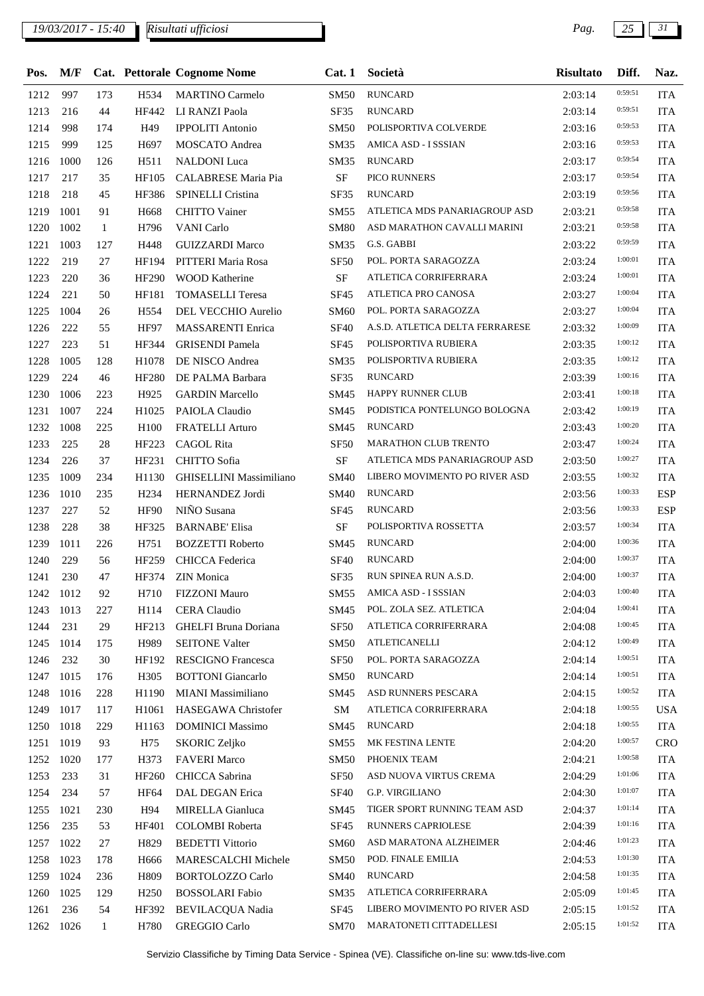# *19/03/2017 - 15:40 Pag. 25 31*

*Risultati ufficiosi*

ı

| Pos.      | M/F  |              |                   | Cat. Pettorale Cognome Nome    | Cat.1            | Società                         | <b>Risultato</b> | Diff.   | Naz.       |
|-----------|------|--------------|-------------------|--------------------------------|------------------|---------------------------------|------------------|---------|------------|
| 1212      | 997  | 173          | H534              | <b>MARTINO Carmelo</b>         | SM50             | <b>RUNCARD</b>                  | 2:03:14          | 0:59:51 | <b>ITA</b> |
| 1213      | 216  | 44           | HF442             | LI RANZI Paola                 | SF35             | <b>RUNCARD</b>                  | 2:03:14          | 0:59:51 | <b>ITA</b> |
| 1214      | 998  | 174          | H49               | <b>IPPOLITI Antonio</b>        | <b>SM50</b>      | POLISPORTIVA COLVERDE           | 2:03:16          | 0:59:53 | <b>ITA</b> |
| 1215      | 999  | 125          | H <sub>697</sub>  | MOSCATO Andrea                 | SM35             | AMICA ASD - I SSSIAN            | 2:03:16          | 0:59:53 | <b>ITA</b> |
| 1216      | 1000 | 126          | H511              | <b>NALDONI</b> Luca            | SM35             | <b>RUNCARD</b>                  | 2:03:17          | 0:59:54 | <b>ITA</b> |
| 1217      | 217  | 35           | HF105             | CALABRESE Maria Pia            | $\rm SF$         | PICO RUNNERS                    | 2:03:17          | 0:59:54 | <b>ITA</b> |
| 1218      | 218  | 45           | HF386             | SPINELLI Cristina              | SF35             | <b>RUNCARD</b>                  | 2:03:19          | 0:59:56 | <b>ITA</b> |
| 1219      | 1001 | 91           | H <sub>668</sub>  | <b>CHITTO Vainer</b>           | SM55             | ATLETICA MDS PANARIAGROUP ASD   | 2:03:21          | 0:59:58 | <b>ITA</b> |
| 1220      | 1002 | $\mathbf{1}$ | H796              | <b>VANI</b> Carlo              | <b>SM80</b>      | ASD MARATHON CAVALLI MARINI     | 2:03:21          | 0:59:58 | <b>ITA</b> |
| 1221      | 1003 | 127          | H448              | <b>GUIZZARDI Marco</b>         | SM35             | G.S. GABBI                      | 2:03:22          | 0:59:59 | <b>ITA</b> |
| 1222      | 219  | 27           | HF194             | PITTERI Maria Rosa             | <b>SF50</b>      | POL. PORTA SARAGOZZA            | 2:03:24          | 1:00:01 | <b>ITA</b> |
| 1223      | 220  | 36           | <b>HF290</b>      | <b>WOOD Katherine</b>          | $\rm SF$         | ATLETICA CORRIFERRARA           | 2:03:24          | 1:00:01 | <b>ITA</b> |
| 1224      | 221  | 50           | HF181             | <b>TOMASELLI</b> Teresa        | <b>SF45</b>      | ATLETICA PRO CANOSA             | 2:03:27          | 1:00:04 | <b>ITA</b> |
| 1225      | 1004 | 26           | H <sub>554</sub>  | DEL VECCHIO Aurelio            | SM60             | POL. PORTA SARAGOZZA            | 2:03:27          | 1:00:04 | <b>ITA</b> |
| 1226      | 222  | 55           | <b>HF97</b>       | <b>MASSARENTI Enrica</b>       | <b>SF40</b>      | A.S.D. ATLETICA DELTA FERRARESE | 2:03:32          | 1:00:09 | <b>ITA</b> |
| 1227      | 223  | 51           | HF344             | <b>GRISENDI Pamela</b>         | <b>SF45</b>      | POLISPORTIVA RUBIERA            | 2:03:35          | 1:00:12 | <b>ITA</b> |
| 1228      | 1005 | 128          | H1078             | DE NISCO Andrea                | SM35             | POLISPORTIVA RUBIERA            | 2:03:35          | 1:00:12 | <b>ITA</b> |
| 1229      | 224  | 46           | HF280             | DE PALMA Barbara               | SF35             | <b>RUNCARD</b>                  | 2:03:39          | 1:00:16 | <b>ITA</b> |
| 1230      | 1006 | 223          | H925              | <b>GARDIN Marcello</b>         | SM45             | HAPPY RUNNER CLUB               | 2:03:41          | 1:00:18 | <b>ITA</b> |
| 1231      | 1007 | 224          | H1025             | PAIOLA Claudio                 | SM45             | PODISTICA PONTELUNGO BOLOGNA    | 2:03:42          | 1:00:19 | <b>ITA</b> |
| 1232      | 1008 | 225          | H100              | <b>FRATELLI Arturo</b>         | SM45             | <b>RUNCARD</b>                  | 2:03:43          | 1:00:20 | <b>ITA</b> |
| 1233      | 225  | 28           | HF223             | <b>CAGOL Rita</b>              | <b>SF50</b>      | MARATHON CLUB TRENTO            | 2:03:47          | 1:00:24 | <b>ITA</b> |
| 1234      | 226  | 37           | HF231             | <b>CHITTO</b> Sofia            | $\rm SF$         | ATLETICA MDS PANARIAGROUP ASD   | 2:03:50          | 1:00:27 | <b>ITA</b> |
| 1235      | 1009 | 234          | H1130             | <b>GHISELLINI</b> Massimiliano | <b>SM40</b>      | LIBERO MOVIMENTO PO RIVER ASD   | 2:03:55          | 1:00:32 | <b>ITA</b> |
| 1236      | 1010 | 235          | H <sub>234</sub>  | HERNANDEZ Jordi                | SM40             | <b>RUNCARD</b>                  | 2:03:56          | 1:00:33 | <b>ESP</b> |
| 1237      | 227  | 52           | <b>HF90</b>       | NIÑO Susana                    | <b>SF45</b>      | <b>RUNCARD</b>                  | 2:03:56          | 1:00:33 | <b>ESP</b> |
| 1238      | 228  | 38           | HF325             | <b>BARNABE' Elisa</b>          | $\rm SF$         | POLISPORTIVA ROSSETTA           | 2:03:57          | 1:00:34 | <b>ITA</b> |
| 1239      | 1011 | 226          | H751              | <b>BOZZETTI</b> Roberto        | SM45             | <b>RUNCARD</b>                  | 2:04:00          | 1:00:36 | <b>ITA</b> |
| 1240      | 229  | 56           | HF259             | CHICCA Federica                | <b>SF40</b>      | <b>RUNCARD</b>                  | 2:04:00          | 1:00:37 | <b>ITA</b> |
| 1241      | 230  | 47           | HF374             | <b>ZIN</b> Monica              | SF35             | RUN SPINEA RUN A.S.D.           | 2:04:00          | 1:00:37 | <b>ITA</b> |
| 1242      | 1012 | 92           | H710              | <b>FIZZONI</b> Mauro           | SM55             | AMICA ASD - I SSSIAN            | 2:04:03          | 1:00:40 | <b>ITA</b> |
| 1243 1013 |      | 227          | H114              | CERA Claudio                   | SM45             | POL. ZOLA SEZ. ATLETICA         | 2:04:04          | 1:00:41 | <b>ITA</b> |
| 1244      | 231  | 29           | HF213             | <b>GHELFI Bruna Doriana</b>    | <b>SF50</b>      | ATLETICA CORRIFERRARA           | 2:04:08          | 1:00:45 | <b>ITA</b> |
| 1245      | 1014 | 175          | H989              | <b>SEITONE Valter</b>          | <b>SM50</b>      | ATLETICANELLI                   | 2:04:12          | 1:00:49 | <b>ITA</b> |
| 1246      | 232  | 30           | HF192             | RESCIGNO Francesca             | <b>SF50</b>      | POL. PORTA SARAGOZZA            | 2:04:14          | 1:00:51 | <b>ITA</b> |
| 1247      | 1015 | 176          | H305              | <b>BOTTONI</b> Giancarlo       | SM <sub>50</sub> | <b>RUNCARD</b>                  | 2:04:14          | 1:00:51 | <b>ITA</b> |
| 1248      | 1016 | 228          | H1190             | MIANI Massimiliano             | SM45             | ASD RUNNERS PESCARA             | 2:04:15          | 1:00:52 | <b>ITA</b> |
| 1249      | 1017 | 117          | H <sub>1061</sub> | HASEGAWA Christofer            | SM               | ATLETICA CORRIFERRARA           | 2:04:18          | 1:00:55 | <b>USA</b> |
| 1250      | 1018 | 229          | H1163             | <b>DOMINICI Massimo</b>        | SM45             | <b>RUNCARD</b>                  | 2:04:18          | 1:00:55 | <b>ITA</b> |
| 1251      | 1019 | 93           | H75               | <b>SKORIC Zeljko</b>           | SM55             | MK FESTINA LENTE                | 2:04:20          | 1:00:57 | <b>CRO</b> |
| 1252      | 1020 | 177          | H373              | <b>FAVERI Marco</b>            | SM50             | PHOENIX TEAM                    | 2:04:21          | 1:00:58 | <b>ITA</b> |
| 1253      | 233  | 31           | HF260             | CHICCA Sabrina                 | SF <sub>50</sub> | ASD NUOVA VIRTUS CREMA          | 2:04:29          | 1:01:06 | <b>ITA</b> |
| 1254      | 234  | 57           | <b>HF64</b>       | DAL DEGAN Erica                | <b>SF40</b>      | <b>G.P. VIRGILIANO</b>          | 2:04:30          | 1:01:07 | <b>ITA</b> |
| 1255      | 1021 | 230          | H94               | MIRELLA Gianluca               | SM45             | TIGER SPORT RUNNING TEAM ASD    | 2:04:37          | 1:01:14 | <b>ITA</b> |
| 1256      | 235  | 53           | HF401             | <b>COLOMBI</b> Roberta         | SF <sub>45</sub> | RUNNERS CAPRIOLESE              | 2:04:39          | 1:01:16 | <b>ITA</b> |
| 1257      | 1022 | 27           | H829              | <b>BEDETTI Vittorio</b>        | SM60             | ASD MARATONA ALZHEIMER          | 2:04:46          | 1:01:23 | <b>ITA</b> |
| 1258      | 1023 | 178          | H <sub>666</sub>  | MARESCALCHI Michele            | <b>SM50</b>      | POD. FINALE EMILIA              | 2:04:53          | 1:01:30 | <b>ITA</b> |
| 1259      | 1024 | 236          | H809              | BORTOLOZZO Carlo               | <b>SM40</b>      | <b>RUNCARD</b>                  | 2:04:58          | 1:01:35 | <b>ITA</b> |
| 1260      | 1025 | 129          | H <sub>250</sub>  | <b>BOSSOLARI</b> Fabio         | SM35             | ATLETICA CORRIFERRARA           | 2:05:09          | 1:01:45 | <b>ITA</b> |
| 1261      | 236  | 54           | HF392             | <b>BEVILACQUA Nadia</b>        | SF <sub>45</sub> | LIBERO MOVIMENTO PO RIVER ASD   | 2:05:15          | 1:01:52 | <b>ITA</b> |
| 1262      | 1026 | 1            | H780              | GREGGIO Carlo                  | SM70             | MARATONETI CITTADELLESI         | 2:05:15          | 1:01:52 | <b>ITA</b> |
|           |      |              |                   |                                |                  |                                 |                  |         |            |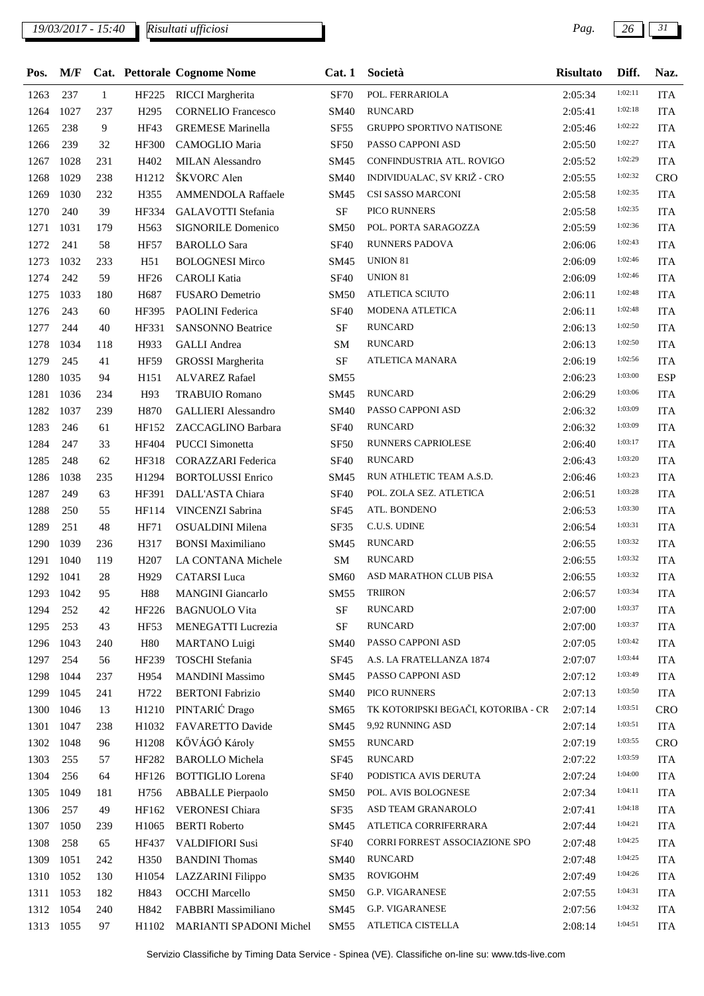# *19/03/2017 - 15:40 Pag. 26 31*

| Pos.      | M/F  |              |                  | <b>Cat. Pettorale Cognome Nome</b> | Cat. 1      | Società                             | <b>Risultato</b> | Diff.   | Naz.       |
|-----------|------|--------------|------------------|------------------------------------|-------------|-------------------------------------|------------------|---------|------------|
| 1263      | 237  | $\mathbf{1}$ | HF225            | <b>RICCI</b> Margherita            | <b>SF70</b> | POL. FERRARIOLA                     | 2:05:34          | 1:02:11 | <b>ITA</b> |
| 1264      | 1027 | 237          | H <sub>295</sub> | <b>CORNELIO</b> Francesco          | SM40        | <b>RUNCARD</b>                      | 2:05:41          | 1:02:18 | <b>ITA</b> |
| 1265      | 238  | 9            | <b>HF43</b>      | <b>GREMESE</b> Marinella           | <b>SF55</b> | <b>GRUPPO SPORTIVO NATISONE</b>     | 2:05:46          | 1:02:22 | <b>ITA</b> |
| 1266      | 239  | 32           | <b>HF300</b>     | CAMOGLIO Maria                     | <b>SF50</b> | PASSO CAPPONI ASD                   | 2:05:50          | 1:02:27 | <b>ITA</b> |
| 1267      | 1028 | 231          | H402             | MILAN Alessandro                   | SM45        | CONFINDUSTRIA ATL. ROVIGO           | 2:05:52          | 1:02:29 | <b>ITA</b> |
| 1268      | 1029 | 238          | H1212            | ŠKVORC Alen                        | <b>SM40</b> | INDIVIDUALAC, SV KRIŽ - CRO         | 2:05:55          | 1:02:32 | <b>CRO</b> |
| 1269      | 1030 | 232          | H355             | <b>AMMENDOLA Raffaele</b>          | SM45        | CSI SASSO MARCONI                   | 2:05:58          | 1:02:35 | <b>ITA</b> |
| 1270      | 240  | 39           | HF334            | GALAVOTTI Stefania                 | <b>SF</b>   | PICO RUNNERS                        | 2:05:58          | 1:02:35 | <b>ITA</b> |
| 1271      | 1031 | 179          | H <sub>563</sub> | <b>SIGNORILE Domenico</b>          | <b>SM50</b> | POL. PORTA SARAGOZZA                | 2:05:59          | 1:02:36 | <b>ITA</b> |
| 1272      | 241  | 58           | <b>HF57</b>      | <b>BAROLLO</b> Sara                | <b>SF40</b> | <b>RUNNERS PADOVA</b>               | 2:06:06          | 1:02:43 | <b>ITA</b> |
| 1273      | 1032 | 233          | H51              | <b>BOLOGNESI Mirco</b>             | SM45        | <b>UNION 81</b>                     | 2:06:09          | 1:02:46 | <b>ITA</b> |
| 1274      | 242  | 59           | HF <sub>26</sub> | <b>CAROLI</b> Katia                | <b>SF40</b> | UNION 81                            | 2:06:09          | 1:02:46 | <b>ITA</b> |
| 1275      | 1033 | 180          | H687             | FUSARO Demetrio                    | <b>SM50</b> | <b>ATLETICA SCIUTO</b>              | 2:06:11          | 1:02:48 | <b>ITA</b> |
| 1276      | 243  | 60           | HF395            | PAOLINI Federica                   | <b>SF40</b> | MODENA ATLETICA                     | 2:06:11          | 1:02:48 | <b>ITA</b> |
| 1277      | 244  | 40           | HF331            | <b>SANSONNO Beatrice</b>           | <b>SF</b>   | <b>RUNCARD</b>                      | 2:06:13          | 1:02:50 | <b>ITA</b> |
| 1278      | 1034 | 118          | H933             | <b>GALLI</b> Andrea                | SM          | <b>RUNCARD</b>                      | 2:06:13          | 1:02:50 | <b>ITA</b> |
| 1279      | 245  | 41           | <b>HF59</b>      | <b>GROSSI</b> Margherita           | $\rm{SF}$   | ATLETICA MANARA                     | 2:06:19          | 1:02:56 | <b>ITA</b> |
| 1280      | 1035 | 94           | H151             | <b>ALVAREZ Rafael</b>              | SM55        |                                     | 2:06:23          | 1:03:00 | <b>ESP</b> |
| 1281      | 1036 | 234          | H93              | <b>TRABUIO Romano</b>              | SM45        | <b>RUNCARD</b>                      | 2:06:29          | 1:03:06 | <b>ITA</b> |
| 1282      | 1037 | 239          | H870             | <b>GALLIERI</b> Alessandro         | SM40        | PASSO CAPPONI ASD                   | 2:06:32          | 1:03:09 | <b>ITA</b> |
| 1283      | 246  | 61           | HF152            | ZACCAGLINO Barbara                 | <b>SF40</b> | <b>RUNCARD</b>                      | 2:06:32          | 1:03:09 | <b>ITA</b> |
| 1284      | 247  | 33           | HF404            | <b>PUCCI</b> Simonetta             | <b>SF50</b> | RUNNERS CAPRIOLESE                  | 2:06:40          | 1:03:17 | <b>ITA</b> |
| 1285      | 248  | 62           | HF318            | <b>CORAZZARI</b> Federica          | <b>SF40</b> | <b>RUNCARD</b>                      | 2:06:43          | 1:03:20 | <b>ITA</b> |
| 1286      | 1038 | 235          | H1294            | <b>BORTOLUSSI Enrico</b>           | SM45        | RUN ATHLETIC TEAM A.S.D.            | 2:06:46          | 1:03:23 | <b>ITA</b> |
| 1287      | 249  | 63           | HF391            | DALL'ASTA Chiara                   | <b>SF40</b> | POL. ZOLA SEZ. ATLETICA             | 2:06:51          | 1:03:28 | <b>ITA</b> |
| 1288      | 250  | 55           | HF114            | VINCENZI Sabrina                   | <b>SF45</b> | ATL. BONDENO                        | 2:06:53          | 1:03:30 | <b>ITA</b> |
| 1289      | 251  | 48           | HF71             | OSUALDINI Milena                   | SF35        | C.U.S. UDINE                        | 2:06:54          | 1:03:31 | <b>ITA</b> |
| 1290      | 1039 | 236          | H317             | <b>BONSI Maximiliano</b>           | SM45        | <b>RUNCARD</b>                      | 2:06:55          | 1:03:32 | <b>ITA</b> |
| 1291      | 1040 | 119          | H <sub>207</sub> | LA CONTANA Michele                 | ${\bf SM}$  | <b>RUNCARD</b>                      | 2:06:55          | 1:03:32 | <b>ITA</b> |
| 1292      | 1041 | 28           | H929             | <b>CATARSI</b> Luca                | <b>SM60</b> | ASD MARATHON CLUB PISA              | 2:06:55          | 1:03:32 | <b>ITA</b> |
| 1293 1042 |      | 95           | H88              | <b>MANGINI</b> Giancarlo           |             | SM55 TRIIRON                        | 2:06:57          | 1:03:34 | <b>ITA</b> |
| 1294      | 252  | 42           | HF226            | <b>BAGNUOLO Vita</b>               | SF          | <b>RUNCARD</b>                      | 2:07:00          | 1:03:37 | <b>ITA</b> |
| 1295      | 253  | 43           | HF53             | <b>MENEGATTI Lucrezia</b>          | $\rm SF$    | <b>RUNCARD</b>                      | 2:07:00          | 1:03:37 | <b>ITA</b> |
| 1296      | 1043 | 240          | H80              | <b>MARTANO</b> Luigi               | SM40        | PASSO CAPPONI ASD                   | 2:07:05          | 1:03:42 | <b>ITA</b> |
| 1297      | 254  | 56           | HF239            | <b>TOSCHI</b> Stefania             | <b>SF45</b> | A.S. LA FRATELLANZA 1874            | 2:07:07          | 1:03:44 | <b>ITA</b> |
| 1298      | 1044 | 237          | H954             | <b>MANDINI Massimo</b>             | SM45        | PASSO CAPPONI ASD                   | 2:07:12          | 1:03:49 | <b>ITA</b> |
| 1299      | 1045 | 241          | H722             | <b>BERTONI</b> Fabrizio            | <b>SM40</b> | PICO RUNNERS                        | 2:07:13          | 1:03:50 | <b>ITA</b> |
| 1300      | 1046 | 13           | H1210            | PINTARIĆ Drago                     | SM65        | TK KOTORIPSKI BEGAČI, KOTORIBA - CR | 2:07:14          | 1:03:51 | <b>CRO</b> |
| 1301      | 1047 | 238          | H1032            | <b>FAVARETTO Davide</b>            | SM45        | 9,92 RUNNING ASD                    | 2:07:14          | 1:03:51 | <b>ITA</b> |
| 1302      | 1048 | 96           | H1208            | KŐVÁGÓ Károly                      | SM55        | <b>RUNCARD</b>                      | 2:07:19          | 1:03:55 | <b>CRO</b> |
| 1303      | 255  | 57           | HF282            | <b>BAROLLO</b> Michela             | <b>SF45</b> | <b>RUNCARD</b>                      | 2:07:22          | 1:03:59 | <b>ITA</b> |
| 1304      | 256  | 64           | HF126            | <b>BOTTIGLIO</b> Lorena            | <b>SF40</b> | PODISTICA AVIS DERUTA               | 2:07:24          | 1:04:00 | <b>ITA</b> |
| 1305      | 1049 | 181          | H756             | <b>ABBALLE Pierpaolo</b>           | <b>SM50</b> | POL. AVIS BOLOGNESE                 | 2:07:34          | 1:04:11 | <b>ITA</b> |
| 1306      | 257  | 49           | HF162            | <b>VERONESI Chiara</b>             | SF35        | ASD TEAM GRANAROLO                  | 2:07:41          | 1:04:18 | <b>ITA</b> |
| 1307      | 1050 | 239          | H1065            | <b>BERTI</b> Roberto               | SM45        | ATLETICA CORRIFERRARA               | 2:07:44          | 1:04:21 | <b>ITA</b> |
| 1308      | 258  | 65           | HF437            | <b>VALDIFIORI Susi</b>             | <b>SF40</b> | CORRI FORREST ASSOCIAZIONE SPO      | 2:07:48          | 1:04:25 | <b>ITA</b> |
| 1309      | 1051 | 242          | H350             | <b>BANDINI</b> Thomas              | <b>SM40</b> | <b>RUNCARD</b>                      | 2:07:48          | 1:04:25 | <b>ITA</b> |
| 1310      | 1052 | 130          | H1054            | LAZZARINI Filippo                  | SM35        | <b>ROVIGOHM</b>                     | 2:07:49          | 1:04:26 | <b>ITA</b> |
| 1311      | 1053 | 182          | H843             | <b>OCCHI</b> Marcello              | <b>SM50</b> | G.P. VIGARANESE                     | 2:07:55          | 1:04:31 | <b>ITA</b> |
| 1312      | 1054 | 240          | H842             | FABBRI Massimiliano                | SM45        | G.P. VIGARANESE                     | 2:07:56          | 1:04:32 | <b>ITA</b> |
| 1313 1055 |      | 97           | H1102            | MARIANTI SPADONI Michel            | SM55        | ATLETICA CISTELLA                   | 2:08:14          | 1:04:51 | <b>ITA</b> |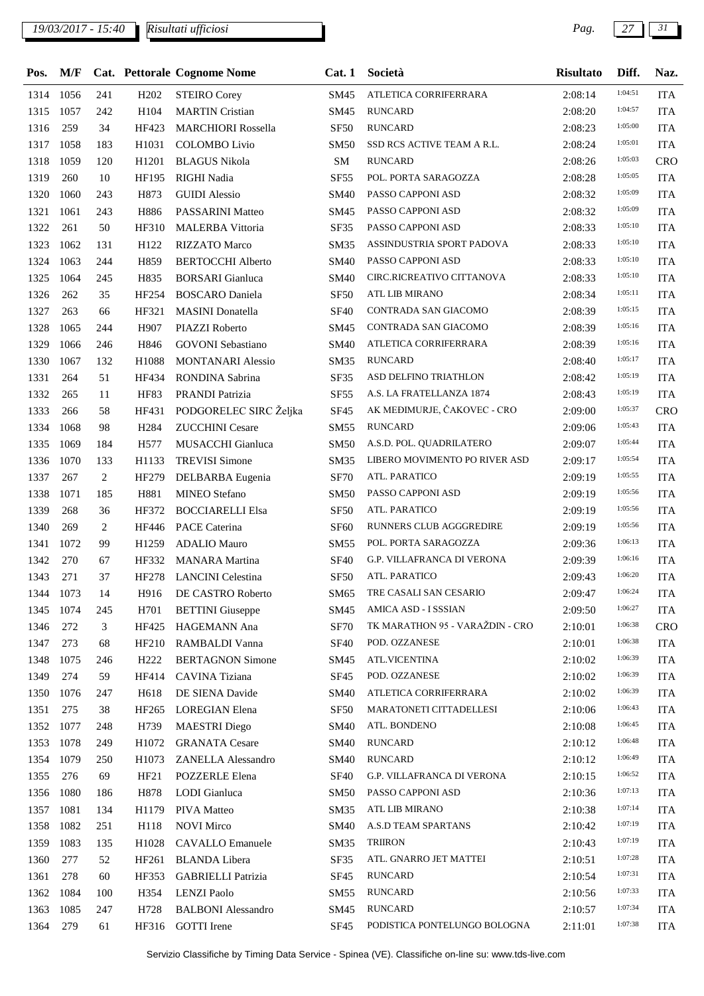# *19/03/2017 - 15:40 Pag. 27 31*

| Pos.      | M/F       |                |                   | Cat. Pettorale Cognome Nome | Cat.1            | Società                           | <b>Risultato</b> | Diff.   | Naz.       |
|-----------|-----------|----------------|-------------------|-----------------------------|------------------|-----------------------------------|------------------|---------|------------|
| 1314      | 1056      | 241            | H <sub>2</sub> 02 | <b>STEIRO</b> Corey         | SM45             | ATLETICA CORRIFERRARA             | 2:08:14          | 1:04:51 | <b>ITA</b> |
| 1315      | 1057      | 242            | H104              | <b>MARTIN</b> Cristian      | SM45             | <b>RUNCARD</b>                    | 2:08:20          | 1:04:57 | <b>ITA</b> |
| 1316      | 259       | 34             | HF423             | <b>MARCHIORI Rossella</b>   | <b>SF50</b>      | <b>RUNCARD</b>                    | 2:08:23          | 1:05:00 | <b>ITA</b> |
| 1317      | 1058      | 183            | H1031             | <b>COLOMBO</b> Livio        | <b>SM50</b>      | SSD RCS ACTIVE TEAM A R.L.        | 2:08:24          | 1:05:01 | <b>ITA</b> |
| 1318      | 1059      | 120            | H1201             | <b>BLAGUS Nikola</b>        | SM               | <b>RUNCARD</b>                    | 2:08:26          | 1:05:03 | CRO        |
| 1319      | 260       | 10             | HF195             | RIGHI Nadia                 | SF <sub>55</sub> | POL. PORTA SARAGOZZA              | 2:08:28          | 1:05:05 | <b>ITA</b> |
| 1320      | 1060      | 243            | H873              | <b>GUIDI</b> Alessio        | <b>SM40</b>      | PASSO CAPPONI ASD                 | 2:08:32          | 1:05:09 | <b>ITA</b> |
| 1321      | 1061      | 243            | H886              | PASSARINI Matteo            | SM45             | PASSO CAPPONI ASD                 | 2:08:32          | 1:05:09 | <b>ITA</b> |
| 1322      | 261       | 50             | HF310             | <b>MALERBA Vittoria</b>     | SF35             | PASSO CAPPONI ASD                 | 2:08:33          | 1:05:10 | <b>ITA</b> |
| 1323      | 1062      | 131            | H122              | RIZZATO Marco               | <b>SM35</b>      | ASSINDUSTRIA SPORT PADOVA         | 2:08:33          | 1:05:10 | <b>ITA</b> |
| 1324      | 1063      | 244            | H859              | <b>BERTOCCHI</b> Alberto    | SM40             | PASSO CAPPONI ASD                 | 2:08:33          | 1:05:10 | <b>ITA</b> |
| 1325      | 1064      | 245            | H835              | <b>BORSARI</b> Gianluca     | <b>SM40</b>      | CIRC.RICREATIVO CITTANOVA         | 2:08:33          | 1:05:10 | <b>ITA</b> |
| 1326      | 262       | 35             | HF254             | <b>BOSCARO</b> Daniela      | <b>SF50</b>      | ATL LIB MIRANO                    | 2:08:34          | 1:05:11 | <b>ITA</b> |
| 1327      | 263       | 66             | HF321             | <b>MASINI</b> Donatella     | <b>SF40</b>      | CONTRADA SAN GIACOMO              | 2:08:39          | 1:05:15 | <b>ITA</b> |
| 1328      | 1065      | 244            | H907              | PIAZZI Roberto              | SM45             | CONTRADA SAN GIACOMO              | 2:08:39          | 1:05:16 | <b>ITA</b> |
| 1329      | 1066      | 246            | H846              | <b>GOVONI</b> Sebastiano    | <b>SM40</b>      | ATLETICA CORRIFERRARA             | 2:08:39          | 1:05:16 | <b>ITA</b> |
| 1330      | 1067      | 132            | H1088             | <b>MONTANARI Alessio</b>    | <b>SM35</b>      | <b>RUNCARD</b>                    | 2:08:40          | 1:05:17 | <b>ITA</b> |
| 1331      | 264       | 51             | HF434             | RONDINA Sabrina             | SF35             | ASD DELFINO TRIATHLON             | 2:08:42          | 1:05:19 | <b>ITA</b> |
| 1332      | 265       | 11             | <b>HF83</b>       | PRANDI Patrizia             | SF <sub>55</sub> | A.S. LA FRATELLANZA 1874          | 2:08:43          | 1:05:19 | <b>ITA</b> |
| 1333      | 266       | 58             |                   | PODGORELEC SIRC Željka      | <b>SF45</b>      | AK MEĐIMURJE, ČAKOVEC - CRO       | 2:09:00          | 1:05:37 |            |
| 1334      | 1068      | 98             | HF431             |                             |                  | <b>RUNCARD</b>                    |                  | 1:05:43 | <b>CRO</b> |
|           |           |                | H <sub>284</sub>  | <b>ZUCCHINI</b> Cesare      | SM55             | A.S.D. POL. QUADRILATERO          | 2:09:06          | 1:05:44 | <b>ITA</b> |
| 1335      | 1069      | 184            | H <sub>577</sub>  | MUSACCHI Gianluca           | <b>SM50</b>      |                                   | 2:09:07          | 1:05:54 | <b>ITA</b> |
| 1336      | 1070      | 133            | H1133             | <b>TREVISI Simone</b>       | SM35             | LIBERO MOVIMENTO PO RIVER ASD     | 2:09:17          | 1:05:55 | <b>ITA</b> |
| 1337      | 267       | $\overline{c}$ | HF279             | DELBARBA Eugenia            | <b>SF70</b>      | ATL. PARATICO                     | 2:09:19          | 1:05:56 | <b>ITA</b> |
| 1338      | 1071      | 185            | H881              | <b>MINEO Stefano</b>        | <b>SM50</b>      | PASSO CAPPONI ASD                 | 2:09:19          | 1:05:56 | <b>ITA</b> |
| 1339      | 268       | 36             | HF372             | <b>BOCCIARELLI Elsa</b>     | SF <sub>50</sub> | ATL. PARATICO                     | 2:09:19          |         | <b>ITA</b> |
| 1340      | 269       | 2              | HF446             | <b>PACE Caterina</b>        | <b>SF60</b>      | RUNNERS CLUB AGGGREDIRE           | 2:09:19          | 1:05:56 | <b>ITA</b> |
| 1341      | 1072      | 99             | H1259             | <b>ADALIO Mauro</b>         | <b>SM55</b>      | POL. PORTA SARAGOZZA              | 2:09:36          | 1:06:13 | <b>ITA</b> |
| 1342      | 270       | 67             | HF332             | <b>MANARA</b> Martina       | <b>SF40</b>      | <b>G.P. VILLAFRANCA DI VERONA</b> | 2:09:39          | 1:06:16 | <b>ITA</b> |
| 1343      | 271       | 37             | HF278             | <b>LANCINI</b> Celestina    | <b>SF50</b>      | ATL. PARATICO                     | 2:09:43          | 1:06:20 | <b>ITA</b> |
|           | 1344 1073 | 14             |                   | H916 DE CASTRO Roberto      | SM65             | TRE CASALI SAN CESARIO            | 2:09:47          | 1:06:24 | <b>ITA</b> |
| 1345 1074 |           | 245            | H701              | <b>BETTINI</b> Giuseppe     | SM45             | AMICA ASD - I SSSIAN              | 2:09:50          | 1:06:27 | <b>ITA</b> |
| 1346      | 272       | 3              | HF425             | HAGEMANN Ana                | <b>SF70</b>      | TK MARATHON 95 - VARAŽDIN - CRO   | 2:10:01          | 1:06:38 | <b>CRO</b> |
| 1347      | 273       | 68             | HF210             | RAMBALDI Vanna              | <b>SF40</b>      | POD. OZZANESE                     | 2:10:01          | 1:06:38 | <b>ITA</b> |
| 1348      | 1075      | 246            | H <sub>222</sub>  | <b>BERTAGNON Simone</b>     | SM45             | ATL.VICENTINA                     | 2:10:02          | 1:06:39 | <b>ITA</b> |
| 1349      | 274       | 59             | HF414             | CAVINA Tiziana              | SF <sub>45</sub> | POD. OZZANESE                     | 2:10:02          | 1:06:39 | <b>ITA</b> |
| 1350      | 1076      | 247            | H618              | DE SIENA Davide             | <b>SM40</b>      | ATLETICA CORRIFERRARA             | 2:10:02          | 1:06:39 | <b>ITA</b> |
| 1351      | 275       | 38             | HF265             | <b>LOREGIAN Elena</b>       | SF <sub>50</sub> | MARATONETI CITTADELLESI           | 2:10:06          | 1:06:43 | <b>ITA</b> |
| 1352      | 1077      | 248            | H739              | <b>MAESTRI</b> Diego        | <b>SM40</b>      | ATL. BONDENO                      | 2:10:08          | 1:06:45 | <b>ITA</b> |
| 1353      | 1078      | 249            | H1072             | <b>GRANATA</b> Cesare       | <b>SM40</b>      | <b>RUNCARD</b>                    | 2:10:12          | 1:06:48 | <b>ITA</b> |
| 1354      | 1079      | 250            | H1073             | ZANELLA Alessandro          | <b>SM40</b>      | <b>RUNCARD</b>                    | 2:10:12          | 1:06:49 | <b>ITA</b> |
| 1355      | 276       | 69             | HF21              | <b>POZZERLE Elena</b>       | <b>SF40</b>      | <b>G.P. VILLAFRANCA DI VERONA</b> | 2:10:15          | 1:06:52 | <b>ITA</b> |
| 1356      | 1080      | 186            | H878              | LODI Gianluca               | <b>SM50</b>      | PASSO CAPPONI ASD                 | 2:10:36          | 1:07:13 | <b>ITA</b> |
| 1357      | 1081      | 134            | H1179             | PIVA Matteo                 | SM35             | ATL LIB MIRANO                    | 2:10:38          | 1:07:14 | <b>ITA</b> |
| 1358      | 1082      | 251            | H118              | <b>NOVI Mirco</b>           | <b>SM40</b>      | A.S.D TEAM SPARTANS               | 2:10:42          | 1:07:19 | <b>ITA</b> |
| 1359      | 1083      | 135            | H1028             | CAVALLO Emanuele            | SM35             | <b>TRIIRON</b>                    | 2:10:43          | 1:07:19 | <b>ITA</b> |
| 1360      | 277       | 52             | HF261             | <b>BLANDA</b> Libera        | SF35             | ATL. GNARRO JET MATTEI            | 2:10:51          | 1:07:28 | <b>ITA</b> |
| 1361      | 278       | 60             | HF353             | <b>GABRIELLI Patrizia</b>   | <b>SF45</b>      | <b>RUNCARD</b>                    | 2:10:54          | 1:07:31 | <b>ITA</b> |
| 1362      | 1084      | 100            | H354              | <b>LENZI Paolo</b>          | SM55             | <b>RUNCARD</b>                    | 2:10:56          | 1:07:33 | <b>ITA</b> |
| 1363      | 1085      | 247            | H728              | <b>BALBONI</b> Alessandro   | SM45             | <b>RUNCARD</b>                    | 2:10:57          | 1:07:34 | <b>ITA</b> |
| 1364      | 279       | 61             | HF316             | <b>GOTTI</b> Irene          | SF <sub>45</sub> | PODISTICA PONTELUNGO BOLOGNA      | 2:11:01          | 1:07:38 | <b>ITA</b> |
|           |           |                |                   |                             |                  |                                   |                  |         |            |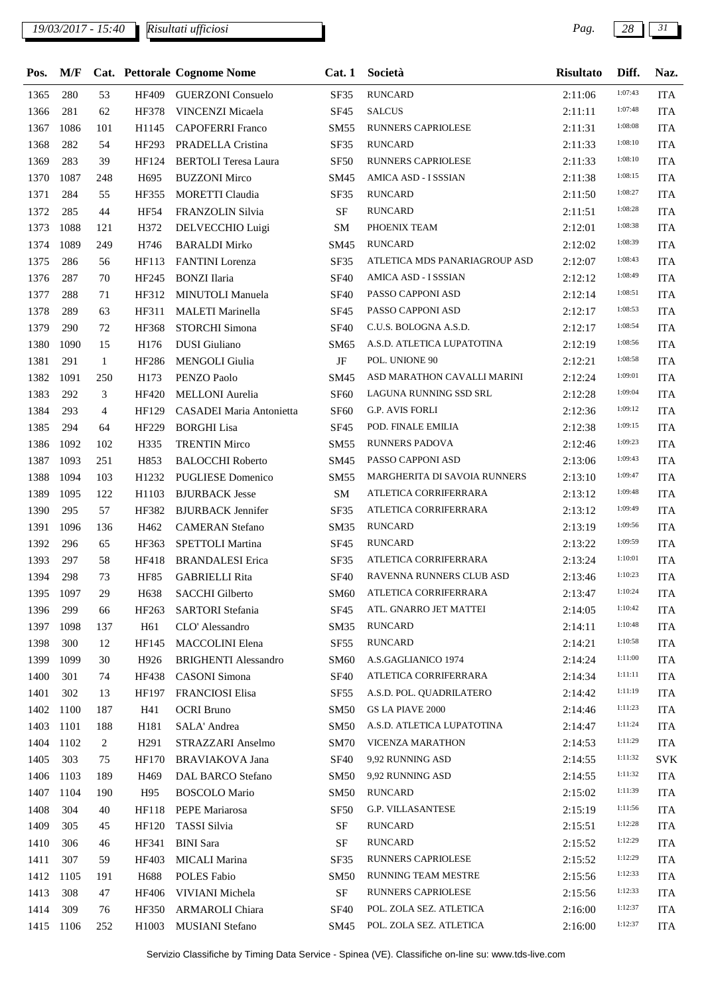| Pos.      | M/F       |                |                   | Cat. Pettorale Cognome Nome     | Cat.1            | Società                       | <b>Risultato</b> | Diff.   | Naz.       |
|-----------|-----------|----------------|-------------------|---------------------------------|------------------|-------------------------------|------------------|---------|------------|
| 1365      | 280       | 53             | <b>HF409</b>      | <b>GUERZONI</b> Consuelo        | SF35             | <b>RUNCARD</b>                | 2:11:06          | 1:07:43 | <b>ITA</b> |
| 1366      | 281       | 62             | HF378             | VINCENZI Micaela                | <b>SF45</b>      | <b>SALCUS</b>                 | 2:11:11          | 1:07:48 | <b>ITA</b> |
| 1367      | 1086      | 101            | H1145             | <b>CAPOFERRI</b> Franco         | <b>SM55</b>      | RUNNERS CAPRIOLESE            | 2:11:31          | 1:08:08 | <b>ITA</b> |
| 1368      | 282       | 54             | HF293             | PRADELLA Cristina               | SF35             | <b>RUNCARD</b>                | 2:11:33          | 1:08:10 | <b>ITA</b> |
| 1369      | 283       | 39             | HF124             | <b>BERTOLI</b> Teresa Laura     | <b>SF50</b>      | RUNNERS CAPRIOLESE            | 2:11:33          | 1:08:10 | <b>ITA</b> |
| 1370      | 1087      | 248            | H <sub>695</sub>  | <b>BUZZONI Mirco</b>            | SM45             | AMICA ASD - I SSSIAN          | 2:11:38          | 1:08:15 | <b>ITA</b> |
| 1371      | 284       | 55             | HF355             | <b>MORETTI Claudia</b>          | SF35             | <b>RUNCARD</b>                | 2:11:50          | 1:08:27 | <b>ITA</b> |
| 1372      | 285       | 44             | <b>HF54</b>       | <b>FRANZOLIN Silvia</b>         | <b>SF</b>        | <b>RUNCARD</b>                | 2:11:51          | 1:08:28 | <b>ITA</b> |
| 1373      | 1088      | 121            | H372              | DELVECCHIO Luigi                | SM               | PHOENIX TEAM                  | 2:12:01          | 1:08:38 | <b>ITA</b> |
| 1374      | 1089      | 249            | H746              | <b>BARALDI Mirko</b>            | SM45             | <b>RUNCARD</b>                | 2:12:02          | 1:08:39 | <b>ITA</b> |
| 1375      | 286       | 56             | HF113             | <b>FANTINI</b> Lorenza          | SF35             | ATLETICA MDS PANARIAGROUP ASD | 2:12:07          | 1:08:43 | <b>ITA</b> |
| 1376      | 287       | 70             | HF245             | <b>BONZI</b> Ilaria             | <b>SF40</b>      | AMICA ASD - I SSSIAN          | 2:12:12          | 1:08:49 | <b>ITA</b> |
| 1377      | 288       | 71             | HF312             | MINUTOLI Manuela                | <b>SF40</b>      | PASSO CAPPONI ASD             | 2:12:14          | 1:08:51 | <b>ITA</b> |
| 1378      | 289       | 63             | HF311             | <b>MALETI Marinella</b>         | SF45             | PASSO CAPPONI ASD             | 2:12:17          | 1:08:53 | <b>ITA</b> |
| 1379      | 290       | 72             | HF368             | STORCHI Simona                  | <b>SF40</b>      | C.U.S. BOLOGNA A.S.D.         | 2:12:17          | 1:08:54 | <b>ITA</b> |
| 1380      | 1090      | 15             | H176              | <b>DUSI</b> Giuliano            | SM65             | A.S.D. ATLETICA LUPATOTINA    | 2:12:19          | 1:08:56 | <b>ITA</b> |
| 1381      | 291       | $\mathbf{1}$   | HF286             | <b>MENGOLI</b> Giulia           | JF               | POL. UNIONE 90                | 2:12:21          | 1:08:58 | <b>ITA</b> |
| 1382      | 1091      | 250            | H173              | PENZO Paolo                     | SM45             | ASD MARATHON CAVALLI MARINI   | 2:12:24          | 1:09:01 | <b>ITA</b> |
| 1383      | 292       | 3              | HF420             | <b>MELLONI</b> Aurelia          | <b>SF60</b>      | LAGUNA RUNNING SSD SRL        | 2:12:28          | 1:09:04 | <b>ITA</b> |
| 1384      | 293       | $\overline{4}$ | HF129             | <b>CASADEI</b> Maria Antonietta | <b>SF60</b>      | <b>G.P. AVIS FORLI</b>        | 2:12:36          | 1:09:12 | <b>ITA</b> |
| 1385      | 294       | 64             | HF229             | <b>BORGHI Lisa</b>              | <b>SF45</b>      | POD. FINALE EMILIA            | 2:12:38          | 1:09:15 | <b>ITA</b> |
| 1386      | 1092      | 102            | H335              | <b>TRENTIN Mirco</b>            | <b>SM55</b>      | RUNNERS PADOVA                | 2:12:46          | 1:09:23 | <b>ITA</b> |
| 1387      | 1093      | 251            | H853              | <b>BALOCCHI Roberto</b>         | SM45             | PASSO CAPPONI ASD             | 2:13:06          | 1:09:43 | <b>ITA</b> |
| 1388      | 1094      | 103            | H <sub>1232</sub> | PUGLIESE Domenico               | <b>SM55</b>      | MARGHERITA DI SAVOIA RUNNERS  | 2:13:10          | 1:09:47 | <b>ITA</b> |
| 1389      | 1095      | 122            | H1103             | <b>BJURBACK Jesse</b>           | <b>SM</b>        | ATLETICA CORRIFERRARA         | 2:13:12          | 1:09:48 | <b>ITA</b> |
| 1390      | 295       | 57             | HF382             | <b>BJURBACK Jennifer</b>        | SF35             | ATLETICA CORRIFERRARA         | 2:13:12          | 1:09:49 | <b>ITA</b> |
| 1391      | 1096      | 136            | H462              | <b>CAMERAN</b> Stefano          | SM35             | <b>RUNCARD</b>                | 2:13:19          | 1:09:56 | <b>ITA</b> |
| 1392      | 296       | 65             | HF363             | SPETTOLI Martina                | <b>SF45</b>      | <b>RUNCARD</b>                | 2:13:22          | 1:09:59 | <b>ITA</b> |
| 1393      | 297       | 58             | HF418             | <b>BRANDALESI Erica</b>         | SF35             | ATLETICA CORRIFERRARA         | 2:13:24          | 1:10:01 | <b>ITA</b> |
| 1394      | 298       | 73             | <b>HF85</b>       | <b>GABRIELLI Rita</b>           | <b>SF40</b>      | RAVENNA RUNNERS CLUB ASD      | 2:13:46          | 1:10:23 | <b>ITA</b> |
| 1395 1097 |           | 29             | H638              | <b>SACCHI</b> Gilberto          | SM60             | ATLETICA CORRIFERRARA         | 2:13:47          | 1:10:24 | <b>ITA</b> |
| 1396      | 299       | 66             | HF263             | <b>SARTORI</b> Stefania         | <b>SF45</b>      | ATL. GNARRO JET MATTEI        | 2:14:05          | 1:10:42 | <b>ITA</b> |
| 1397      | 1098      | 137            | H <sub>61</sub>   | CLO' Alessandro                 | SM35             | <b>RUNCARD</b>                | 2:14:11          | 1:10:48 | <b>ITA</b> |
| 1398      | 300       | 12             | HF145             | <b>MACCOLINI</b> Elena          | SF <sub>55</sub> | <b>RUNCARD</b>                | 2:14:21          | 1:10:58 | <b>ITA</b> |
| 1399      | 1099      | 30             | H926              | <b>BRIGHENTI Alessandro</b>     | SM60             | A.S.GAGLIANICO 1974           | 2:14:24          | 1:11:00 | <b>ITA</b> |
| 1400      | 301       | 74             | HF438             | <b>CASONI</b> Simona            | <b>SF40</b>      | ATLETICA CORRIFERRARA         | 2:14:34          | 1:11:11 | <b>ITA</b> |
| 1401      | 302       | 13             | HF197             | FRANCIOSI Elisa                 | SF <sub>55</sub> | A.S.D. POL. QUADRILATERO      | 2:14:42          | 1:11:19 | <b>ITA</b> |
| 1402      | 1100      | 187            | H41               | <b>OCRI</b> Bruno               | SM50             | GS LA PIAVE 2000              | 2:14:46          | 1:11:23 | <b>ITA</b> |
| 1403      | 1101      | 188            | H181              | SALA' Andrea                    | <b>SM50</b>      | A.S.D. ATLETICA LUPATOTINA    | 2:14:47          | 1:11:24 | <b>ITA</b> |
| 1404      | 1102      | 2              | H <sub>291</sub>  | STRAZZARI Anselmo               | <b>SM70</b>      | <b>VICENZA MARATHON</b>       | 2:14:53          | 1:11:29 | <b>ITA</b> |
| 1405      | 303       | 75             | <b>HF170</b>      | <b>BRAVIAKOVA Jana</b>          | <b>SF40</b>      | 9,92 RUNNING ASD              | 2:14:55          | 1:11:32 | <b>SVK</b> |
| 1406      | 1103      | 189            | H469              | DAL BARCO Stefano               | <b>SM50</b>      | 9,92 RUNNING ASD              | 2:14:55          | 1:11:32 | <b>ITA</b> |
| 1407      | 1104      | 190            | H95               | <b>BOSCOLO</b> Mario            | <b>SM50</b>      | <b>RUNCARD</b>                | 2:15:02          | 1:11:39 | <b>ITA</b> |
| 1408      | 304       | 40             | HF118             | PEPE Mariarosa                  | SF50             | <b>G.P. VILLASANTESE</b>      | 2:15:19          | 1:11:56 | <b>ITA</b> |
| 1409      | 305       | 45             | HF120             | TASSI Silvia                    | SF               | <b>RUNCARD</b>                | 2:15:51          | 1:12:28 | <b>ITA</b> |
| 1410      | 306       | 46             | HF341             | <b>BINI</b> Sara                | SF               | <b>RUNCARD</b>                | 2:15:52          | 1:12:29 | <b>ITA</b> |
| 1411      | 307       | 59             | HF403             | MICALI Marina                   | <b>SF35</b>      | RUNNERS CAPRIOLESE            | 2:15:52          | 1:12:29 | <b>ITA</b> |
| 1412      | 1105      | 191            | H688              | <b>POLES</b> Fabio              | <b>SM50</b>      | RUNNING TEAM MESTRE           | 2:15:56          | 1:12:33 | <b>ITA</b> |
| 1413      | 308       | 47             | HF406             | VIVIANI Michela                 | $\rm{SF}$        | RUNNERS CAPRIOLESE            | 2:15:56          | 1:12:33 | <b>ITA</b> |
| 1414      | 309       | 76             | HF350             | <b>ARMAROLI Chiara</b>          | <b>SF40</b>      | POL. ZOLA SEZ. ATLETICA       | 2:16:00          | 1:12:37 | <b>ITA</b> |
|           | 1415 1106 | 252            | H1003             | MUSIANI Stefano                 | SM45             | POL. ZOLA SEZ. ATLETICA       | 2:16:00          | 1:12:37 | <b>ITA</b> |
|           |           |                |                   |                                 |                  |                               |                  |         |            |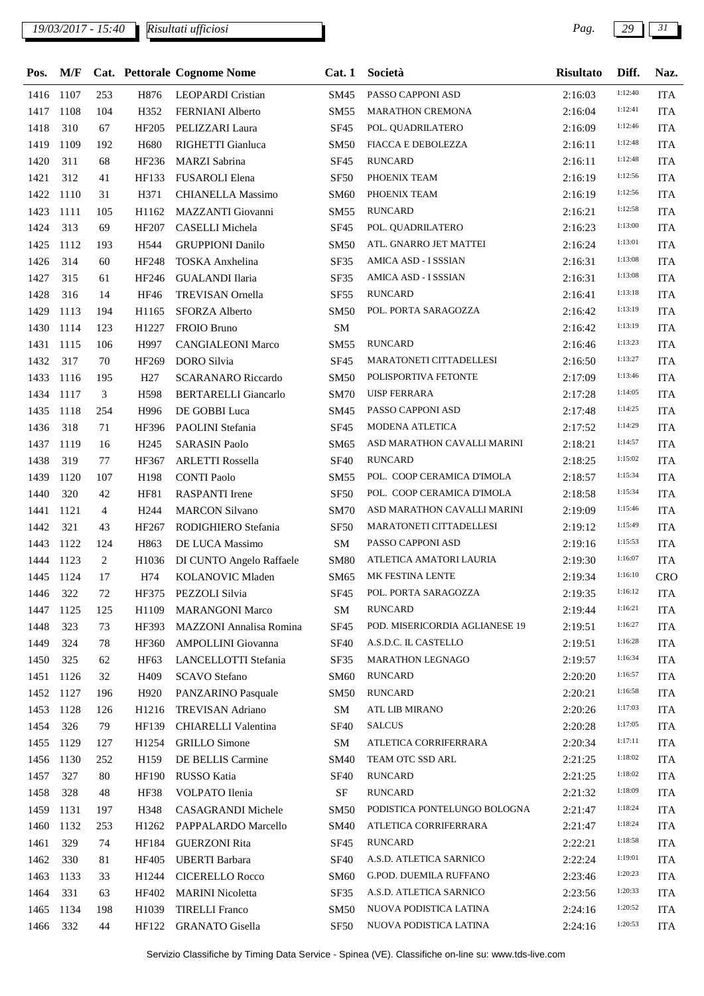# *19/03/2017 - 15:40 Pag. 29 31*

| Pos.      | M/F  |                |                   | Cat. Pettorale Cognome Nome | Cat.1            | Società                        | <b>Risultato</b> | Diff.   | Naz.       |
|-----------|------|----------------|-------------------|-----------------------------|------------------|--------------------------------|------------------|---------|------------|
| 1416      | 1107 | 253            | H876              | <b>LEOPARDI</b> Cristian    | SM45             | PASSO CAPPONI ASD              | 2:16:03          | 1:12:40 | <b>ITA</b> |
| 1417      | 1108 | 104            | H352              | <b>FERNIANI</b> Alberto     | <b>SM55</b>      | <b>MARATHON CREMONA</b>        | 2:16:04          | 1:12:41 | <b>ITA</b> |
| 1418      | 310  | 67             | HF205             | PELIZZARI Laura             | SF45             | POL. QUADRILATERO              | 2:16:09          | 1:12:46 | <b>ITA</b> |
| 1419      | 1109 | 192            | H <sub>680</sub>  | RIGHETTI Gianluca           | <b>SM50</b>      | FIACCA E DEBOLEZZA             | 2:16:11          | 1:12:48 | <b>ITA</b> |
| 1420      | 311  | 68             | HF236             | <b>MARZI</b> Sabrina        | SF45             | <b>RUNCARD</b>                 | 2:16:11          | 1:12:48 | <b>ITA</b> |
| 1421      | 312  | 41             | HF133             | FUSAROLI Elena              | <b>SF50</b>      | PHOENIX TEAM                   | 2:16:19          | 1:12:56 | <b>ITA</b> |
| 1422      | 1110 | 31             | H371              | <b>CHIANELLA Massimo</b>    | <b>SM60</b>      | PHOENIX TEAM                   | 2:16:19          | 1:12:56 | <b>ITA</b> |
| 1423      | 1111 | 105            | H1162             | MAZZANTI Giovanni           | SM55             | <b>RUNCARD</b>                 | 2:16:21          | 1:12:58 | <b>ITA</b> |
| 1424      | 313  | 69             | HF207             | CASELLI Michela             | SF45             | POL. QUADRILATERO              | 2:16:23          | 1:13:00 | <b>ITA</b> |
| 1425      | 1112 | 193            | H544              | <b>GRUPPIONI Danilo</b>     | <b>SM50</b>      | ATL. GNARRO JET MATTEI         | 2:16:24          | 1:13:01 | <b>ITA</b> |
| 1426      | 314  | 60             | HF248             | TOSKA Anxhelina             | SF35             | AMICA ASD - I SSSIAN           | 2:16:31          | 1:13:08 | <b>ITA</b> |
| 1427      | 315  | 61             | HF246             | <b>GUALANDI</b> Ilaria      | SF35             | AMICA ASD - I SSSIAN           | 2:16:31          | 1:13:08 | <b>ITA</b> |
| 1428      | 316  | 14             | <b>HF46</b>       | <b>TREVISAN</b> Ornella     | <b>SF55</b>      | <b>RUNCARD</b>                 | 2:16:41          | 1:13:18 | <b>ITA</b> |
| 1429      | 1113 | 194            | H1165             | <b>SFORZA Alberto</b>       | <b>SM50</b>      | POL. PORTA SARAGOZZA           | 2:16:42          | 1:13:19 | <b>ITA</b> |
| 1430      | 1114 | 123            | H1227             | FROIO Bruno                 | ${\bf SM}$       |                                | 2:16:42          | 1:13:19 | <b>ITA</b> |
| 1431      | 1115 | 106            | H997              | <b>CANGIALEONI Marco</b>    | SM55             | <b>RUNCARD</b>                 | 2:16:46          | 1:13:23 | <b>ITA</b> |
| 1432      | 317  | 70             | HF269             | DORO Silvia                 | SF45             | MARATONETI CITTADELLESI        | 2:16:50          | 1:13:27 | <b>ITA</b> |
| 1433      | 1116 | 195            | H <sub>27</sub>   | <b>SCARANARO</b> Riccardo   | <b>SM50</b>      | POLISPORTIVA FETONTE           | 2:17:09          | 1:13:46 | <b>ITA</b> |
| 1434      | 1117 | 3              | H598              | <b>BERTARELLI Giancarlo</b> | <b>SM70</b>      | <b>UISP FERRARA</b>            | 2:17:28          | 1:14:05 | <b>ITA</b> |
| 1435      | 1118 | 254            | H996              | DE GOBBI Luca               | SM45             | PASSO CAPPONI ASD              | 2:17:48          | 1:14:25 | <b>ITA</b> |
| 1436      | 318  | 71             | HF396             | PAOLINI Stefania            | SF45             | MODENA ATLETICA                | 2:17:52          | 1:14:29 | <b>ITA</b> |
| 1437      | 1119 | 16             | H <sub>245</sub>  | <b>SARASIN Paolo</b>        | SM65             | ASD MARATHON CAVALLI MARINI    | 2:18:21          | 1:14:57 | <b>ITA</b> |
| 1438      | 319  | 77             | HF367             | <b>ARLETTI Rossella</b>     | <b>SF40</b>      | <b>RUNCARD</b>                 | 2:18:25          | 1:15:02 | <b>ITA</b> |
| 1439      | 1120 | 107            | H198              | <b>CONTI Paolo</b>          | <b>SM55</b>      | POL. COOP CERAMICA D'IMOLA     | 2:18:57          | 1:15:34 | <b>ITA</b> |
| 1440      | 320  | 42             | <b>HF81</b>       | <b>RASPANTI</b> Irene       | <b>SF50</b>      | POL. COOP CERAMICA D'IMOLA     | 2:18:58          | 1:15:34 | <b>ITA</b> |
| 1441      | 1121 | 4              | H <sub>244</sub>  | <b>MARCON Silvano</b>       | <b>SM70</b>      | ASD MARATHON CAVALLI MARINI    | 2:19:09          | 1:15:46 | <b>ITA</b> |
| 1442      | 321  | 43             | HF267             | RODIGHIERO Stefania         | <b>SF50</b>      | MARATONETI CITTADELLESI        | 2:19:12          | 1:15:49 | <b>ITA</b> |
| 1443      | 1122 | 124            | H863              | DE LUCA Massimo             | <b>SM</b>        | PASSO CAPPONI ASD              | 2:19:16          | 1:15:53 | <b>ITA</b> |
| 1444      | 1123 | $\overline{2}$ | H1036             | DI CUNTO Angelo Raffaele    | <b>SM80</b>      | ATLETICA AMATORI LAURIA        | 2:19:30          | 1:16:07 | <b>ITA</b> |
| 1445 1124 |      | 17             | H74               | KOLANOVIC Mladen            | SM65             | MK FESTINA LENTE               | 2:19:34          | 1:16:10 | <b>CRO</b> |
| 1446 322  |      | 72             |                   | HF375 PEZZOLI Silvia        | SF45             | POL. PORTA SARAGOZZA           | 2:19:35          | 1:16:12 | <b>ITA</b> |
| 1447      | 1125 | 125            | H1109             | <b>MARANGONI Marco</b>      | <b>SM</b>        | <b>RUNCARD</b>                 | 2:19:44          | 1:16:21 | <b>ITA</b> |
| 1448      | 323  | 73             | HF393             | MAZZONI Annalisa Romina     | SF45             | POD. MISERICORDIA AGLIANESE 19 | 2:19:51          | 1:16:27 | <b>ITA</b> |
| 1449      | 324  | 78             | HF360             | <b>AMPOLLINI</b> Giovanna   | <b>SF40</b>      | A.S.D.C. IL CASTELLO           | 2:19:51          | 1:16:28 | <b>ITA</b> |
| 1450      | 325  | 62             | HF63              | LANCELLOTTI Stefania        | SF35             | MARATHON LEGNAGO               | 2:19:57          | 1:16:34 | <b>ITA</b> |
| 1451      | 1126 | 32             | H409              | <b>SCAVO Stefano</b>        | <b>SM60</b>      | RUNCARD                        | 2:20:20          | 1:16:57 | <b>ITA</b> |
| 1452      | 1127 | 196            | H920              | PANZARINO Pasquale          | <b>SM50</b>      | <b>RUNCARD</b>                 | 2:20:21          | 1:16:58 | <b>ITA</b> |
| 1453      | 1128 | 126            | H1216             | TREVISAN Adriano            | <b>SM</b>        | ATL LIB MIRANO                 | 2:20:26          | 1:17:03 | <b>ITA</b> |
| 1454      | 326  | 79             | HF139             | CHIARELLI Valentina         | <b>SF40</b>      | <b>SALCUS</b>                  | 2:20:28          | 1:17:05 | <b>ITA</b> |
| 1455      | 1129 | 127            | H <sub>1254</sub> | <b>GRILLO</b> Simone        | SM               | ATLETICA CORRIFERRARA          | 2:20:34          | 1:17:11 | <b>ITA</b> |
| 1456      | 1130 | 252            | H159              | DE BELLIS Carmine           | <b>SM40</b>      | TEAM OTC SSD ARL               | 2:21:25          | 1:18:02 | <b>ITA</b> |
| 1457      | 327  | 80             | HF190             | RUSSO Katia                 | <b>SF40</b>      | <b>RUNCARD</b>                 | 2:21:25          | 1:18:02 | <b>ITA</b> |
| 1458      | 328  | 48             | <b>HF38</b>       | VOLPATO Ilenia              | $\rm{SF}$        | <b>RUNCARD</b>                 | 2:21:32          | 1:18:09 | <b>ITA</b> |
| 1459      | 1131 | 197            | H348              | CASAGRANDI Michele          | <b>SM50</b>      | PODISTICA PONTELUNGO BOLOGNA   | 2:21:47          | 1:18:24 | <b>ITA</b> |
| 1460      | 1132 | 253            | H1262             | PAPPALARDO Marcello         | <b>SM40</b>      | ATLETICA CORRIFERRARA          | 2:21:47          | 1:18:24 | <b>ITA</b> |
| 1461      | 329  | 74             | HF184             | <b>GUERZONI Rita</b>        | SF <sub>45</sub> | <b>RUNCARD</b>                 | 2:22:21          | 1:18:58 | <b>ITA</b> |
| 1462      | 330  | 81             | HF405             | <b>UBERTI Barbara</b>       | <b>SF40</b>      | A.S.D. ATLETICA SARNICO        | 2:22:24          | 1:19:01 | <b>ITA</b> |
| 1463      | 1133 | 33             | H1244             | <b>CICERELLO Rocco</b>      | <b>SM60</b>      | G.POD. DUEMILA RUFFANO         | 2:23:46          | 1:20:23 | <b>ITA</b> |
| 1464      | 331  | 63             | HF402             | <b>MARINI</b> Nicoletta     | SF35             | A.S.D. ATLETICA SARNICO        | 2:23:56          | 1:20:33 | <b>ITA</b> |
| 1465      | 1134 | 198            | H1039             | <b>TIRELLI Franco</b>       | <b>SM50</b>      | NUOVA PODISTICA LATINA         | 2:24:16          | 1:20:52 | <b>ITA</b> |
| 1466      | 332  | 44             | HF122             | <b>GRANATO</b> Gisella      | SF <sub>50</sub> | NUOVA PODISTICA LATINA         | 2:24:16          | 1:20:53 | <b>ITA</b> |
|           |      |                |                   |                             |                  |                                |                  |         |            |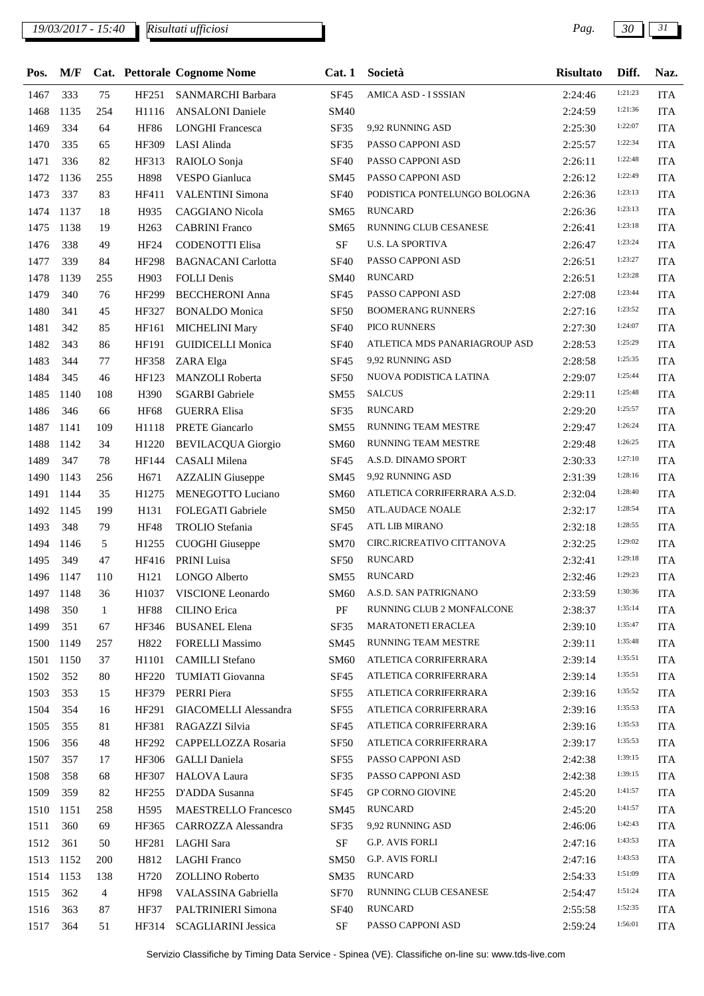# *19/03/2017 - 15:40 Pag. 30 31*

| Pos.      | M/F       |                |                  | Cat. Pettorale Cognome Nome  | Cat.1            | Società                       | <b>Risultato</b> | Diff.   | Naz.       |
|-----------|-----------|----------------|------------------|------------------------------|------------------|-------------------------------|------------------|---------|------------|
| 1467      | 333       | 75             | HF251            | SANMARCHI Barbara            | SF45             | AMICA ASD - I SSSIAN          | 2:24:46          | 1:21:23 | <b>ITA</b> |
| 1468      | 1135      | 254            | H1116            | <b>ANSALONI</b> Daniele      | <b>SM40</b>      |                               | 2:24:59          | 1:21:36 | <b>ITA</b> |
| 1469      | 334       | 64             | <b>HF86</b>      | <b>LONGHI Francesca</b>      | SF35             | 9,92 RUNNING ASD              | 2:25:30          | 1:22:07 | <b>ITA</b> |
| 1470      | 335       | 65             | HF309            | LASI Alinda                  | SF35             | PASSO CAPPONI ASD             | 2:25:57          | 1:22:34 | <b>ITA</b> |
| 1471      | 336       | 82             | HF313            | RAIOLO Sonja                 | <b>SF40</b>      | PASSO CAPPONI ASD             | 2:26:11          | 1:22:48 | <b>ITA</b> |
| 1472      | 1136      | 255            | H898             | VESPO Gianluca               | SM45             | PASSO CAPPONI ASD             | 2:26:12          | 1:22:49 | <b>ITA</b> |
| 1473      | 337       | 83             | HF411            | <b>VALENTINI</b> Simona      | <b>SF40</b>      | PODISTICA PONTELUNGO BOLOGNA  | 2:26:36          | 1:23:13 | <b>ITA</b> |
| 1474      | 1137      | 18             | H935             | <b>CAGGIANO</b> Nicola       | SM65             | <b>RUNCARD</b>                | 2:26:36          | 1:23:13 | <b>ITA</b> |
| 1475      | 1138      | 19             | H <sub>263</sub> | <b>CABRINI</b> Franco        | SM65             | RUNNING CLUB CESANESE         | 2:26:41          | 1:23:18 | <b>ITA</b> |
| 1476      | 338       | 49             | HF <sub>24</sub> | <b>CODENOTTI Elisa</b>       | $\rm SF$         | <b>U.S. LA SPORTIVA</b>       | 2:26:47          | 1:23:24 | <b>ITA</b> |
| 1477      | 339       | 84             | <b>HF298</b>     | <b>BAGNACANI</b> Carlotta    | <b>SF40</b>      | PASSO CAPPONI ASD             | 2:26:51          | 1:23:27 | <b>ITA</b> |
| 1478      | 1139      | 255            | H903             | <b>FOLLI</b> Denis           | <b>SM40</b>      | <b>RUNCARD</b>                | 2:26:51          | 1:23:28 | <b>ITA</b> |
| 1479      | 340       | 76             | HF299            | <b>BECCHERONI Anna</b>       | SF45             | PASSO CAPPONI ASD             | 2:27:08          | 1:23:44 | <b>ITA</b> |
| 1480      | 341       | 45             | HF327            | <b>BONALDO</b> Monica        | <b>SF50</b>      | <b>BOOMERANG RUNNERS</b>      | 2:27:16          | 1:23:52 | <b>ITA</b> |
| 1481      | 342       | 85             | HF161            | <b>MICHELINI Mary</b>        | <b>SF40</b>      | PICO RUNNERS                  | 2:27:30          | 1:24:07 | <b>ITA</b> |
| 1482      | 343       | 86             | HF191            | <b>GUIDICELLI Monica</b>     | <b>SF40</b>      | ATLETICA MDS PANARIAGROUP ASD | 2:28:53          | 1:25:29 | <b>ITA</b> |
| 1483      | 344       | 77             | HF358            | ZARA Elga                    | <b>SF45</b>      | 9,92 RUNNING ASD              | 2:28:58          | 1:25:35 | <b>ITA</b> |
| 1484      | 345       | 46             | HF123            | MANZOLI Roberta              | <b>SF50</b>      | NUOVA PODISTICA LATINA        | 2:29:07          | 1:25:44 | <b>ITA</b> |
| 1485      | 1140      | 108            | H390             | <b>SGARBI</b> Gabriele       | <b>SM55</b>      | <b>SALCUS</b>                 | 2:29:11          | 1:25:48 | <b>ITA</b> |
| 1486      | 346       | 66             | <b>HF68</b>      | <b>GUERRA Elisa</b>          | SF35             | <b>RUNCARD</b>                | 2:29:20          | 1:25:57 | <b>ITA</b> |
| 1487      | 1141      | 109            | H1118            | PRETE Giancarlo              | <b>SM55</b>      | RUNNING TEAM MESTRE           | 2:29:47          | 1:26:24 | <b>ITA</b> |
| 1488      | 1142      | 34             | H1220            | <b>BEVILACQUA Giorgio</b>    | <b>SM60</b>      | RUNNING TEAM MESTRE           | 2:29:48          | 1:26:25 | <b>ITA</b> |
| 1489      | 347       | 78             | HF144            | CASALI Milena                | SF <sub>45</sub> | A.S.D. DINAMO SPORT           | 2:30:33          | 1:27:10 | <b>ITA</b> |
| 1490      | 1143      | 256            | H <sub>671</sub> | <b>AZZALIN</b> Giuseppe      | SM45             | 9,92 RUNNING ASD              | 2:31:39          | 1:28:16 | <b>ITA</b> |
| 1491      | 1144      | 35             | H1275            | MENEGOTTO Luciano            | <b>SM60</b>      | ATLETICA CORRIFERRARA A.S.D.  | 2:32:04          | 1:28:40 | <b>ITA</b> |
| 1492      | 1145      | 199            | H131             | FOLEGATI Gabriele            | <b>SM50</b>      | <b>ATL.AUDACE NOALE</b>       | 2:32:17          | 1:28:54 | <b>ITA</b> |
| 1493      | 348       | 79             | <b>HF48</b>      | <b>TROLIO</b> Stefania       | <b>SF45</b>      | <b>ATL LIB MIRANO</b>         | 2:32:18          | 1:28:55 | <b>ITA</b> |
| 1494      | 1146      | 5              | H1255            | <b>CUOGHI</b> Giuseppe       | <b>SM70</b>      | CIRC.RICREATIVO CITTANOVA     | 2:32:25          | 1:29:02 | <b>ITA</b> |
| 1495      | 349       | 47             | HF416            | PRINI Luisa                  | SF <sub>50</sub> | <b>RUNCARD</b>                | 2:32:41          | 1:29:18 | <b>ITA</b> |
| 1496      | 1147      | 110            | H121             | <b>LONGO</b> Alberto         | <b>SM55</b>      | <b>RUNCARD</b>                | 2:32:46          | 1:29:23 | <b>ITA</b> |
|           | 1497 1148 | 36             |                  | H1037 VISCIONE Leonardo      |                  | SM60 A.S.D. SAN PATRIGNANO    | 2:33:59          | 1:30:36 | <b>ITA</b> |
| 1498      | 350       | $\mathbf{1}$   | <b>HF88</b>      | <b>CILINO</b> Erica          | PF               | RUNNING CLUB 2 MONFALCONE     | 2:38:37          | 1:35:14 | <b>ITA</b> |
| 1499      | 351       | 67             | HF346            | <b>BUSANEL Elena</b>         | <b>SF35</b>      | <b>MARATONETI ERACLEA</b>     | 2:39:10          | 1:35:47 | <b>ITA</b> |
| 1500      | 1149      | 257            | H822             | <b>FORELLI Massimo</b>       | SM45             | RUNNING TEAM MESTRE           | 2:39:11          | 1:35:48 | <b>ITA</b> |
| 1501      | 1150      | 37             | H1101            | <b>CAMILLI</b> Stefano       | <b>SM60</b>      | ATLETICA CORRIFERRARA         | 2:39:14          | 1:35:51 | <b>ITA</b> |
| 1502      | 352       | 80             | HF220            | TUMIATI Giovanna             | SF <sub>45</sub> | ATLETICA CORRIFERRARA         | 2:39:14          | 1:35:51 | <b>ITA</b> |
| 1503      | 353       | 15             | HF379            | PERRI Piera                  | SF <sub>55</sub> | ATLETICA CORRIFERRARA         | 2:39:16          | 1:35:52 | <b>ITA</b> |
| 1504      | 354       | 16             | HF291            | <b>GIACOMELLI Alessandra</b> | SF <sub>55</sub> | ATLETICA CORRIFERRARA         | 2:39:16          | 1:35:53 | <b>ITA</b> |
| 1505      | 355       | 81             | HF381            | RAGAZZI Silvia               | SF <sub>45</sub> | ATLETICA CORRIFERRARA         | 2:39:16          | 1:35:53 | <b>ITA</b> |
| 1506      | 356       | 48             | HF292            | CAPPELLOZZA Rosaria          | <b>SF50</b>      | ATLETICA CORRIFERRARA         | 2:39:17          | 1:35:53 | <b>ITA</b> |
| 1507      | 357       | 17             | HF306            | <b>GALLI</b> Daniela         | SF <sub>55</sub> | PASSO CAPPONI ASD             | 2:42:38          | 1:39:15 | <b>ITA</b> |
| 1508      | 358       | 68             | HF307            | HALOVA Laura                 | SF35             | PASSO CAPPONI ASD             | 2:42:38          | 1:39:15 | <b>ITA</b> |
| 1509      | 359       | 82             | HF255            | D'ADDA Susanna               | <b>SF45</b>      | <b>GP CORNO GIOVINE</b>       | 2:45:20          | 1:41:57 | <b>ITA</b> |
| 1510      | 1151      | 258            | H595             | MAESTRELLO Francesco         | SM45             | <b>RUNCARD</b>                | 2:45:20          | 1:41:57 | <b>ITA</b> |
| 1511      | 360       | 69             | HF365            | CARROZZA Alessandra          | SF35             | 9,92 RUNNING ASD              | 2:46:06          | 1:42:43 | <b>ITA</b> |
| 1512      | 361       | 50             | HF281            | <b>LAGHI</b> Sara            | SF               | <b>G.P. AVIS FORLI</b>        | 2:47:16          | 1:43:53 | <b>ITA</b> |
| 1513      | 1152      | 200            | H812             | <b>LAGHI</b> Franco          | <b>SM50</b>      | <b>G.P. AVIS FORLI</b>        | 2:47:16          | 1:43:53 | <b>ITA</b> |
| 1514 1153 |           | 138            | H720             | ZOLLINO Roberto              | SM35             | <b>RUNCARD</b>                | 2:54:33          | 1:51:09 | <b>ITA</b> |
| 1515      | 362       | $\overline{4}$ | <b>HF98</b>      | VALASSINA Gabriella          | <b>SF70</b>      | RUNNING CLUB CESANESE         | 2:54:47          | 1:51:24 | <b>ITA</b> |
| 1516      | 363       | 87             | <b>HF37</b>      | PALTRINIERI Simona           | <b>SF40</b>      | RUNCARD                       | 2:55:58          | 1:52:35 | <b>ITA</b> |
| 1517      | 364       | 51             | HF314            | <b>SCAGLIARINI Jessica</b>   | SF               | PASSO CAPPONI ASD             | 2:59:24          | 1:56:01 | <b>ITA</b> |